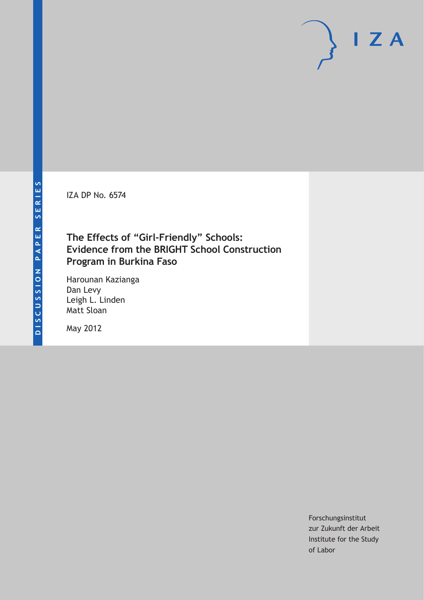IZA DP No. 6574

# **The Effects of "Girl-Friendly" Schools: Evidence from the BRIGHT School Construction Program in Burkina Faso**

Harounan Kazianga Dan Levy Leigh L. Linden Matt Sloan

May 2012

Forschungsinstitut zur Zukunft der Arbeit Institute for the Study of Labor

 $I Z A$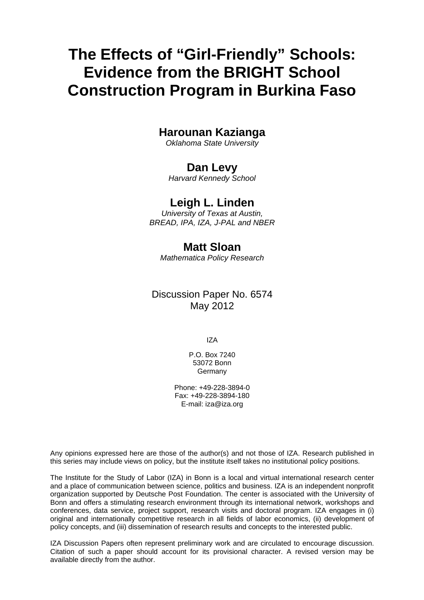# **The Effects of "Girl-Friendly" Schools: Evidence from the BRIGHT School Construction Program in Burkina Faso**

# **Harounan Kazianga**

*Oklahoma State University* 

# **Dan Levy**

*Harvard Kennedy School* 

# **Leigh L. Linden**

*University of Texas at Austin, BREAD, IPA, IZA, J-PAL and NBER* 

# **Matt Sloan**

*Mathematica Policy Research* 

# Discussion Paper No. 6574 May 2012

IZA

P.O. Box 7240 53072 Bonn Germany

Phone: +49-228-3894-0 Fax: +49-228-3894-180 E-mail: [iza@iza.org](mailto:iza@iza.org)

Any opinions expressed here are those of the author(s) and not those of IZA. Research published in this series may include views on policy, but the institute itself takes no institutional policy positions.

The Institute for the Study of Labor (IZA) in Bonn is a local and virtual international research center and a place of communication between science, politics and business. IZA is an independent nonprofit organization supported by Deutsche Post Foundation. The center is associated with the University of Bonn and offers a stimulating research environment through its international network, workshops and conferences, data service, project support, research visits and doctoral program. IZA engages in (i) original and internationally competitive research in all fields of labor economics, (ii) development of policy concepts, and (iii) dissemination of research results and concepts to the interested public.

IZA Discussion Papers often represent preliminary work and are circulated to encourage discussion. Citation of such a paper should account for its provisional character. A revised version may be available directly from the author.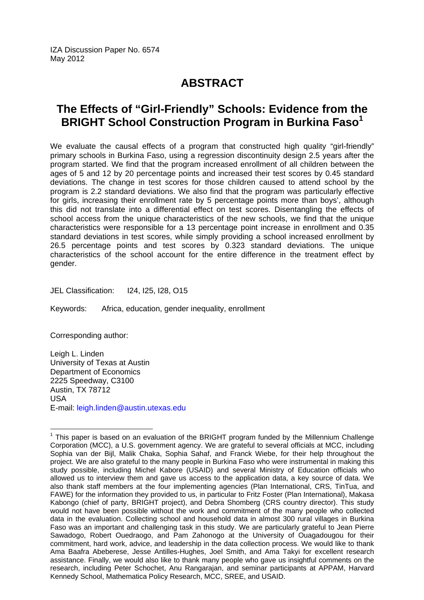IZA Discussion Paper No. 6574 May 2012

# **ABSTRACT**

# **The Effects of "Girl-Friendly" Schools: Evidence from the BRIGHT School Construction Program in Burkina Faso<sup>1</sup>**

We evaluate the causal effects of a program that constructed high quality "girl-friendly" primary schools in Burkina Faso, using a regression discontinuity design 2.5 years after the program started. We find that the program increased enrollment of all children between the ages of 5 and 12 by 20 percentage points and increased their test scores by 0.45 standard deviations. The change in test scores for those children caused to attend school by the program is 2.2 standard deviations. We also find that the program was particularly effective for girls, increasing their enrollment rate by 5 percentage points more than boys', although this did not translate into a differential effect on test scores. Disentangling the effects of school access from the unique characteristics of the new schools, we find that the unique characteristics were responsible for a 13 percentage point increase in enrollment and 0.35 standard deviations in test scores, while simply providing a school increased enrollment by 26.5 percentage points and test scores by 0.323 standard deviations. The unique characteristics of the school account for the entire difference in the treatment effect by gender.

JEL Classification: I24, I25, I28, O15

Keywords: Africa, education, gender inequality, enrollment

Corresponding author:

 $\overline{\phantom{a}}$ 

Leigh L. Linden University of Texas at Austin Department of Economics 2225 Speedway, C3100 Austin, TX 78712 USA E-mail: [leigh.linden@austin.utexas.edu](mailto:leigh.linden@austin.utexas.edu) 

<span id="page-2-0"></span> $1$  This paper is based on an evaluation of the BRIGHT program funded by the Millennium Challenge Corporation (MCC), a U.S. government agency. We are grateful to several officials at MCC, including Sophia van der Bijl, Malik Chaka, Sophia Sahaf, and Franck Wiebe, for their help throughout the project. We are also grateful to the many people in Burkina Faso who were instrumental in making this study possible, including Michel Kabore (USAID) and several Ministry of Education officials who allowed us to interview them and gave us access to the application data, a key source of data. We also thank staff members at the four implementing agencies (Plan International, CRS, TinTua, and FAWE) for the information they provided to us, in particular to Fritz Foster (Plan International), Makasa Kabongo (chief of party, BRIGHT project), and Debra Shomberg (CRS country director). This study would not have been possible without the work and commitment of the many people who collected data in the evaluation. Collecting school and household data in almost 300 rural villages in Burkina Faso was an important and challenging task in this study. We are particularly grateful to Jean Pierre Sawadogo, Robert Ouedraogo, and Pam Zahonogo at the University of Ouagadougou for their commitment, hard work, advice, and leadership in the data collection process. We would like to thank Ama Baafra Abeberese, Jesse Antilles-Hughes, Joel Smith, and Ama Takyi for excellent research assistance. Finally, we would also like to thank many people who gave us insightful comments on the research, including Peter Schochet, Anu Rangarajan, and seminar participants at APPAM, Harvard Kennedy School, Mathematica Policy Research, MCC, SREE, and USAID.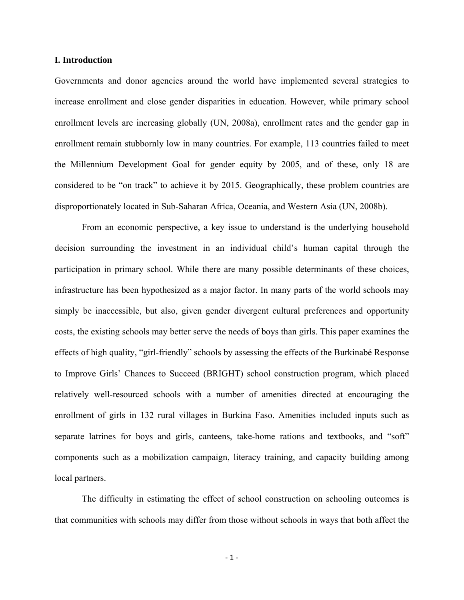#### **I. Introduction**

Governments and donor agencies around the world have implemented several strategies to increase enrollment and close gender disparities in education. However, while primary school enrollment levels are increasing globally (UN, 2008a), enrollment rates and the gender gap in enrollment remain stubbornly low in many countries. For example, 113 countries failed to meet the Millennium Development Goal for gender equity by 2005, and of these, only 18 are considered to be "on track" to achieve it by 2015. Geographically, these problem countries are disproportionately located in Sub-Saharan Africa, Oceania, and Western Asia (UN, 2008b).

From an economic perspective, a key issue to understand is the underlying household decision surrounding the investment in an individual child's human capital through the participation in primary school. While there are many possible determinants of these choices, infrastructure has been hypothesized as a major factor. In many parts of the world schools may simply be inaccessible, but also, given gender divergent cultural preferences and opportunity costs, the existing schools may better serve the needs of boys than girls. This paper examines the effects of high quality, "girl-friendly" schools by assessing the effects of the Burkinabé Response to Improve Girls' Chances to Succeed (BRIGHT) school construction program, which placed relatively well-resourced schools with a number of amenities directed at encouraging the enrollment of girls in 132 rural villages in Burkina Faso. Amenities included inputs such as separate latrines for boys and girls, canteens, take-home rations and textbooks, and "soft" components such as a mobilization campaign, literacy training, and capacity building among local partners.

The difficulty in estimating the effect of school construction on schooling outcomes is that communities with schools may differ from those without schools in ways that both affect the

 $-1 -$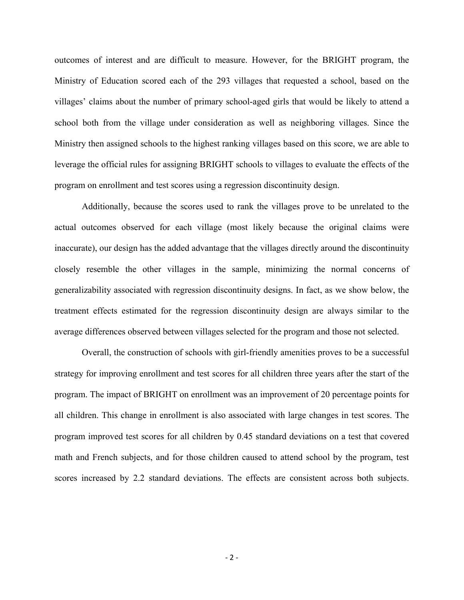outcomes of interest and are difficult to measure. However, for the BRIGHT program, the Ministry of Education scored each of the 293 villages that requested a school, based on the villages' claims about the number of primary school-aged girls that would be likely to attend a school both from the village under consideration as well as neighboring villages. Since the Ministry then assigned schools to the highest ranking villages based on this score, we are able to leverage the official rules for assigning BRIGHT schools to villages to evaluate the effects of the program on enrollment and test scores using a regression discontinuity design.

Additionally, because the scores used to rank the villages prove to be unrelated to the actual outcomes observed for each village (most likely because the original claims were inaccurate), our design has the added advantage that the villages directly around the discontinuity closely resemble the other villages in the sample, minimizing the normal concerns of generalizability associated with regression discontinuity designs. In fact, as we show below, the treatment effects estimated for the regression discontinuity design are always similar to the average differences observed between villages selected for the program and those not selected.

Overall, the construction of schools with girl-friendly amenities proves to be a successful strategy for improving enrollment and test scores for all children three years after the start of the program. The impact of BRIGHT on enrollment was an improvement of 20 percentage points for all children. This change in enrollment is also associated with large changes in test scores. The program improved test scores for all children by 0.45 standard deviations on a test that covered math and French subjects, and for those children caused to attend school by the program, test scores increased by 2.2 standard deviations. The effects are consistent across both subjects.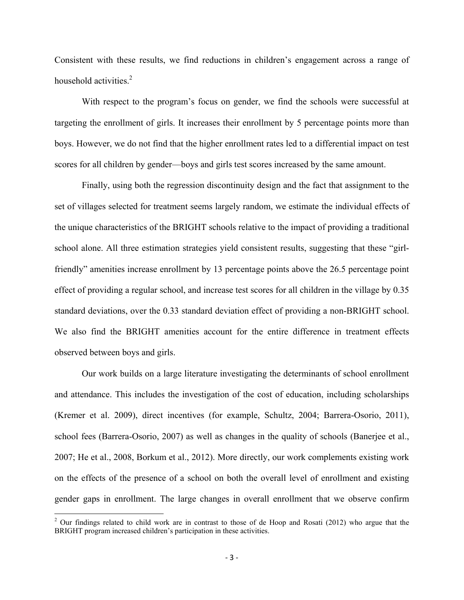Consistent with these results, we find reductions in children's engagement across a range of household activities.<sup>2</sup>

With respect to the program's focus on gender, we find the schools were successful at targeting the enrollment of girls. It increases their enrollment by 5 percentage points more than boys. However, we do not find that the higher enrollment rates led to a differential impact on test scores for all children by gender—boys and girls test scores increased by the same amount.

Finally, using both the regression discontinuity design and the fact that assignment to the set of villages selected for treatment seems largely random, we estimate the individual effects of the unique characteristics of the BRIGHT schools relative to the impact of providing a traditional school alone. All three estimation strategies yield consistent results, suggesting that these "girlfriendly" amenities increase enrollment by 13 percentage points above the 26.5 percentage point effect of providing a regular school, and increase test scores for all children in the village by 0.35 standard deviations, over the 0.33 standard deviation effect of providing a non-BRIGHT school. We also find the BRIGHT amenities account for the entire difference in treatment effects observed between boys and girls.

Our work builds on a large literature investigating the determinants of school enrollment and attendance. This includes the investigation of the cost of education, including scholarships (Kremer et al. 2009), direct incentives (for example, Schultz, 2004; Barrera-Osorio, 2011), school fees (Barrera-Osorio, 2007) as well as changes in the quality of schools (Banerjee et al., 2007; He et al., 2008, Borkum et al., 2012). More directly, our work complements existing work on the effects of the presence of a school on both the overall level of enrollment and existing gender gaps in enrollment. The large changes in overall enrollment that we observe confirm

 $2$  Our findings related to child work are in contrast to those of de Hoop and Rosati (2012) who argue that the BRIGHT program increased children's participation in these activities.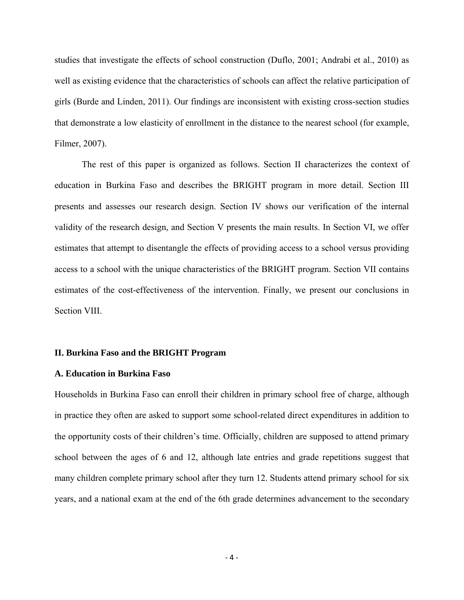studies that investigate the effects of school construction (Duflo, 2001; Andrabi et al., 2010) as well as existing evidence that the characteristics of schools can affect the relative participation of girls (Burde and Linden, 2011). Our findings are inconsistent with existing cross-section studies that demonstrate a low elasticity of enrollment in the distance to the nearest school (for example, Filmer, 2007).

The rest of this paper is organized as follows. Section II characterizes the context of education in Burkina Faso and describes the BRIGHT program in more detail. Section III presents and assesses our research design. Section IV shows our verification of the internal validity of the research design, and Section V presents the main results. In Section VI, we offer estimates that attempt to disentangle the effects of providing access to a school versus providing access to a school with the unique characteristics of the BRIGHT program. Section VII contains estimates of the cost-effectiveness of the intervention. Finally, we present our conclusions in Section VIII.

#### **II. Burkina Faso and the BRIGHT Program**

### **A. Education in Burkina Faso**

Households in Burkina Faso can enroll their children in primary school free of charge, although in practice they often are asked to support some school-related direct expenditures in addition to the opportunity costs of their children's time. Officially, children are supposed to attend primary school between the ages of 6 and 12, although late entries and grade repetitions suggest that many children complete primary school after they turn 12. Students attend primary school for six years, and a national exam at the end of the 6th grade determines advancement to the secondary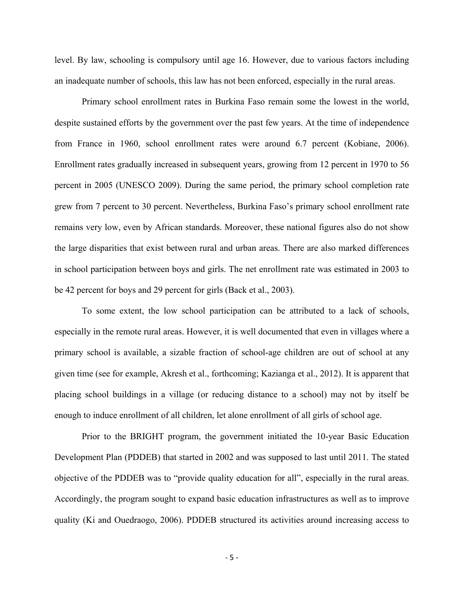level. By law, schooling is compulsory until age 16. However, due to various factors including an inadequate number of schools, this law has not been enforced, especially in the rural areas.

Primary school enrollment rates in Burkina Faso remain some the lowest in the world, despite sustained efforts by the government over the past few years. At the time of independence from France in 1960, school enrollment rates were around 6.7 percent (Kobiane, 2006). Enrollment rates gradually increased in subsequent years, growing from 12 percent in 1970 to 56 percent in 2005 (UNESCO 2009). During the same period, the primary school completion rate grew from 7 percent to 30 percent. Nevertheless, Burkina Faso's primary school enrollment rate remains very low, even by African standards. Moreover, these national figures also do not show the large disparities that exist between rural and urban areas. There are also marked differences in school participation between boys and girls. The net enrollment rate was estimated in 2003 to be 42 percent for boys and 29 percent for girls (Back et al., 2003).

To some extent, the low school participation can be attributed to a lack of schools, especially in the remote rural areas. However, it is well documented that even in villages where a primary school is available, a sizable fraction of school-age children are out of school at any given time (see for example, Akresh et al., forthcoming; Kazianga et al., 2012). It is apparent that placing school buildings in a village (or reducing distance to a school) may not by itself be enough to induce enrollment of all children, let alone enrollment of all girls of school age.

Prior to the BRIGHT program, the government initiated the 10-year Basic Education Development Plan (PDDEB) that started in 2002 and was supposed to last until 2011. The stated objective of the PDDEB was to "provide quality education for all", especially in the rural areas. Accordingly, the program sought to expand basic education infrastructures as well as to improve quality (Ki and Ouedraogo, 2006). PDDEB structured its activities around increasing access to

‐ 5 ‐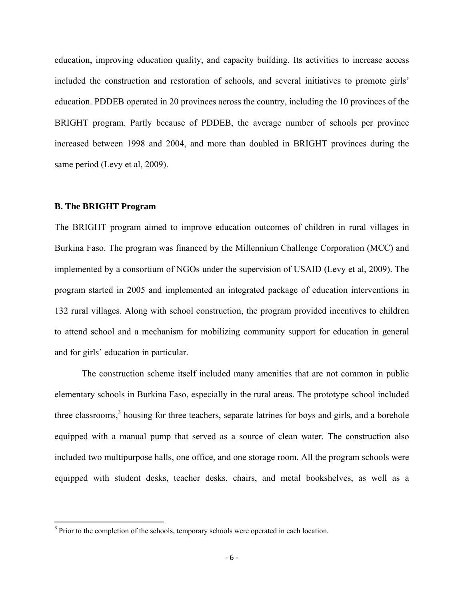education, improving education quality, and capacity building. Its activities to increase access included the construction and restoration of schools, and several initiatives to promote girls' education. PDDEB operated in 20 provinces across the country, including the 10 provinces of the BRIGHT program. Partly because of PDDEB, the average number of schools per province increased between 1998 and 2004, and more than doubled in BRIGHT provinces during the same period (Levy et al, 2009).

### **B. The BRIGHT Program**

The BRIGHT program aimed to improve education outcomes of children in rural villages in Burkina Faso. The program was financed by the Millennium Challenge Corporation (MCC) and implemented by a consortium of NGOs under the supervision of USAID (Levy et al, 2009). The program started in 2005 and implemented an integrated package of education interventions in 132 rural villages. Along with school construction, the program provided incentives to children to attend school and a mechanism for mobilizing community support for education in general and for girls' education in particular.

The construction scheme itself included many amenities that are not common in public elementary schools in Burkina Faso, especially in the rural areas. The prototype school included three classrooms,<sup>3</sup> housing for three teachers, separate latrines for boys and girls, and a borehole equipped with a manual pump that served as a source of clean water. The construction also included two multipurpose halls, one office, and one storage room. All the program schools were equipped with student desks, teacher desks, chairs, and metal bookshelves, as well as a

<sup>&</sup>lt;sup>3</sup> Prior to the completion of the schools, temporary schools were operated in each location.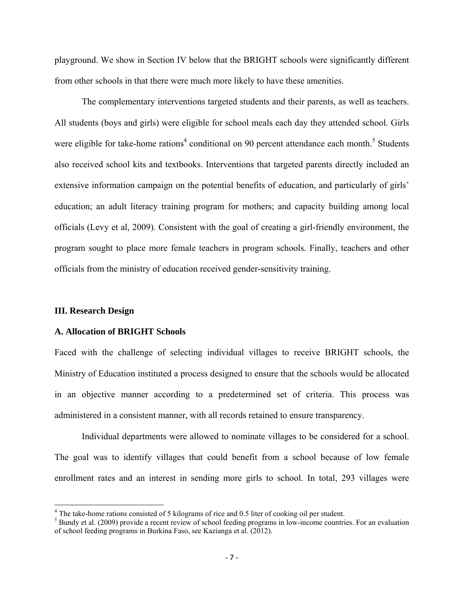playground. We show in Section IV below that the BRIGHT schools were significantly different from other schools in that there were much more likely to have these amenities.

The complementary interventions targeted students and their parents, as well as teachers. All students (boys and girls) were eligible for school meals each day they attended school. Girls were eligible for take-home rations<sup>4</sup> conditional on 90 percent attendance each month.<sup>5</sup> Students also received school kits and textbooks. Interventions that targeted parents directly included an extensive information campaign on the potential benefits of education, and particularly of girls' education; an adult literacy training program for mothers; and capacity building among local officials (Levy et al, 2009). Consistent with the goal of creating a girl-friendly environment, the program sought to place more female teachers in program schools. Finally, teachers and other officials from the ministry of education received gender-sensitivity training.

#### **III. Research Design**

#### **A. Allocation of BRIGHT Schools**

Faced with the challenge of selecting individual villages to receive BRIGHT schools, the Ministry of Education instituted a process designed to ensure that the schools would be allocated in an objective manner according to a predetermined set of criteria. This process was administered in a consistent manner, with all records retained to ensure transparency.

 Individual departments were allowed to nominate villages to be considered for a school. The goal was to identify villages that could benefit from a school because of low female enrollment rates and an interest in sending more girls to school. In total, 293 villages were

<sup>&</sup>lt;sup>4</sup> The take-home rations consisted of 5 kilograms of rice and 0.5 liter of cooking oil per student.

<sup>&</sup>lt;sup>5</sup> Bundy et al. (2009) provide a recent review of school feeding programs in low-income countries. For an evaluation of school feeding programs in Burkina Faso, see Kazianga et al. (2012).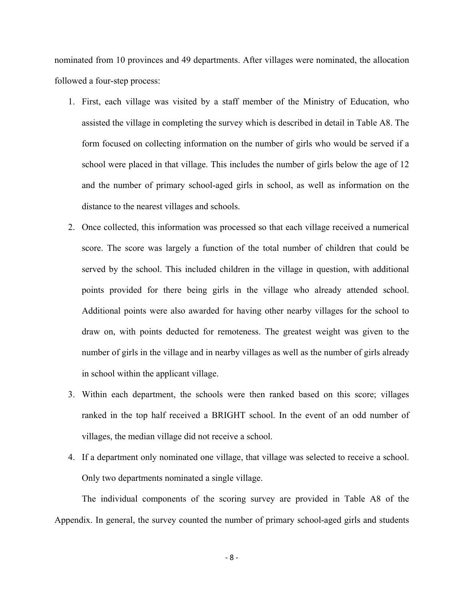nominated from 10 provinces and 49 departments. After villages were nominated, the allocation followed a four-step process:

- 1. First, each village was visited by a staff member of the Ministry of Education, who assisted the village in completing the survey which is described in detail in Table A8. The form focused on collecting information on the number of girls who would be served if a school were placed in that village. This includes the number of girls below the age of 12 and the number of primary school-aged girls in school, as well as information on the distance to the nearest villages and schools.
- 2. Once collected, this information was processed so that each village received a numerical score. The score was largely a function of the total number of children that could be served by the school. This included children in the village in question, with additional points provided for there being girls in the village who already attended school. Additional points were also awarded for having other nearby villages for the school to draw on, with points deducted for remoteness. The greatest weight was given to the number of girls in the village and in nearby villages as well as the number of girls already in school within the applicant village.
- 3. Within each department, the schools were then ranked based on this score; villages ranked in the top half received a BRIGHT school. In the event of an odd number of villages, the median village did not receive a school.
- 4. If a department only nominated one village, that village was selected to receive a school. Only two departments nominated a single village.

 The individual components of the scoring survey are provided in Table A8 of the Appendix. In general, the survey counted the number of primary school-aged girls and students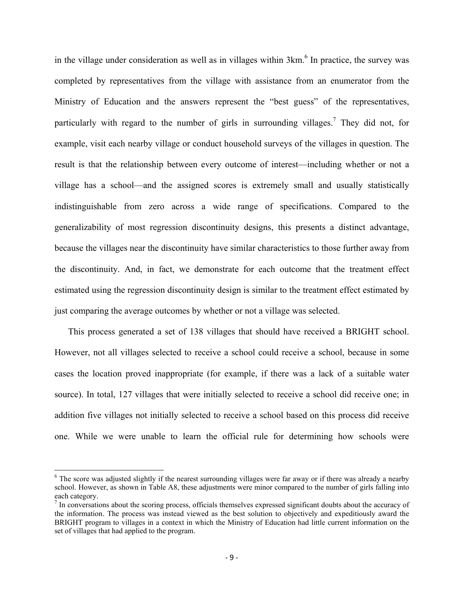in the village under consideration as well as in villages within  $3km<sup>6</sup>$  In practice, the survey was completed by representatives from the village with assistance from an enumerator from the Ministry of Education and the answers represent the "best guess" of the representatives, particularly with regard to the number of girls in surrounding villages.<sup>7</sup> They did not, for example, visit each nearby village or conduct household surveys of the villages in question. The result is that the relationship between every outcome of interest—including whether or not a village has a school—and the assigned scores is extremely small and usually statistically indistinguishable from zero across a wide range of specifications. Compared to the generalizability of most regression discontinuity designs, this presents a distinct advantage, because the villages near the discontinuity have similar characteristics to those further away from the discontinuity. And, in fact, we demonstrate for each outcome that the treatment effect estimated using the regression discontinuity design is similar to the treatment effect estimated by just comparing the average outcomes by whether or not a village was selected.

This process generated a set of 138 villages that should have received a BRIGHT school. However, not all villages selected to receive a school could receive a school, because in some cases the location proved inappropriate (for example, if there was a lack of a suitable water source). In total, 127 villages that were initially selected to receive a school did receive one; in addition five villages not initially selected to receive a school based on this process did receive one. While we were unable to learn the official rule for determining how schools were

<sup>&</sup>lt;sup>6</sup> The score was adjusted slightly if the nearest surrounding villages were far away or if there was already a nearby school. However, as shown in Table A8, these adjustments were minor compared to the number of girls falling into each category.

 $<sup>7</sup>$  In conversations about the scoring process, officials themselves expressed significant doubts about the accuracy of</sup> the information. The process was instead viewed as the best solution to objectively and expeditiously award the BRIGHT program to villages in a context in which the Ministry of Education had little current information on the set of villages that had applied to the program.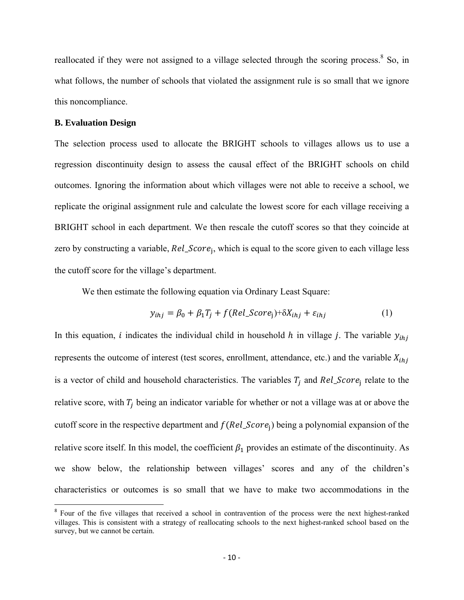reallocated if they were not assigned to a village selected through the scoring process.<sup>8</sup> So, in what follows, the number of schools that violated the assignment rule is so small that we ignore this noncompliance.

### **B. Evaluation Design**

The selection process used to allocate the BRIGHT schools to villages allows us to use a regression discontinuity design to assess the causal effect of the BRIGHT schools on child outcomes. Ignoring the information about which villages were not able to receive a school, we replicate the original assignment rule and calculate the lowest score for each village receiving a BRIGHT school in each department. We then rescale the cutoff scores so that they coincide at zero by constructing a variable,  $Rel\_Score_i$ , which is equal to the score given to each village less the cutoff score for the village's department.

We then estimate the following equation via Ordinary Least Square:

$$
y_{ihj} = \beta_0 + \beta_1 T_j + f(Rel\_Score_j) + \delta X_{ihj} + \varepsilon_{ihj}
$$
 (1)

In this equation, *i* indicates the individual child in household h in village *j*. The variable  $y_{ihi}$ represents the outcome of interest (test scores, enrollment, attendance, etc.) and the variable  $X_{ihi}$ is a vector of child and household characteristics. The variables  $T_i$  and  $Rel\_Score_i$  relate to the relative score, with  $T_i$  being an indicator variable for whether or not a village was at or above the cutoff score in the respective department and  $f(Rel\_Score_i)$  being a polynomial expansion of the relative score itself. In this model, the coefficient  $\beta_1$  provides an estimate of the discontinuity. As we show below, the relationship between villages' scores and any of the children's characteristics or outcomes is so small that we have to make two accommodations in the

<sup>&</sup>lt;sup>8</sup> Four of the five villages that received a school in contravention of the process were the next highest-ranked villages. This is consistent with a strategy of reallocating schools to the next highest-ranked school based on the survey, but we cannot be certain.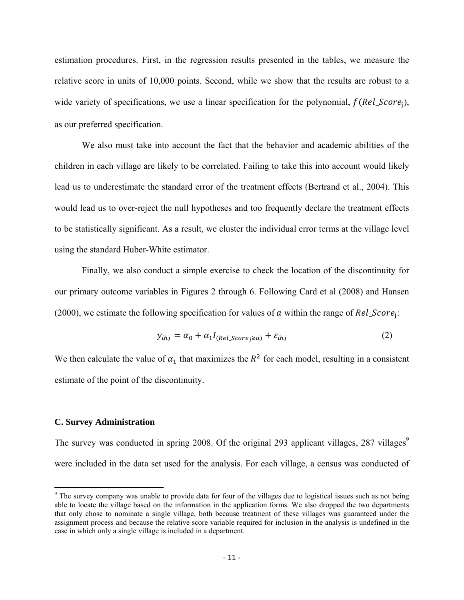estimation procedures. First, in the regression results presented in the tables, we measure the relative score in units of 10,000 points. Second, while we show that the results are robust to a wide variety of specifications, we use a linear specification for the polynomial,  $f(Rel\_Score_i)$ , as our preferred specification.

 We also must take into account the fact that the behavior and academic abilities of the children in each village are likely to be correlated. Failing to take this into account would likely lead us to underestimate the standard error of the treatment effects (Bertrand et al., 2004). This would lead us to over-reject the null hypotheses and too frequently declare the treatment effects to be statistically significant. As a result, we cluster the individual error terms at the village level using the standard Huber-White estimator.

Finally, we also conduct a simple exercise to check the location of the discontinuity for our primary outcome variables in Figures 2 through 6. Following Card et al (2008) and Hansen (2000), we estimate the following specification for values of  $\alpha$  within the range of  $Rel\_Score_i$ :

$$
y_{ihj} = \alpha_0 + \alpha_1 I_{(Rel\_Score_j \ge a)} + \varepsilon_{ihj}
$$
 (2)

We then calculate the value of  $\alpha_1$  that maximizes the  $R^2$  for each model, resulting in a consistent estimate of the point of the discontinuity.

#### **C. Survey Administration**

The survey was conducted in spring 2008. Of the original 293 applicant villages, 287 villages<sup>9</sup> were included in the data set used for the analysis. For each village, a census was conducted of

<sup>&</sup>lt;sup>9</sup> The survey company was unable to provide data for four of the villages due to logistical issues such as not being able to locate the village based on the information in the application forms. We also dropped the two departments that only chose to nominate a single village, both because treatment of these villages was guaranteed under the assignment process and because the relative score variable required for inclusion in the analysis is undefined in the case in which only a single village is included in a department.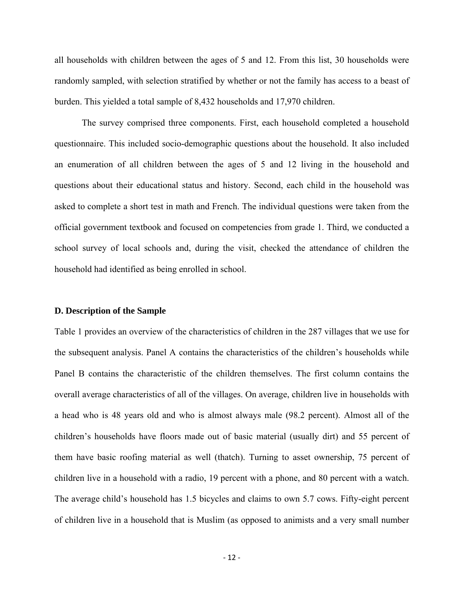all households with children between the ages of 5 and 12. From this list, 30 households were randomly sampled, with selection stratified by whether or not the family has access to a beast of burden. This yielded a total sample of 8,432 households and 17,970 children.

 The survey comprised three components. First, each household completed a household questionnaire. This included socio-demographic questions about the household. It also included an enumeration of all children between the ages of 5 and 12 living in the household and questions about their educational status and history. Second, each child in the household was asked to complete a short test in math and French. The individual questions were taken from the official government textbook and focused on competencies from grade 1. Third, we conducted a school survey of local schools and, during the visit, checked the attendance of children the household had identified as being enrolled in school.

#### **D. Description of the Sample**

Table 1 provides an overview of the characteristics of children in the 287 villages that we use for the subsequent analysis. Panel A contains the characteristics of the children's households while Panel B contains the characteristic of the children themselves. The first column contains the overall average characteristics of all of the villages. On average, children live in households with a head who is 48 years old and who is almost always male (98.2 percent). Almost all of the children's households have floors made out of basic material (usually dirt) and 55 percent of them have basic roofing material as well (thatch). Turning to asset ownership, 75 percent of children live in a household with a radio, 19 percent with a phone, and 80 percent with a watch. The average child's household has 1.5 bicycles and claims to own 5.7 cows. Fifty-eight percent of children live in a household that is Muslim (as opposed to animists and a very small number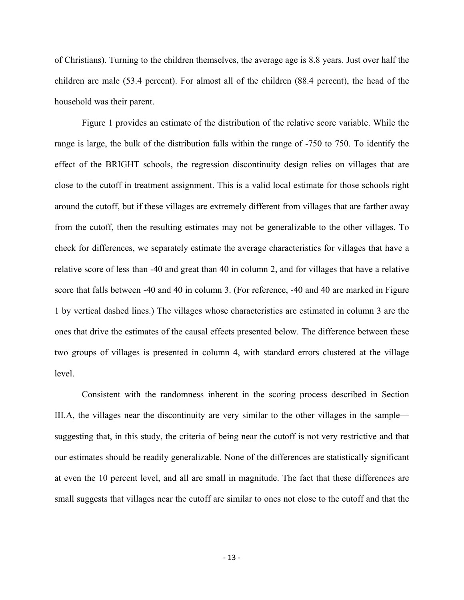of Christians). Turning to the children themselves, the average age is 8.8 years. Just over half the children are male (53.4 percent). For almost all of the children (88.4 percent), the head of the household was their parent.

Figure 1 provides an estimate of the distribution of the relative score variable. While the range is large, the bulk of the distribution falls within the range of -750 to 750. To identify the effect of the BRIGHT schools, the regression discontinuity design relies on villages that are close to the cutoff in treatment assignment. This is a valid local estimate for those schools right around the cutoff, but if these villages are extremely different from villages that are farther away from the cutoff, then the resulting estimates may not be generalizable to the other villages. To check for differences, we separately estimate the average characteristics for villages that have a relative score of less than -40 and great than 40 in column 2, and for villages that have a relative score that falls between -40 and 40 in column 3. (For reference, -40 and 40 are marked in Figure 1 by vertical dashed lines.) The villages whose characteristics are estimated in column 3 are the ones that drive the estimates of the causal effects presented below. The difference between these two groups of villages is presented in column 4, with standard errors clustered at the village level.

Consistent with the randomness inherent in the scoring process described in Section III.A, the villages near the discontinuity are very similar to the other villages in the sample suggesting that, in this study, the criteria of being near the cutoff is not very restrictive and that our estimates should be readily generalizable. None of the differences are statistically significant at even the 10 percent level, and all are small in magnitude. The fact that these differences are small suggests that villages near the cutoff are similar to ones not close to the cutoff and that the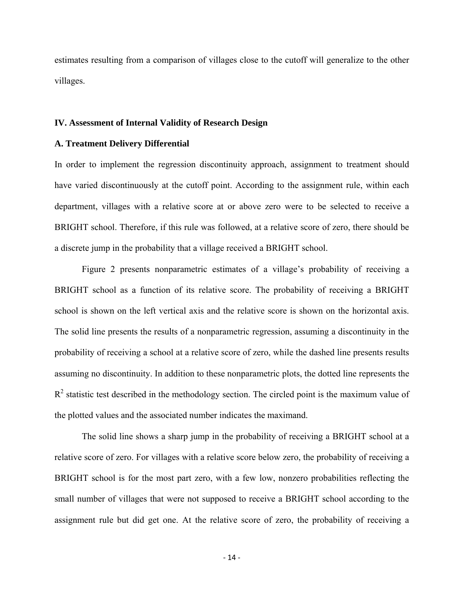estimates resulting from a comparison of villages close to the cutoff will generalize to the other villages.

#### **IV. Assessment of Internal Validity of Research Design**

### **A. Treatment Delivery Differential**

In order to implement the regression discontinuity approach, assignment to treatment should have varied discontinuously at the cutoff point. According to the assignment rule, within each department, villages with a relative score at or above zero were to be selected to receive a BRIGHT school. Therefore, if this rule was followed, at a relative score of zero, there should be a discrete jump in the probability that a village received a BRIGHT school.

 Figure 2 presents nonparametric estimates of a village's probability of receiving a BRIGHT school as a function of its relative score. The probability of receiving a BRIGHT school is shown on the left vertical axis and the relative score is shown on the horizontal axis. The solid line presents the results of a nonparametric regression, assuming a discontinuity in the probability of receiving a school at a relative score of zero, while the dashed line presents results assuming no discontinuity. In addition to these nonparametric plots, the dotted line represents the  $R<sup>2</sup>$  statistic test described in the methodology section. The circled point is the maximum value of the plotted values and the associated number indicates the maximand.

 The solid line shows a sharp jump in the probability of receiving a BRIGHT school at a relative score of zero. For villages with a relative score below zero, the probability of receiving a BRIGHT school is for the most part zero, with a few low, nonzero probabilities reflecting the small number of villages that were not supposed to receive a BRIGHT school according to the assignment rule but did get one. At the relative score of zero, the probability of receiving a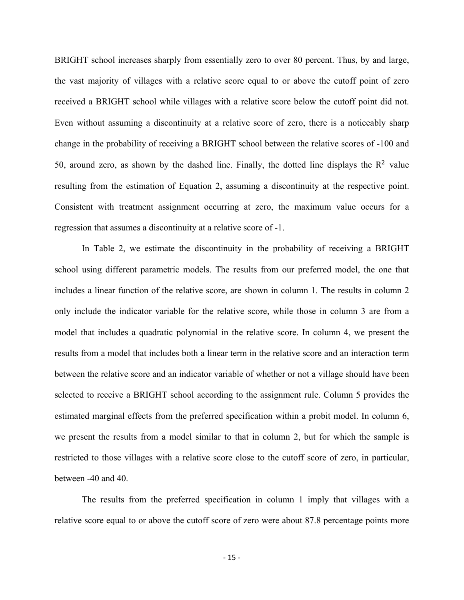BRIGHT school increases sharply from essentially zero to over 80 percent. Thus, by and large, the vast majority of villages with a relative score equal to or above the cutoff point of zero received a BRIGHT school while villages with a relative score below the cutoff point did not. Even without assuming a discontinuity at a relative score of zero, there is a noticeably sharp change in the probability of receiving a BRIGHT school between the relative scores of -100 and 50, around zero, as shown by the dashed line. Finally, the dotted line displays the  $\mathbb{R}^2$  value resulting from the estimation of Equation 2, assuming a discontinuity at the respective point. Consistent with treatment assignment occurring at zero, the maximum value occurs for a regression that assumes a discontinuity at a relative score of -1.

 In Table 2, we estimate the discontinuity in the probability of receiving a BRIGHT school using different parametric models. The results from our preferred model, the one that includes a linear function of the relative score, are shown in column 1. The results in column 2 only include the indicator variable for the relative score, while those in column 3 are from a model that includes a quadratic polynomial in the relative score. In column 4, we present the results from a model that includes both a linear term in the relative score and an interaction term between the relative score and an indicator variable of whether or not a village should have been selected to receive a BRIGHT school according to the assignment rule. Column 5 provides the estimated marginal effects from the preferred specification within a probit model. In column 6, we present the results from a model similar to that in column 2, but for which the sample is restricted to those villages with a relative score close to the cutoff score of zero, in particular, between -40 and 40.

 The results from the preferred specification in column 1 imply that villages with a relative score equal to or above the cutoff score of zero were about 87.8 percentage points more

‐ 15 ‐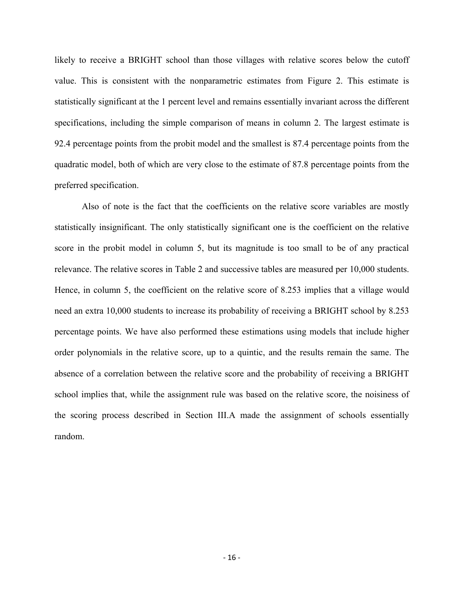likely to receive a BRIGHT school than those villages with relative scores below the cutoff value. This is consistent with the nonparametric estimates from Figure 2. This estimate is statistically significant at the 1 percent level and remains essentially invariant across the different specifications, including the simple comparison of means in column 2. The largest estimate is 92.4 percentage points from the probit model and the smallest is 87.4 percentage points from the quadratic model, both of which are very close to the estimate of 87.8 percentage points from the preferred specification.

 Also of note is the fact that the coefficients on the relative score variables are mostly statistically insignificant. The only statistically significant one is the coefficient on the relative score in the probit model in column 5, but its magnitude is too small to be of any practical relevance. The relative scores in Table 2 and successive tables are measured per 10,000 students. Hence, in column 5, the coefficient on the relative score of 8.253 implies that a village would need an extra 10,000 students to increase its probability of receiving a BRIGHT school by 8.253 percentage points. We have also performed these estimations using models that include higher order polynomials in the relative score, up to a quintic, and the results remain the same. The absence of a correlation between the relative score and the probability of receiving a BRIGHT school implies that, while the assignment rule was based on the relative score, the noisiness of the scoring process described in Section III.A made the assignment of schools essentially random.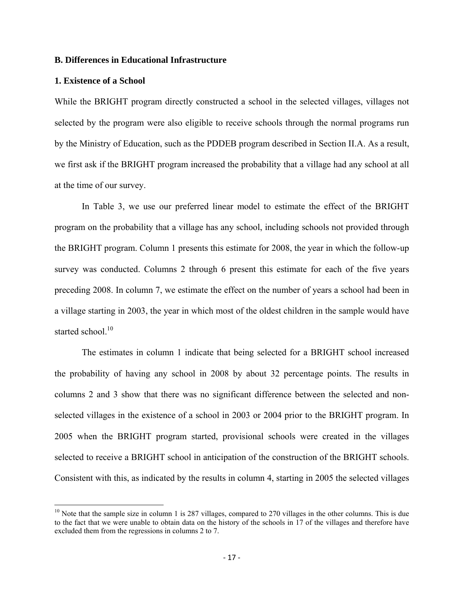### **B. Differences in Educational Infrastructure**

#### **1. Existence of a School**

While the BRIGHT program directly constructed a school in the selected villages, villages not selected by the program were also eligible to receive schools through the normal programs run by the Ministry of Education, such as the PDDEB program described in Section II.A. As a result, we first ask if the BRIGHT program increased the probability that a village had any school at all at the time of our survey.

In Table 3, we use our preferred linear model to estimate the effect of the BRIGHT program on the probability that a village has any school, including schools not provided through the BRIGHT program. Column 1 presents this estimate for 2008, the year in which the follow-up survey was conducted. Columns 2 through 6 present this estimate for each of the five years preceding 2008. In column 7, we estimate the effect on the number of years a school had been in a village starting in 2003, the year in which most of the oldest children in the sample would have started school $10$ 

 The estimates in column 1 indicate that being selected for a BRIGHT school increased the probability of having any school in 2008 by about 32 percentage points. The results in columns 2 and 3 show that there was no significant difference between the selected and nonselected villages in the existence of a school in 2003 or 2004 prior to the BRIGHT program. In 2005 when the BRIGHT program started, provisional schools were created in the villages selected to receive a BRIGHT school in anticipation of the construction of the BRIGHT schools. Consistent with this, as indicated by the results in column 4, starting in 2005 the selected villages

 $10$  Note that the sample size in column 1 is 287 villages, compared to 270 villages in the other columns. This is due to the fact that we were unable to obtain data on the history of the schools in 17 of the villages and therefore have excluded them from the regressions in columns 2 to 7.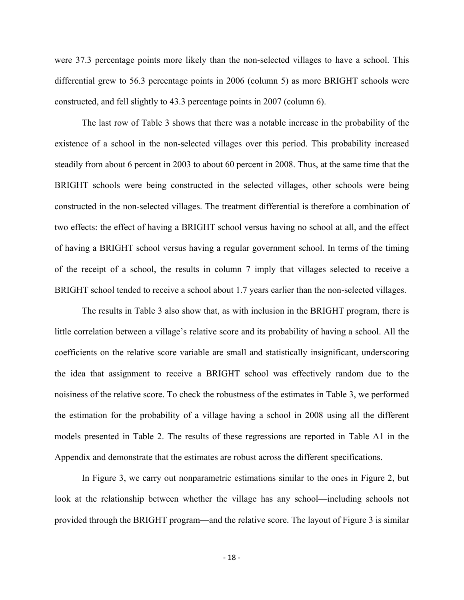were 37.3 percentage points more likely than the non-selected villages to have a school. This differential grew to 56.3 percentage points in 2006 (column 5) as more BRIGHT schools were constructed, and fell slightly to 43.3 percentage points in 2007 (column 6).

The last row of Table 3 shows that there was a notable increase in the probability of the existence of a school in the non-selected villages over this period. This probability increased steadily from about 6 percent in 2003 to about 60 percent in 2008. Thus, at the same time that the BRIGHT schools were being constructed in the selected villages, other schools were being constructed in the non-selected villages. The treatment differential is therefore a combination of two effects: the effect of having a BRIGHT school versus having no school at all, and the effect of having a BRIGHT school versus having a regular government school. In terms of the timing of the receipt of a school, the results in column 7 imply that villages selected to receive a BRIGHT school tended to receive a school about 1.7 years earlier than the non-selected villages.

 The results in Table 3 also show that, as with inclusion in the BRIGHT program, there is little correlation between a village's relative score and its probability of having a school. All the coefficients on the relative score variable are small and statistically insignificant, underscoring the idea that assignment to receive a BRIGHT school was effectively random due to the noisiness of the relative score. To check the robustness of the estimates in Table 3, we performed the estimation for the probability of a village having a school in 2008 using all the different models presented in Table 2. The results of these regressions are reported in Table A1 in the Appendix and demonstrate that the estimates are robust across the different specifications.

 In Figure 3, we carry out nonparametric estimations similar to the ones in Figure 2, but look at the relationship between whether the village has any school—including schools not provided through the BRIGHT program—and the relative score. The layout of Figure 3 is similar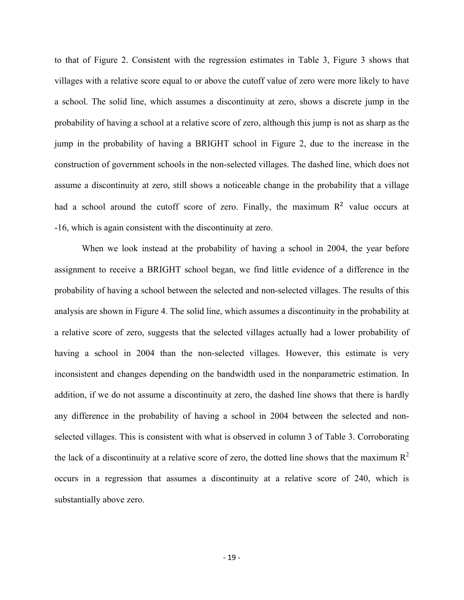to that of Figure 2. Consistent with the regression estimates in Table 3, Figure 3 shows that villages with a relative score equal to or above the cutoff value of zero were more likely to have a school. The solid line, which assumes a discontinuity at zero, shows a discrete jump in the probability of having a school at a relative score of zero, although this jump is not as sharp as the jump in the probability of having a BRIGHT school in Figure 2, due to the increase in the construction of government schools in the non-selected villages. The dashed line, which does not assume a discontinuity at zero, still shows a noticeable change in the probability that a village had a school around the cutoff score of zero. Finally, the maximum  $R<sup>2</sup>$  value occurs at -16, which is again consistent with the discontinuity at zero.

 When we look instead at the probability of having a school in 2004, the year before assignment to receive a BRIGHT school began, we find little evidence of a difference in the probability of having a school between the selected and non-selected villages. The results of this analysis are shown in Figure 4. The solid line, which assumes a discontinuity in the probability at a relative score of zero, suggests that the selected villages actually had a lower probability of having a school in 2004 than the non-selected villages. However, this estimate is very inconsistent and changes depending on the bandwidth used in the nonparametric estimation. In addition, if we do not assume a discontinuity at zero, the dashed line shows that there is hardly any difference in the probability of having a school in 2004 between the selected and nonselected villages. This is consistent with what is observed in column 3 of Table 3. Corroborating the lack of a discontinuity at a relative score of zero, the dotted line shows that the maximum  $R^2$ occurs in a regression that assumes a discontinuity at a relative score of 240, which is substantially above zero.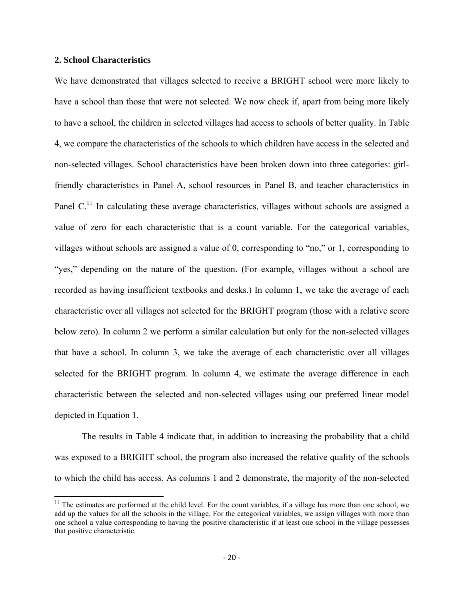### **2. School Characteristics**

We have demonstrated that villages selected to receive a BRIGHT school were more likely to have a school than those that were not selected. We now check if, apart from being more likely to have a school, the children in selected villages had access to schools of better quality. In Table 4, we compare the characteristics of the schools to which children have access in the selected and non-selected villages. School characteristics have been broken down into three categories: girlfriendly characteristics in Panel A, school resources in Panel B, and teacher characteristics in Panel C.<sup>11</sup> In calculating these average characteristics, villages without schools are assigned a value of zero for each characteristic that is a count variable. For the categorical variables, villages without schools are assigned a value of 0, corresponding to "no," or 1, corresponding to "yes," depending on the nature of the question. (For example, villages without a school are recorded as having insufficient textbooks and desks.) In column 1, we take the average of each characteristic over all villages not selected for the BRIGHT program (those with a relative score below zero). In column 2 we perform a similar calculation but only for the non-selected villages that have a school. In column 3, we take the average of each characteristic over all villages selected for the BRIGHT program. In column 4, we estimate the average difference in each characteristic between the selected and non-selected villages using our preferred linear model depicted in Equation 1.

 The results in Table 4 indicate that, in addition to increasing the probability that a child was exposed to a BRIGHT school, the program also increased the relative quality of the schools to which the child has access. As columns 1 and 2 demonstrate, the majority of the non-selected

 $11$  The estimates are performed at the child level. For the count variables, if a village has more than one school, we add up the values for all the schools in the village. For the categorical variables, we assign villages with more than one school a value corresponding to having the positive characteristic if at least one school in the village possesses that positive characteristic.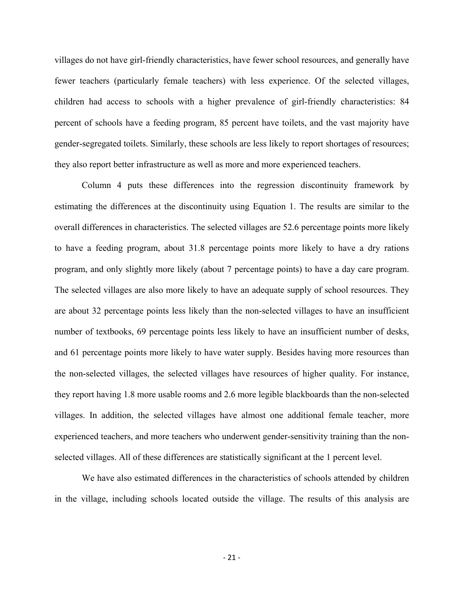villages do not have girl-friendly characteristics, have fewer school resources, and generally have fewer teachers (particularly female teachers) with less experience. Of the selected villages, children had access to schools with a higher prevalence of girl-friendly characteristics: 84 percent of schools have a feeding program, 85 percent have toilets, and the vast majority have gender-segregated toilets. Similarly, these schools are less likely to report shortages of resources; they also report better infrastructure as well as more and more experienced teachers.

 Column 4 puts these differences into the regression discontinuity framework by estimating the differences at the discontinuity using Equation 1. The results are similar to the overall differences in characteristics. The selected villages are 52.6 percentage points more likely to have a feeding program, about 31.8 percentage points more likely to have a dry rations program, and only slightly more likely (about 7 percentage points) to have a day care program. The selected villages are also more likely to have an adequate supply of school resources. They are about 32 percentage points less likely than the non-selected villages to have an insufficient number of textbooks, 69 percentage points less likely to have an insufficient number of desks, and 61 percentage points more likely to have water supply. Besides having more resources than the non-selected villages, the selected villages have resources of higher quality. For instance, they report having 1.8 more usable rooms and 2.6 more legible blackboards than the non-selected villages. In addition, the selected villages have almost one additional female teacher, more experienced teachers, and more teachers who underwent gender-sensitivity training than the nonselected villages. All of these differences are statistically significant at the 1 percent level.

 We have also estimated differences in the characteristics of schools attended by children in the village, including schools located outside the village. The results of this analysis are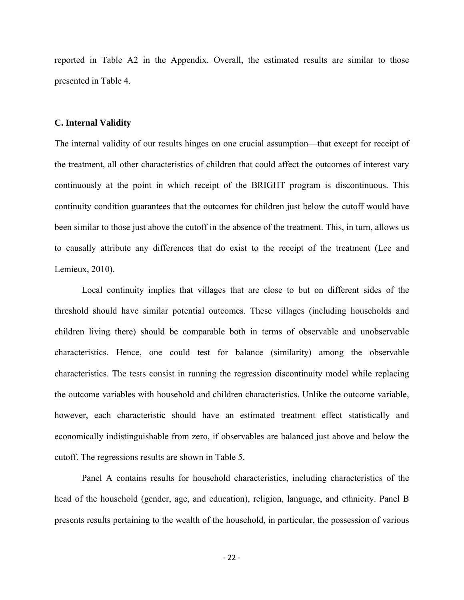reported in Table A2 in the Appendix. Overall, the estimated results are similar to those presented in Table 4.

#### **C. Internal Validity**

The internal validity of our results hinges on one crucial assumption—that except for receipt of the treatment, all other characteristics of children that could affect the outcomes of interest vary continuously at the point in which receipt of the BRIGHT program is discontinuous. This continuity condition guarantees that the outcomes for children just below the cutoff would have been similar to those just above the cutoff in the absence of the treatment. This, in turn, allows us to causally attribute any differences that do exist to the receipt of the treatment (Lee and Lemieux, 2010).

Local continuity implies that villages that are close to but on different sides of the threshold should have similar potential outcomes. These villages (including households and children living there) should be comparable both in terms of observable and unobservable characteristics. Hence, one could test for balance (similarity) among the observable characteristics. The tests consist in running the regression discontinuity model while replacing the outcome variables with household and children characteristics. Unlike the outcome variable, however, each characteristic should have an estimated treatment effect statistically and economically indistinguishable from zero, if observables are balanced just above and below the cutoff. The regressions results are shown in Table 5.

Panel A contains results for household characteristics, including characteristics of the head of the household (gender, age, and education), religion, language, and ethnicity. Panel B presents results pertaining to the wealth of the household, in particular, the possession of various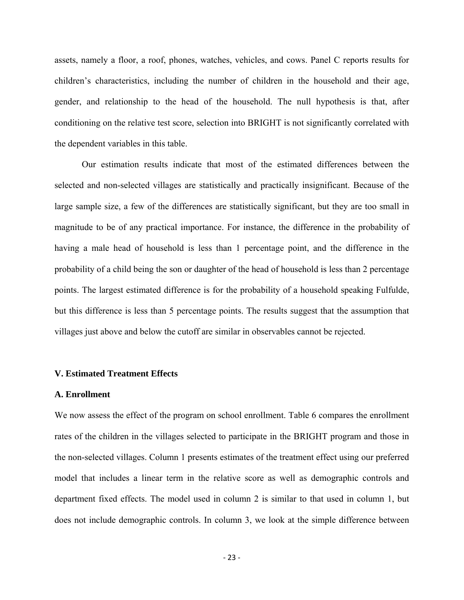assets, namely a floor, a roof, phones, watches, vehicles, and cows. Panel C reports results for children's characteristics, including the number of children in the household and their age, gender, and relationship to the head of the household. The null hypothesis is that, after conditioning on the relative test score, selection into BRIGHT is not significantly correlated with the dependent variables in this table.

 Our estimation results indicate that most of the estimated differences between the selected and non-selected villages are statistically and practically insignificant. Because of the large sample size, a few of the differences are statistically significant, but they are too small in magnitude to be of any practical importance. For instance, the difference in the probability of having a male head of household is less than 1 percentage point, and the difference in the probability of a child being the son or daughter of the head of household is less than 2 percentage points. The largest estimated difference is for the probability of a household speaking Fulfulde, but this difference is less than 5 percentage points. The results suggest that the assumption that villages just above and below the cutoff are similar in observables cannot be rejected.

#### **V. Estimated Treatment Effects**

#### **A. Enrollment**

We now assess the effect of the program on school enrollment. Table 6 compares the enrollment rates of the children in the villages selected to participate in the BRIGHT program and those in the non-selected villages. Column 1 presents estimates of the treatment effect using our preferred model that includes a linear term in the relative score as well as demographic controls and department fixed effects. The model used in column 2 is similar to that used in column 1, but does not include demographic controls. In column 3, we look at the simple difference between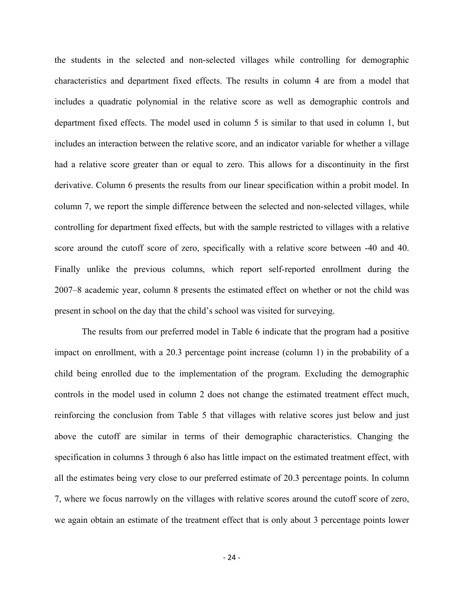the students in the selected and non-selected villages while controlling for demographic characteristics and department fixed effects. The results in column 4 are from a model that includes a quadratic polynomial in the relative score as well as demographic controls and department fixed effects. The model used in column 5 is similar to that used in column 1, but includes an interaction between the relative score, and an indicator variable for whether a village had a relative score greater than or equal to zero. This allows for a discontinuity in the first derivative. Column 6 presents the results from our linear specification within a probit model. In column 7, we report the simple difference between the selected and non-selected villages, while controlling for department fixed effects, but with the sample restricted to villages with a relative score around the cutoff score of zero, specifically with a relative score between -40 and 40. Finally unlike the previous columns, which report self-reported enrollment during the 2007–8 academic year, column 8 presents the estimated effect on whether or not the child was present in school on the day that the child's school was visited for surveying.

 The results from our preferred model in Table 6 indicate that the program had a positive impact on enrollment, with a 20.3 percentage point increase (column 1) in the probability of a child being enrolled due to the implementation of the program. Excluding the demographic controls in the model used in column 2 does not change the estimated treatment effect much, reinforcing the conclusion from Table 5 that villages with relative scores just below and just above the cutoff are similar in terms of their demographic characteristics. Changing the specification in columns 3 through 6 also has little impact on the estimated treatment effect, with all the estimates being very close to our preferred estimate of 20.3 percentage points. In column 7, where we focus narrowly on the villages with relative scores around the cutoff score of zero, we again obtain an estimate of the treatment effect that is only about 3 percentage points lower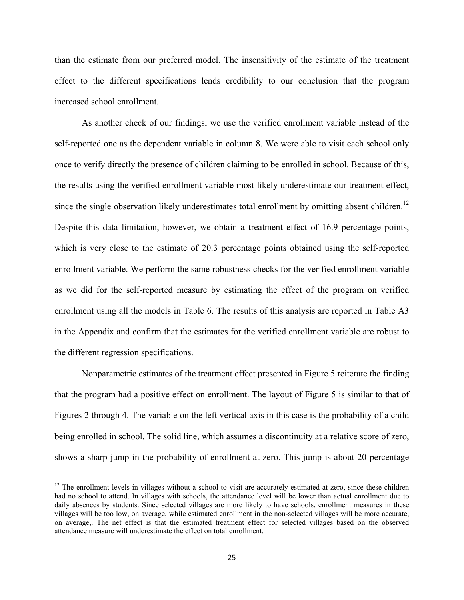than the estimate from our preferred model. The insensitivity of the estimate of the treatment effect to the different specifications lends credibility to our conclusion that the program increased school enrollment.

As another check of our findings, we use the verified enrollment variable instead of the self-reported one as the dependent variable in column 8. We were able to visit each school only once to verify directly the presence of children claiming to be enrolled in school. Because of this, the results using the verified enrollment variable most likely underestimate our treatment effect, since the single observation likely underestimates total enrollment by omitting absent children.<sup>12</sup> Despite this data limitation, however, we obtain a treatment effect of 16.9 percentage points, which is very close to the estimate of 20.3 percentage points obtained using the self-reported enrollment variable. We perform the same robustness checks for the verified enrollment variable as we did for the self-reported measure by estimating the effect of the program on verified enrollment using all the models in Table 6. The results of this analysis are reported in Table A3 in the Appendix and confirm that the estimates for the verified enrollment variable are robust to the different regression specifications.

Nonparametric estimates of the treatment effect presented in Figure 5 reiterate the finding that the program had a positive effect on enrollment. The layout of Figure 5 is similar to that of Figures 2 through 4. The variable on the left vertical axis in this case is the probability of a child being enrolled in school. The solid line, which assumes a discontinuity at a relative score of zero, shows a sharp jump in the probability of enrollment at zero. This jump is about 20 percentage

 $12$  The enrollment levels in villages without a school to visit are accurately estimated at zero, since these children had no school to attend. In villages with schools, the attendance level will be lower than actual enrollment due to daily absences by students. Since selected villages are more likely to have schools, enrollment measures in these villages will be too low, on average, while estimated enrollment in the non-selected villages will be more accurate, on average,. The net effect is that the estimated treatment effect for selected villages based on the observed attendance measure will underestimate the effect on total enrollment.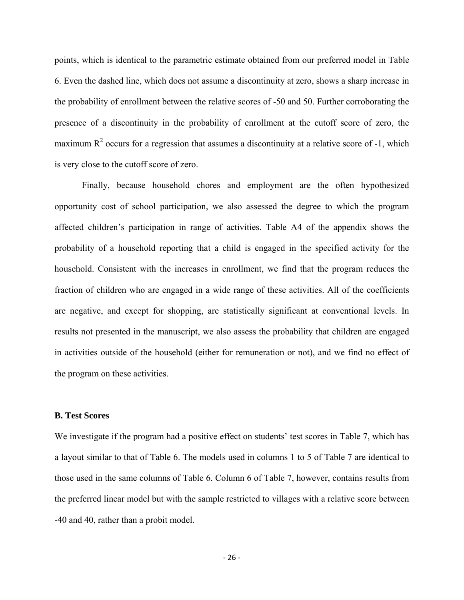points, which is identical to the parametric estimate obtained from our preferred model in Table 6. Even the dashed line, which does not assume a discontinuity at zero, shows a sharp increase in the probability of enrollment between the relative scores of -50 and 50. Further corroborating the presence of a discontinuity in the probability of enrollment at the cutoff score of zero, the maximum  $R<sup>2</sup>$  occurs for a regression that assumes a discontinuity at a relative score of -1, which is very close to the cutoff score of zero.

 Finally, because household chores and employment are the often hypothesized opportunity cost of school participation, we also assessed the degree to which the program affected children's participation in range of activities. Table A4 of the appendix shows the probability of a household reporting that a child is engaged in the specified activity for the household. Consistent with the increases in enrollment, we find that the program reduces the fraction of children who are engaged in a wide range of these activities. All of the coefficients are negative, and except for shopping, are statistically significant at conventional levels. In results not presented in the manuscript, we also assess the probability that children are engaged in activities outside of the household (either for remuneration or not), and we find no effect of the program on these activities.

### **B. Test Scores**

We investigate if the program had a positive effect on students' test scores in Table 7, which has a layout similar to that of Table 6. The models used in columns 1 to 5 of Table 7 are identical to those used in the same columns of Table 6. Column 6 of Table 7, however, contains results from the preferred linear model but with the sample restricted to villages with a relative score between -40 and 40, rather than a probit model.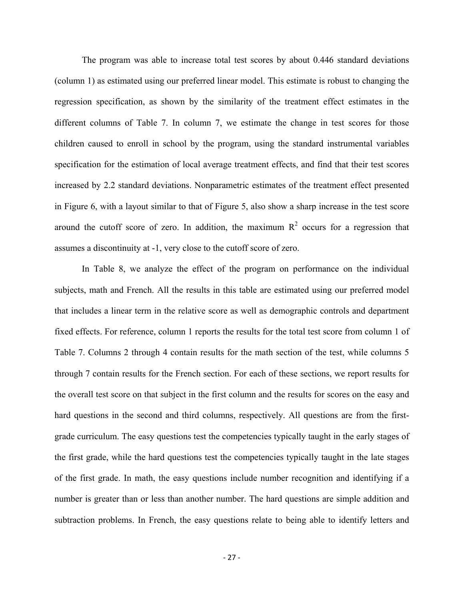The program was able to increase total test scores by about 0.446 standard deviations (column 1) as estimated using our preferred linear model. This estimate is robust to changing the regression specification, as shown by the similarity of the treatment effect estimates in the different columns of Table 7. In column 7, we estimate the change in test scores for those children caused to enroll in school by the program, using the standard instrumental variables specification for the estimation of local average treatment effects, and find that their test scores increased by 2.2 standard deviations. Nonparametric estimates of the treatment effect presented in Figure 6, with a layout similar to that of Figure 5, also show a sharp increase in the test score around the cutoff score of zero. In addition, the maximum  $R<sup>2</sup>$  occurs for a regression that assumes a discontinuity at -1, very close to the cutoff score of zero.

In Table 8, we analyze the effect of the program on performance on the individual subjects, math and French. All the results in this table are estimated using our preferred model that includes a linear term in the relative score as well as demographic controls and department fixed effects. For reference, column 1 reports the results for the total test score from column 1 of Table 7. Columns 2 through 4 contain results for the math section of the test, while columns 5 through 7 contain results for the French section. For each of these sections, we report results for the overall test score on that subject in the first column and the results for scores on the easy and hard questions in the second and third columns, respectively. All questions are from the firstgrade curriculum. The easy questions test the competencies typically taught in the early stages of the first grade, while the hard questions test the competencies typically taught in the late stages of the first grade. In math, the easy questions include number recognition and identifying if a number is greater than or less than another number. The hard questions are simple addition and subtraction problems. In French, the easy questions relate to being able to identify letters and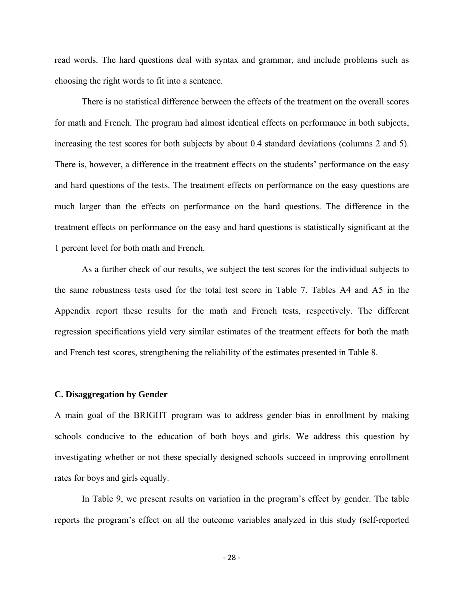read words. The hard questions deal with syntax and grammar, and include problems such as choosing the right words to fit into a sentence.

There is no statistical difference between the effects of the treatment on the overall scores for math and French. The program had almost identical effects on performance in both subjects, increasing the test scores for both subjects by about 0.4 standard deviations (columns 2 and 5). There is, however, a difference in the treatment effects on the students' performance on the easy and hard questions of the tests. The treatment effects on performance on the easy questions are much larger than the effects on performance on the hard questions. The difference in the treatment effects on performance on the easy and hard questions is statistically significant at the 1 percent level for both math and French.

As a further check of our results, we subject the test scores for the individual subjects to the same robustness tests used for the total test score in Table 7. Tables A4 and A5 in the Appendix report these results for the math and French tests, respectively. The different regression specifications yield very similar estimates of the treatment effects for both the math and French test scores, strengthening the reliability of the estimates presented in Table 8.

#### **C. Disaggregation by Gender**

A main goal of the BRIGHT program was to address gender bias in enrollment by making schools conducive to the education of both boys and girls. We address this question by investigating whether or not these specially designed schools succeed in improving enrollment rates for boys and girls equally.

 In Table 9, we present results on variation in the program's effect by gender. The table reports the program's effect on all the outcome variables analyzed in this study (self-reported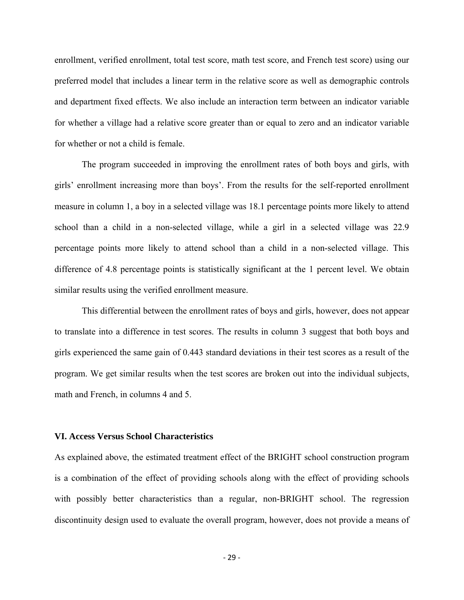enrollment, verified enrollment, total test score, math test score, and French test score) using our preferred model that includes a linear term in the relative score as well as demographic controls and department fixed effects. We also include an interaction term between an indicator variable for whether a village had a relative score greater than or equal to zero and an indicator variable for whether or not a child is female.

 The program succeeded in improving the enrollment rates of both boys and girls, with girls' enrollment increasing more than boys'. From the results for the self-reported enrollment measure in column 1, a boy in a selected village was 18.1 percentage points more likely to attend school than a child in a non-selected village, while a girl in a selected village was 22.9 percentage points more likely to attend school than a child in a non-selected village. This difference of 4.8 percentage points is statistically significant at the 1 percent level. We obtain similar results using the verified enrollment measure.

This differential between the enrollment rates of boys and girls, however, does not appear to translate into a difference in test scores. The results in column 3 suggest that both boys and girls experienced the same gain of 0.443 standard deviations in their test scores as a result of the program. We get similar results when the test scores are broken out into the individual subjects, math and French, in columns 4 and 5.

### **VI. Access Versus School Characteristics**

As explained above, the estimated treatment effect of the BRIGHT school construction program is a combination of the effect of providing schools along with the effect of providing schools with possibly better characteristics than a regular, non-BRIGHT school. The regression discontinuity design used to evaluate the overall program, however, does not provide a means of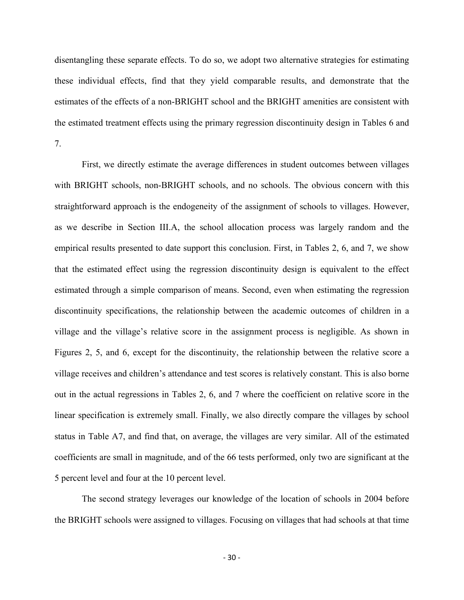disentangling these separate effects. To do so, we adopt two alternative strategies for estimating these individual effects, find that they yield comparable results, and demonstrate that the estimates of the effects of a non-BRIGHT school and the BRIGHT amenities are consistent with the estimated treatment effects using the primary regression discontinuity design in Tables 6 and 7.

First, we directly estimate the average differences in student outcomes between villages with BRIGHT schools, non-BRIGHT schools, and no schools. The obvious concern with this straightforward approach is the endogeneity of the assignment of schools to villages. However, as we describe in Section III.A, the school allocation process was largely random and the empirical results presented to date support this conclusion. First, in Tables 2, 6, and 7, we show that the estimated effect using the regression discontinuity design is equivalent to the effect estimated through a simple comparison of means. Second, even when estimating the regression discontinuity specifications, the relationship between the academic outcomes of children in a village and the village's relative score in the assignment process is negligible. As shown in Figures 2, 5, and 6, except for the discontinuity, the relationship between the relative score a village receives and children's attendance and test scores is relatively constant. This is also borne out in the actual regressions in Tables 2, 6, and 7 where the coefficient on relative score in the linear specification is extremely small. Finally, we also directly compare the villages by school status in Table A7, and find that, on average, the villages are very similar. All of the estimated coefficients are small in magnitude, and of the 66 tests performed, only two are significant at the 5 percent level and four at the 10 percent level.

The second strategy leverages our knowledge of the location of schools in 2004 before the BRIGHT schools were assigned to villages. Focusing on villages that had schools at that time

‐ 30 ‐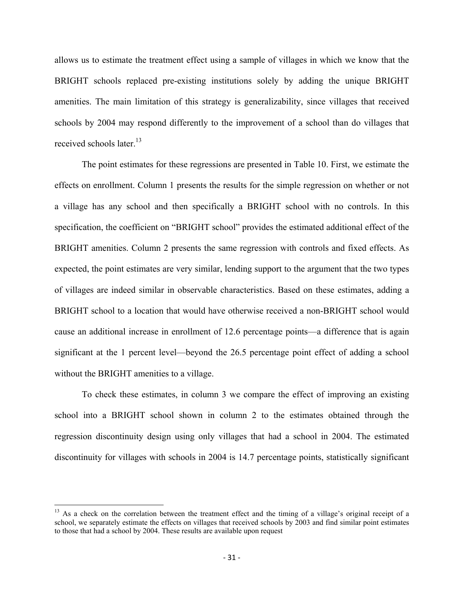allows us to estimate the treatment effect using a sample of villages in which we know that the BRIGHT schools replaced pre-existing institutions solely by adding the unique BRIGHT amenities. The main limitation of this strategy is generalizability, since villages that received schools by 2004 may respond differently to the improvement of a school than do villages that received schools later.<sup>13</sup>

The point estimates for these regressions are presented in Table 10. First, we estimate the effects on enrollment. Column 1 presents the results for the simple regression on whether or not a village has any school and then specifically a BRIGHT school with no controls. In this specification, the coefficient on "BRIGHT school" provides the estimated additional effect of the BRIGHT amenities. Column 2 presents the same regression with controls and fixed effects. As expected, the point estimates are very similar, lending support to the argument that the two types of villages are indeed similar in observable characteristics. Based on these estimates, adding a BRIGHT school to a location that would have otherwise received a non-BRIGHT school would cause an additional increase in enrollment of 12.6 percentage points—a difference that is again significant at the 1 percent level—beyond the 26.5 percentage point effect of adding a school without the BRIGHT amenities to a village.

To check these estimates, in column 3 we compare the effect of improving an existing school into a BRIGHT school shown in column 2 to the estimates obtained through the regression discontinuity design using only villages that had a school in 2004. The estimated discontinuity for villages with schools in 2004 is 14.7 percentage points, statistically significant

<sup>&</sup>lt;sup>13</sup> As a check on the correlation between the treatment effect and the timing of a village's original receipt of a school, we separately estimate the effects on villages that received schools by 2003 and find similar point estimates to those that had a school by 2004. These results are available upon request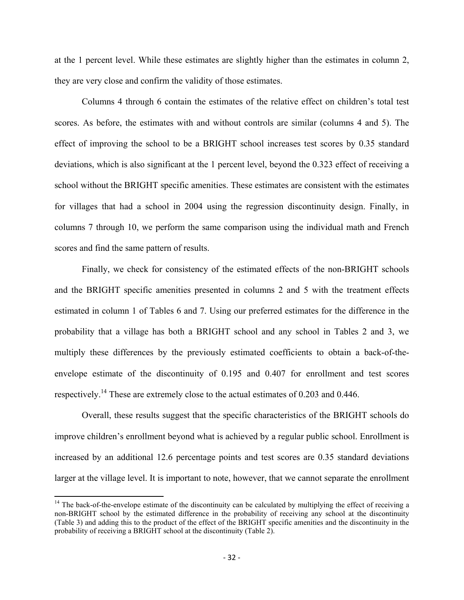at the 1 percent level. While these estimates are slightly higher than the estimates in column 2, they are very close and confirm the validity of those estimates.

Columns 4 through 6 contain the estimates of the relative effect on children's total test scores. As before, the estimates with and without controls are similar (columns 4 and 5). The effect of improving the school to be a BRIGHT school increases test scores by 0.35 standard deviations, which is also significant at the 1 percent level, beyond the 0.323 effect of receiving a school without the BRIGHT specific amenities. These estimates are consistent with the estimates for villages that had a school in 2004 using the regression discontinuity design. Finally, in columns 7 through 10, we perform the same comparison using the individual math and French scores and find the same pattern of results.

Finally, we check for consistency of the estimated effects of the non-BRIGHT schools and the BRIGHT specific amenities presented in columns 2 and 5 with the treatment effects estimated in column 1 of Tables 6 and 7. Using our preferred estimates for the difference in the probability that a village has both a BRIGHT school and any school in Tables 2 and 3, we multiply these differences by the previously estimated coefficients to obtain a back-of-theenvelope estimate of the discontinuity of 0.195 and 0.407 for enrollment and test scores respectively.<sup>14</sup> These are extremely close to the actual estimates of 0.203 and 0.446.

Overall, these results suggest that the specific characteristics of the BRIGHT schools do improve children's enrollment beyond what is achieved by a regular public school. Enrollment is increased by an additional 12.6 percentage points and test scores are 0.35 standard deviations larger at the village level. It is important to note, however, that we cannot separate the enrollment

 $14$  The back-of-the-envelope estimate of the discontinuity can be calculated by multiplying the effect of receiving a non-BRIGHT school by the estimated difference in the probability of receiving any school at the discontinuity (Table 3) and adding this to the product of the effect of the BRIGHT specific amenities and the discontinuity in the probability of receiving a BRIGHT school at the discontinuity (Table 2).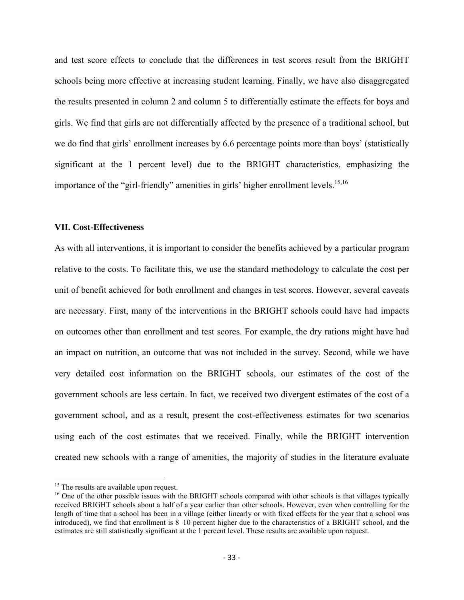and test score effects to conclude that the differences in test scores result from the BRIGHT schools being more effective at increasing student learning. Finally, we have also disaggregated the results presented in column 2 and column 5 to differentially estimate the effects for boys and girls. We find that girls are not differentially affected by the presence of a traditional school, but we do find that girls' enrollment increases by 6.6 percentage points more than boys' (statistically significant at the 1 percent level) due to the BRIGHT characteristics, emphasizing the importance of the "girl-friendly" amenities in girls' higher enrollment levels.<sup>15,16</sup>

#### **VII. Cost-Effectiveness**

As with all interventions, it is important to consider the benefits achieved by a particular program relative to the costs. To facilitate this, we use the standard methodology to calculate the cost per unit of benefit achieved for both enrollment and changes in test scores. However, several caveats are necessary. First, many of the interventions in the BRIGHT schools could have had impacts on outcomes other than enrollment and test scores. For example, the dry rations might have had an impact on nutrition, an outcome that was not included in the survey. Second, while we have very detailed cost information on the BRIGHT schools, our estimates of the cost of the government schools are less certain. In fact, we received two divergent estimates of the cost of a government school, and as a result, present the cost-effectiveness estimates for two scenarios using each of the cost estimates that we received. Finally, while the BRIGHT intervention created new schools with a range of amenities, the majority of studies in the literature evaluate

<sup>&</sup>lt;sup>15</sup> The results are available upon request.

 $16$  One of the other possible issues with the BRIGHT schools compared with other schools is that villages typically received BRIGHT schools about a half of a year earlier than other schools. However, even when controlling for the length of time that a school has been in a village (either linearly or with fixed effects for the year that a school was introduced), we find that enrollment is 8–10 percent higher due to the characteristics of a BRIGHT school, and the estimates are still statistically significant at the 1 percent level. These results are available upon request.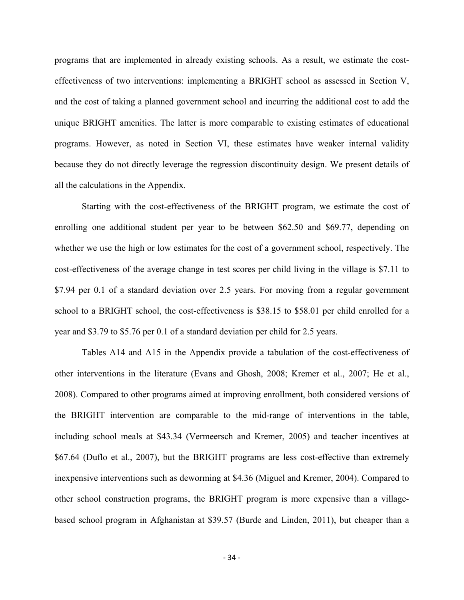programs that are implemented in already existing schools. As a result, we estimate the costeffectiveness of two interventions: implementing a BRIGHT school as assessed in Section V, and the cost of taking a planned government school and incurring the additional cost to add the unique BRIGHT amenities. The latter is more comparable to existing estimates of educational programs. However, as noted in Section VI, these estimates have weaker internal validity because they do not directly leverage the regression discontinuity design. We present details of all the calculations in the Appendix.

 Starting with the cost-effectiveness of the BRIGHT program, we estimate the cost of enrolling one additional student per year to be between \$62.50 and \$69.77, depending on whether we use the high or low estimates for the cost of a government school, respectively. The cost-effectiveness of the average change in test scores per child living in the village is \$7.11 to \$7.94 per 0.1 of a standard deviation over 2.5 years. For moving from a regular government school to a BRIGHT school, the cost-effectiveness is \$38.15 to \$58.01 per child enrolled for a year and \$3.79 to \$5.76 per 0.1 of a standard deviation per child for 2.5 years.

 Tables A14 and A15 in the Appendix provide a tabulation of the cost-effectiveness of other interventions in the literature (Evans and Ghosh, 2008; Kremer et al., 2007; He et al., 2008). Compared to other programs aimed at improving enrollment, both considered versions of the BRIGHT intervention are comparable to the mid-range of interventions in the table, including school meals at \$43.34 (Vermeersch and Kremer, 2005) and teacher incentives at \$67.64 (Duflo et al., 2007), but the BRIGHT programs are less cost-effective than extremely inexpensive interventions such as deworming at \$4.36 (Miguel and Kremer, 2004). Compared to other school construction programs, the BRIGHT program is more expensive than a villagebased school program in Afghanistan at \$39.57 (Burde and Linden, 2011), but cheaper than a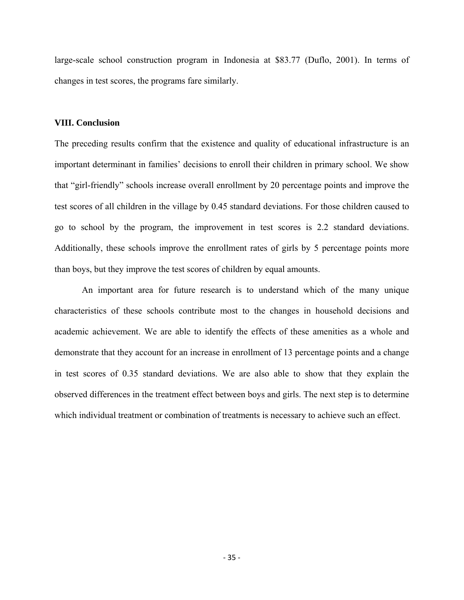large-scale school construction program in Indonesia at \$83.77 (Duflo, 2001). In terms of changes in test scores, the programs fare similarly.

### **VIII. Conclusion**

The preceding results confirm that the existence and quality of educational infrastructure is an important determinant in families' decisions to enroll their children in primary school. We show that "girl-friendly" schools increase overall enrollment by 20 percentage points and improve the test scores of all children in the village by 0.45 standard deviations. For those children caused to go to school by the program, the improvement in test scores is 2.2 standard deviations. Additionally, these schools improve the enrollment rates of girls by 5 percentage points more than boys, but they improve the test scores of children by equal amounts.

 An important area for future research is to understand which of the many unique characteristics of these schools contribute most to the changes in household decisions and academic achievement. We are able to identify the effects of these amenities as a whole and demonstrate that they account for an increase in enrollment of 13 percentage points and a change in test scores of 0.35 standard deviations. We are also able to show that they explain the observed differences in the treatment effect between boys and girls. The next step is to determine which individual treatment or combination of treatments is necessary to achieve such an effect.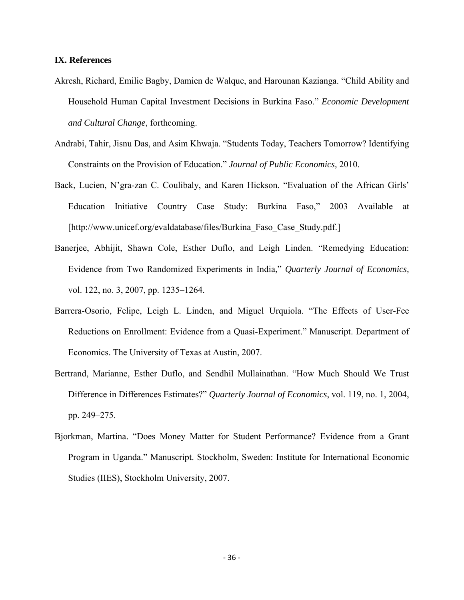# **IX. References**

- Akresh, Richard, Emilie Bagby, Damien de Walque, and Harounan Kazianga. "Child Ability and Household Human Capital Investment Decisions in Burkina Faso." *Economic Development and Cultural Change*, forthcoming.
- Andrabi, Tahir, Jisnu Das, and Asim Khwaja. "Students Today, Teachers Tomorrow? Identifying Constraints on the Provision of Education." *Journal of Public Economics,* 2010.
- Back, Lucien, N'gra-zan C. Coulibaly, and Karen Hickson. "Evaluation of the African Girls' Education Initiative Country Case Study: Burkina Faso," 2003 Available at [http://www.unicef.org/evaldatabase/files/Burkina Faso Case Study.pdf.]
- Banerjee, Abhijit, Shawn Cole, Esther Duflo, and Leigh Linden. "Remedying Education: Evidence from Two Randomized Experiments in India," *Quarterly Journal of Economics,* vol. 122, no. 3, 2007, pp. 1235–1264.
- Barrera-Osorio, Felipe, Leigh L. Linden, and Miguel Urquiola. "The Effects of User-Fee Reductions on Enrollment: Evidence from a Quasi-Experiment." Manuscript. Department of Economics. The University of Texas at Austin, 2007.
- Bertrand, Marianne, Esther Duflo, and Sendhil Mullainathan. "How Much Should We Trust Difference in Differences Estimates?" *Quarterly Journal of Economics*, vol. 119, no. 1, 2004, pp. 249–275.
- Bjorkman, Martina. "Does Money Matter for Student Performance? Evidence from a Grant Program in Uganda." Manuscript. Stockholm, Sweden: Institute for International Economic Studies (IIES), Stockholm University, 2007.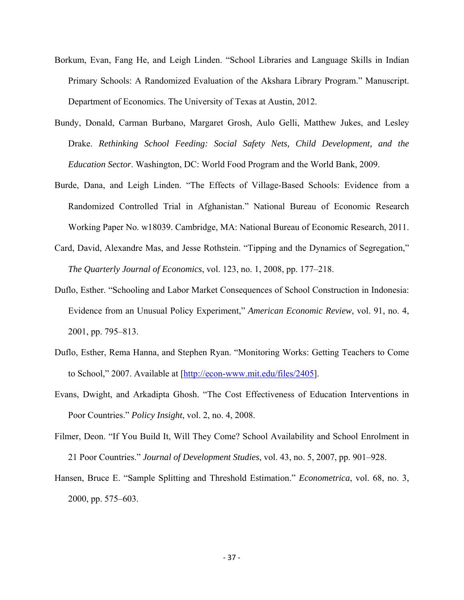- Borkum, Evan, Fang He, and Leigh Linden. "School Libraries and Language Skills in Indian Primary Schools: A Randomized Evaluation of the Akshara Library Program." Manuscript. Department of Economics. The University of Texas at Austin, 2012.
- Bundy, Donald, Carman Burbano, Margaret Grosh, Aulo Gelli, Matthew Jukes, and Lesley Drake. *Rethinking School Feeding: Social Safety Nets, Child Development, and the Education Sector*. Washington, DC: World Food Program and the World Bank, 2009.
- Burde, Dana, and Leigh Linden. "The Effects of Village-Based Schools: Evidence from a Randomized Controlled Trial in Afghanistan." National Bureau of Economic Research Working Paper No. w18039. Cambridge, MA: National Bureau of Economic Research, 2011.
- Card, David, Alexandre Mas, and Jesse Rothstein. "Tipping and the Dynamics of Segregation," *The Quarterly Journal of Economics*, vol. 123, no. 1, 2008, pp. 177–218.
- Duflo, Esther. "Schooling and Labor Market Consequences of School Construction in Indonesia: Evidence from an Unusual Policy Experiment," *American Economic Review*, vol. 91, no. 4, 2001, pp. 795–813.
- Duflo, Esther, Rema Hanna, and Stephen Ryan. "Monitoring Works: Getting Teachers to Come to School," 2007. Available at [http://econ-www.mit.edu/files/2405].
- Evans, Dwight, and Arkadipta Ghosh. "The Cost Effectiveness of Education Interventions in Poor Countries." *Policy Insight*, vol. 2, no. 4, 2008.
- Filmer, Deon. "If You Build It, Will They Come? School Availability and School Enrolment in 21 Poor Countries." *Journal of Development Studies*, vol. 43, no. 5, 2007, pp. 901–928.
- Hansen, Bruce E. "Sample Splitting and Threshold Estimation." *Econometrica*, vol. 68, no. 3, 2000, pp. 575–603.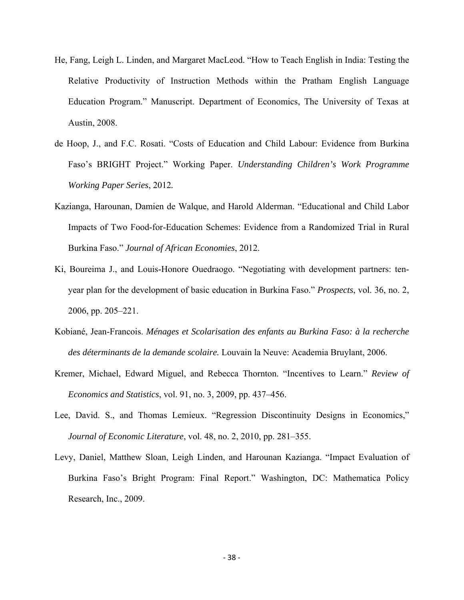- He, Fang, Leigh L. Linden, and Margaret MacLeod. "How to Teach English in India: Testing the Relative Productivity of Instruction Methods within the Pratham English Language Education Program." Manuscript. Department of Economics, The University of Texas at Austin, 2008.
- de Hoop, J., and F.C. Rosati. "Costs of Education and Child Labour: Evidence from Burkina Faso's BRIGHT Project." Working Paper. *Understanding Children's Work Programme Working Paper Series*, 2012*.*
- Kazianga, Harounan, Damien de Walque, and Harold Alderman. "Educational and Child Labor Impacts of Two Food-for-Education Schemes: Evidence from a Randomized Trial in Rural Burkina Faso." *Journal of African Economies*, 2012.
- Ki, Boureima J., and Louis-Honore Ouedraogo. "Negotiating with development partners: tenyear plan for the development of basic education in Burkina Faso." *Prospects*, vol. 36, no. 2, 2006, pp. 205–221.
- Kobiané, Jean-Francois. *Ménages et Scolarisation des enfants au Burkina Faso: à la recherche des déterminants de la demande scolaire.* Louvain la Neuve: Academia Bruylant, 2006.
- Kremer, Michael, Edward Miguel, and Rebecca Thornton. "Incentives to Learn." *Review of Economics and Statistics*, vol. 91, no. 3, 2009, pp. 437–456.
- Lee, David. S., and Thomas Lemieux. "Regression Discontinuity Designs in Economics," *Journal of Economic Literature*, vol. 48, no. 2, 2010, pp. 281–355.
- Levy, Daniel, Matthew Sloan, Leigh Linden, and Harounan Kazianga. "Impact Evaluation of Burkina Faso's Bright Program: Final Report." Washington, DC: Mathematica Policy Research, Inc., 2009.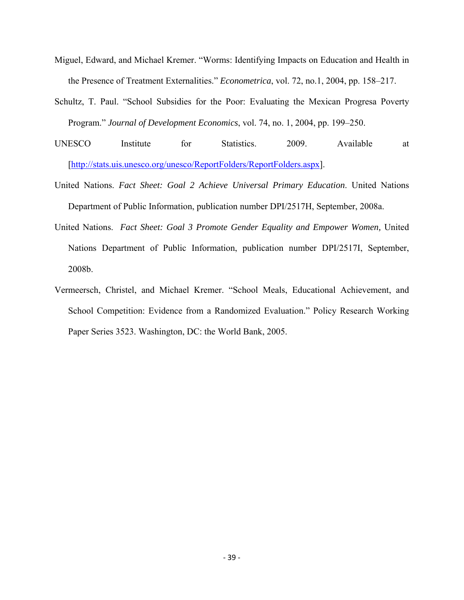- Miguel, Edward, and Michael Kremer. "Worms: Identifying Impacts on Education and Health in the Presence of Treatment Externalities." *Econometrica*, vol. 72, no.1, 2004, pp. 158–217.
- Schultz, T. Paul. "School Subsidies for the Poor: Evaluating the Mexican Progresa Poverty Program." *Journal of Development Economics*, vol. 74, no. 1, 2004, pp. 199–250.
- UNESCO Institute for Statistics. 2009. Available at [http://stats.uis.unesco.org/unesco/ReportFolders/ReportFolders.aspx].
- United Nations. *Fact Sheet: Goal 2 Achieve Universal Primary Education*. United Nations Department of Public Information, publication number DPI/2517H, September, 2008a.
- United Nations. *Fact Sheet: Goal 3 Promote Gender Equality and Empower Women,* United Nations Department of Public Information, publication number DPI/2517I, September, 2008b.
- Vermeersch, Christel, and Michael Kremer. "School Meals, Educational Achievement, and School Competition: Evidence from a Randomized Evaluation." Policy Research Working Paper Series 3523. Washington, DC: the World Bank, 2005.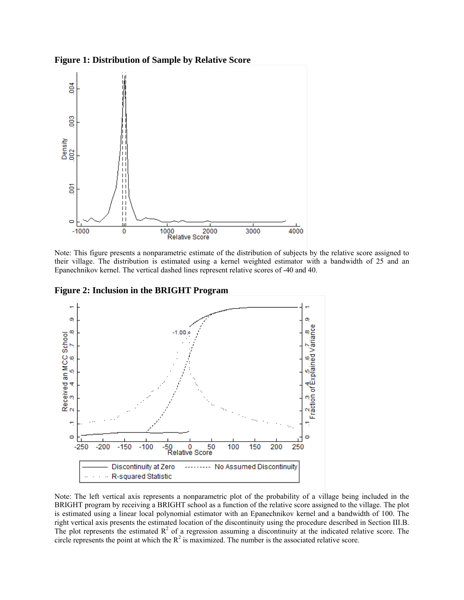



Note: This figure presents a nonparametric estimate of the distribution of subjects by the relative score assigned to their village. The distribution is estimated using a kernel weighted estimator with a bandwidth of 25 and an Epanechnikov kernel. The vertical dashed lines represent relative scores of -40 and 40.

**Figure 2: Inclusion in the BRIGHT Program** 



Note: The left vertical axis represents a nonparametric plot of the probability of a village being included in the BRIGHT program by receiving a BRIGHT school as a function of the relative score assigned to the village. The plot is estimated using a linear local polynomial estimator with an Epanechnikov kernel and a bandwidth of 100. The right vertical axis presents the estimated location of the discontinuity using the procedure described in Section III.B. The plot represents the estimated  $\mathbb{R}^2$  of a regression assuming a discontinuity at the indicated relative score. The circle represents the point at which the  $R^2$  is maximized. The number is the associated relative score.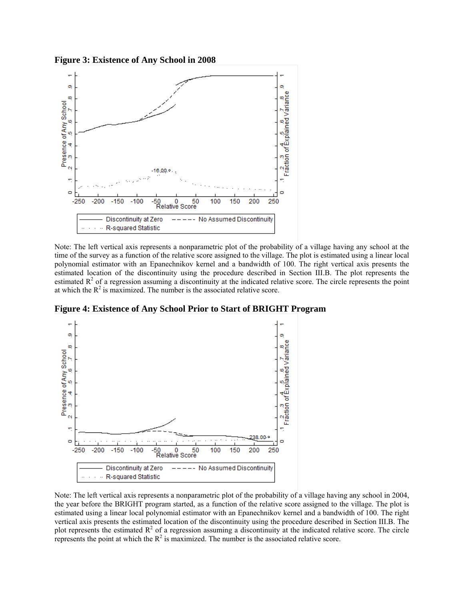**Figure 3: Existence of Any School in 2008** 



Note: The left vertical axis represents a nonparametric plot of the probability of a village having any school at the time of the survey as a function of the relative score assigned to the village. The plot is estimated using a linear local polynomial estimator with an Epanechnikov kernel and a bandwidth of 100. The right vertical axis presents the estimated location of the discontinuity using the procedure described in Section III.B. The plot represents the estimated  $\mathbb{R}^2$  of a regression assuming a discontinuity at the indicated relative score. The circle represents the point at which the  $R^2$  is maximized. The number is the associated relative score.

**Figure 4: Existence of Any School Prior to Start of BRIGHT Program** 

![](_page_43_Figure_4.jpeg)

Note: The left vertical axis represents a nonparametric plot of the probability of a village having any school in 2004, the year before the BRIGHT program started, as a function of the relative score assigned to the village. The plot is estimated using a linear local polynomial estimator with an Epanechnikov kernel and a bandwidth of 100. The right vertical axis presents the estimated location of the discontinuity using the procedure described in Section III.B. The plot represents the estimated  $R^2$  of a regression assuming a discontinuity at the indicated relative score. The circle represents the point at which the  $R^2$  is maximized. The number is the associated relative score.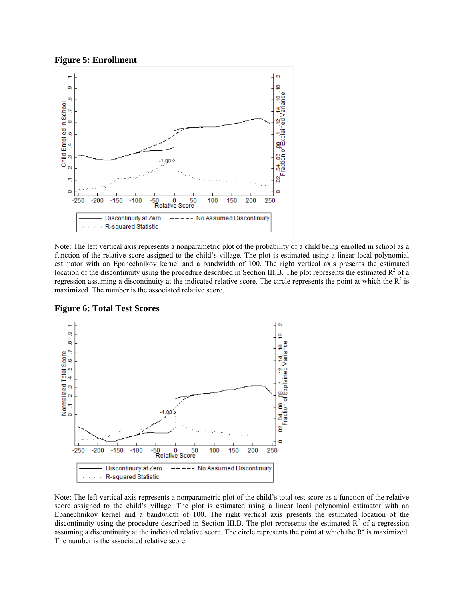![](_page_44_Figure_0.jpeg)

![](_page_44_Figure_1.jpeg)

Note: The left vertical axis represents a nonparametric plot of the probability of a child being enrolled in school as a function of the relative score assigned to the child's village. The plot is estimated using a linear local polynomial estimator with an Epanechnikov kernel and a bandwidth of 100. The right vertical axis presents the estimated location of the discontinuity using the procedure described in Section III.B. The plot represents the estimated  $R^2$  of a regression assuming a discontinuity at the indicated relative score. The circle represents the point at which the  $R^2$  is maximized. The number is the associated relative score.

![](_page_44_Figure_3.jpeg)

**Figure 6: Total Test Scores** 

Note: The left vertical axis represents a nonparametric plot of the child's total test score as a function of the relative score assigned to the child's village. The plot is estimated using a linear local polynomial estimator with an Epanechnikov kernel and a bandwidth of 100. The right vertical axis presents the estimated location of the discontinuity using the procedure described in Section III.B. The plot represents the estimated  $\mathbb{R}^2$  of a regression assuming a discontinuity at the indicated relative score. The circle represents the point at which the  $R^2$  is maximized. The number is the associated relative score.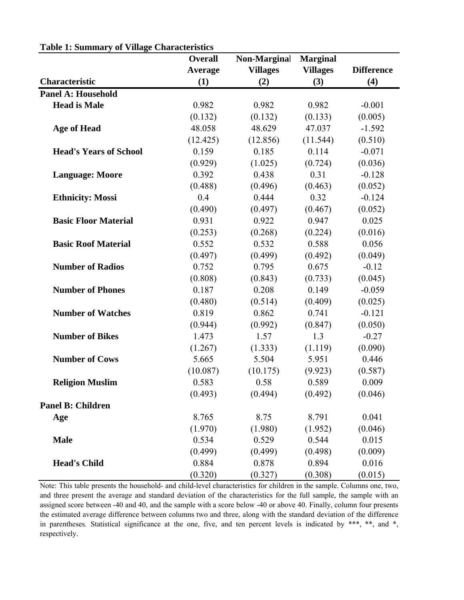|                               | <b>Overall</b> | <b>Non-Marginal</b> | <b>Marginal</b> |                   |
|-------------------------------|----------------|---------------------|-----------------|-------------------|
|                               | <b>Average</b> | <b>Villages</b>     | <b>Villages</b> | <b>Difference</b> |
| <b>Characteristic</b>         | (1)            | (2)                 | (3)             | (4)               |
| <b>Panel A: Household</b>     |                |                     |                 |                   |
| <b>Head is Male</b>           | 0.982          | 0.982               | 0.982           | $-0.001$          |
|                               | (0.132)        | (0.132)             | (0.133)         | (0.005)           |
| <b>Age of Head</b>            | 48.058         | 48.629              | 47.037          | $-1.592$          |
|                               | (12.425)       | (12.856)            | (11.544)        | (0.510)           |
| <b>Head's Years of School</b> | 0.159          | 0.185               | 0.114           | $-0.071$          |
|                               | (0.929)        | (1.025)             | (0.724)         | (0.036)           |
| <b>Language: Moore</b>        | 0.392          | 0.438               | 0.31            | $-0.128$          |
|                               | (0.488)        | (0.496)             | (0.463)         | (0.052)           |
| <b>Ethnicity: Mossi</b>       | 0.4            | 0.444               | 0.32            | $-0.124$          |
|                               | (0.490)        | (0.497)             | (0.467)         | (0.052)           |
| <b>Basic Floor Material</b>   | 0.931          | 0.922               | 0.947           | 0.025             |
|                               | (0.253)        | (0.268)             | (0.224)         | (0.016)           |
| <b>Basic Roof Material</b>    | 0.552          | 0.532               | 0.588           | 0.056             |
|                               | (0.497)        | (0.499)             | (0.492)         | (0.049)           |
| <b>Number of Radios</b>       | 0.752          | 0.795               | 0.675           | $-0.12$           |
|                               | (0.808)        | (0.843)             | (0.733)         | (0.045)           |
| <b>Number of Phones</b>       | 0.187          | 0.208               | 0.149           | $-0.059$          |
|                               | (0.480)        | (0.514)             | (0.409)         | (0.025)           |
| <b>Number of Watches</b>      | 0.819          | 0.862               | 0.741           | $-0.121$          |
|                               | (0.944)        | (0.992)             | (0.847)         | (0.050)           |
| <b>Number of Bikes</b>        | 1.473          | 1.57                | 1.3             | $-0.27$           |
|                               | (1.267)        | (1.333)             | (1.119)         | (0.090)           |
| <b>Number of Cows</b>         | 5.665          | 5.504               | 5.951           | 0.446             |
|                               | (10.087)       | (10.175)            | (9.923)         | (0.587)           |
| <b>Religion Muslim</b>        | 0.583          | 0.58                | 0.589           | 0.009             |
|                               | (0.493)        | (0.494)             | (0.492)         | (0.046)           |
| <b>Panel B: Children</b>      |                |                     |                 |                   |
| Age                           | 8.765          | 8.75                | 8.791           | 0.041             |
|                               | (1.970)        | (1.980)             | (1.952)         | (0.046)           |
| <b>Male</b>                   | 0.534          | 0.529               | 0.544           | 0.015             |
|                               | (0.499)        | (0.499)             | (0.498)         | (0.009)           |
| <b>Head's Child</b>           | 0.884          | 0.878               | 0.894           | 0.016             |
|                               | (0.320)        | (0.327)             | (0.308)         | (0.015)           |

**Table 1: Summary of Village Characteristics**

Note: This table presents the household- and child-level characteristics for children in the sample. Columns one, two, and three present the average and standard deviation of the characteristics for the full sample, the sample with an assigned score between -40 and 40, and the sample with a score below -40 or above 40. Finally, column four presents the estimated average difference between columns two and three, along with the standard deviation of the difference in parentheses. Statistical significance at the one, five, and ten percent levels is indicated by \*\*\*, \*\*, and \*, respectively.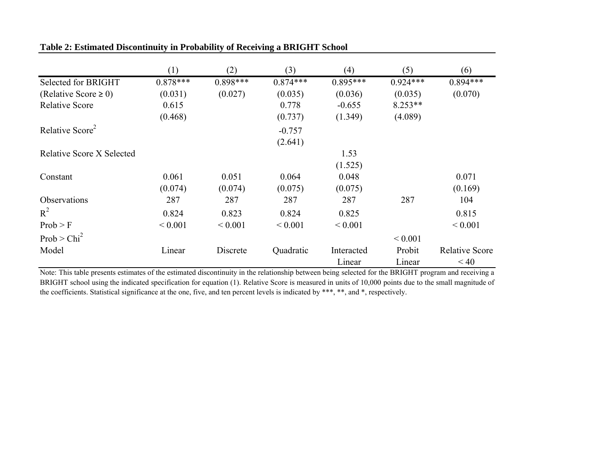|                             | (1)         | (2)         | (3)         | (4)         | (5)         | (6)                   |
|-----------------------------|-------------|-------------|-------------|-------------|-------------|-----------------------|
| <b>Selected for BRIGHT</b>  | $0.878***$  | $0.898***$  | $0.874***$  | $0.895***$  | $0.924***$  | $0.894***$            |
| (Relative Score $\geq 0$ )  | (0.031)     | (0.027)     | (0.035)     | (0.036)     | (0.035)     | (0.070)               |
| <b>Relative Score</b>       | 0.615       |             | 0.778       | $-0.655$    | $8.253**$   |                       |
|                             | (0.468)     |             | (0.737)     | (1.349)     | (4.089)     |                       |
| Relative Score <sup>2</sup> |             |             | $-0.757$    |             |             |                       |
|                             |             |             | (2.641)     |             |             |                       |
| Relative Score X Selected   |             |             |             | 1.53        |             |                       |
|                             |             |             |             | (1.525)     |             |                       |
| Constant                    | 0.061       | 0.051       | 0.064       | 0.048       |             | 0.071                 |
|                             | (0.074)     | (0.074)     | (0.075)     | (0.075)     |             | (0.169)               |
| Observations                | 287         | 287         | 287         | 287         | 287         | 104                   |
| $R^2$                       | 0.824       | 0.823       | 0.824       | 0.825       |             | 0.815                 |
| Prob > F                    | ${}< 0.001$ | ${}< 0.001$ | ${}< 0.001$ | ${}< 0.001$ |             | ${}< 0.001$           |
| Prob > Chi <sup>2</sup>     |             |             |             |             | ${}< 0.001$ |                       |
| Model                       | Linear      | Discrete    | Quadratic   | Interacted  | Probit      | <b>Relative Score</b> |
|                             |             |             |             | Linear      | Linear      | < 40                  |

**Table 2: Estimated Discontinuity in Probability of Receiving a BRIGHT School**

Note: This table presents estimates of the estimated discontinuity in the relationship between being selected for the BRIGHT program and receiving <sup>a</sup> BRIGHT school using the indicated specification for equation (1). Relative Score is measured in units of 10,000 points due to the small magnitude of the coefficients. Statistical significance at the one, five, and ten percent levels is indicated by \*\*\*, \*\*, and \*, respectively.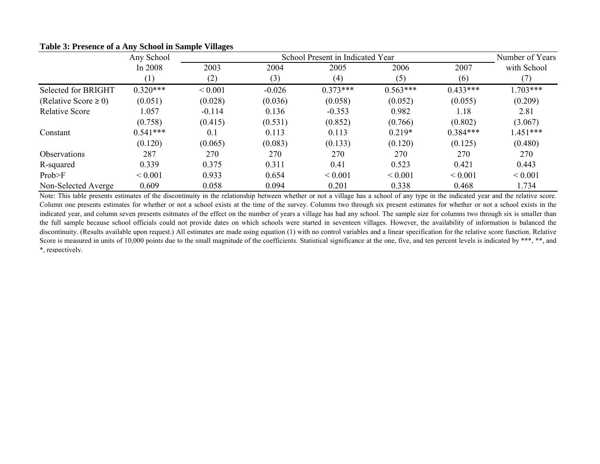|                            | Any School  |             |          | School Present in Indicated Year |             |             | Number of Years |
|----------------------------|-------------|-------------|----------|----------------------------------|-------------|-------------|-----------------|
|                            | In 2008     | 2003        | 2004     | 2005                             | 2006        | 2007        | with School     |
|                            | (1)         | (2)         | (3)      | (4)                              | (5)         | (6)         | (7)             |
| Selected for BRIGHT        | $0.320***$  | ${}< 0.001$ | $-0.026$ | $0.373***$                       | $0.563***$  | $0.433***$  | $1.703***$      |
| (Relative Score $\geq 0$ ) | (0.051)     | (0.028)     | (0.036)  | (0.058)                          | (0.052)     | (0.055)     | (0.209)         |
| <b>Relative Score</b>      | 1.057       | $-0.114$    | 0.136    | $-0.353$                         | 0.982       | 1.18        | 2.81            |
|                            | (0.758)     | (0.415)     | (0.531)  | (0.852)                          | (0.766)     | (0.802)     | (3.067)         |
| Constant                   | $0.541***$  | 0.1         | 0.113    | 0.113                            | $0.219*$    | $0.384***$  | $1.451***$      |
|                            | (0.120)     | (0.065)     | (0.083)  | (0.133)                          | (0.120)     | (0.125)     | (0.480)         |
| Observations               | 287         | 270         | 270      | 270                              | 270         | 270         | 270             |
| R-squared                  | 0.339       | 0.375       | 0.311    | 0.41                             | 0.523       | 0.421       | 0.443           |
| Prob>F                     | ${}< 0.001$ | 0.933       | 0.654    | ${}< 0.001$                      | ${}< 0.001$ | ${}< 0.001$ | ${}< 0.001$     |
| Non-Selected Averge        | 0.609       | 0.058       | 0.094    | 0.201                            | 0.338       | 0.468       | 1.734           |

**Table 3: Presence of a Any School in Sample Villages**

Note: This table presents estimates of the discontinuity in the relationship between whether or not <sup>a</sup> village has <sup>a</sup> school of any type in the indicated year and the relative score. Column one presents estimates for whether or not <sup>a</sup> school exists at the time of the survey. Columns two through six presen<sup>t</sup> estimates for whether or not <sup>a</sup> school exists in the indicated year, and column seven presents esitmates of the effect on the number of years a village has had any school. The sample size for columns two through six is smaller than the full sample because school officials could not provide dates on which schools were started in seventeen villages. However, the availability of information is balanced the discontinuity. (Results available upon request.) All estimates are made using equation (1) with no control variables and <sup>a</sup> linear specification for the relative score function. Relative Score is measured in units of 10,000 points due to the small magnitude of the coefficients. Statistical significance at the one, five, and ten percent levels is indicated by \*\*\*, \*\*, and \*, respectively.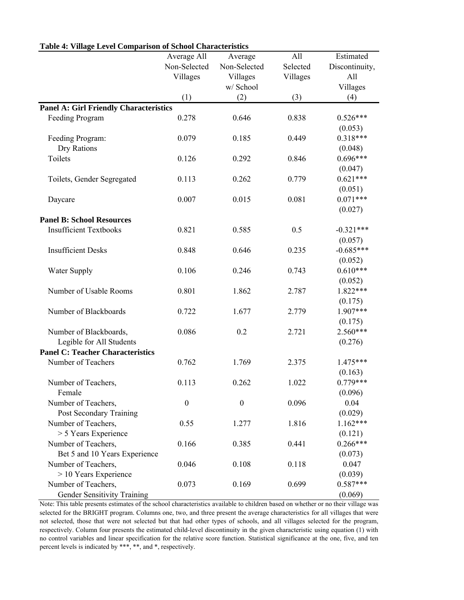|                                               | Average All      | Average          | All      | Estimated      |
|-----------------------------------------------|------------------|------------------|----------|----------------|
|                                               | Non-Selected     | Non-Selected     | Selected | Discontinuity, |
|                                               | Villages         | Villages         | Villages | All            |
|                                               |                  | w/ School        |          | Villages       |
|                                               | (1)              | (2)              | (3)      | (4)            |
| <b>Panel A: Girl Friendly Characteristics</b> |                  |                  |          |                |
| Feeding Program                               | 0.278            | 0.646            | 0.838    | $0.526***$     |
|                                               |                  |                  |          | (0.053)        |
| Feeding Program:                              | 0.079            | 0.185            | 0.449    | $0.318***$     |
| Dry Rations                                   |                  |                  |          | (0.048)        |
| Toilets                                       | 0.126            | 0.292            | 0.846    | $0.696***$     |
|                                               |                  |                  |          | (0.047)        |
| Toilets, Gender Segregated                    | 0.113            | 0.262            | 0.779    | $0.621***$     |
|                                               |                  |                  |          | (0.051)        |
| Daycare                                       | 0.007            | 0.015            | 0.081    | $0.071***$     |
|                                               |                  |                  |          | (0.027)        |
| <b>Panel B: School Resources</b>              |                  |                  |          |                |
| <b>Insufficient Textbooks</b>                 | 0.821            | 0.585            | 0.5      | $-0.321***$    |
|                                               |                  |                  |          | (0.057)        |
| <b>Insufficient Desks</b>                     | 0.848            | 0.646            | 0.235    | $-0.685***$    |
|                                               |                  |                  |          | (0.052)        |
| <b>Water Supply</b>                           | 0.106            | 0.246            | 0.743    | $0.610***$     |
|                                               |                  |                  |          | (0.052)        |
| Number of Usable Rooms                        | 0.801            | 1.862            | 2.787    | 1.822***       |
|                                               |                  |                  |          | (0.175)        |
| Number of Blackboards                         | 0.722            | 1.677            | 2.779    | 1.907***       |
|                                               |                  |                  |          | (0.175)        |
| Number of Blackboards,                        | 0.086            | 0.2              | 2.721    | 2.560***       |
| Legible for All Students                      |                  |                  |          | (0.276)        |
| <b>Panel C: Teacher Characteristics</b>       |                  |                  |          |                |
| Number of Teachers                            | 0.762            | 1.769            | 2.375    | 1.475***       |
|                                               |                  |                  |          | (0.163)        |
| Number of Teachers,                           | 0.113            | 0.262            | 1.022    | $0.779***$     |
| Female                                        |                  |                  |          | (0.096)        |
| Number of Teachers,                           | $\boldsymbol{0}$ | $\boldsymbol{0}$ | 0.096    | 0.04           |
| Post Secondary Training                       |                  |                  |          | (0.029)        |
| Number of Teachers,                           | 0.55             | 1.277            | 1.816    | 1.162***       |
| > 5 Years Experience                          |                  |                  |          | (0.121)        |
| Number of Teachers,                           | 0.166            | 0.385            | 0.441    | $0.266***$     |
| Bet 5 and 10 Years Experience                 |                  |                  |          | (0.073)        |
| Number of Teachers,                           | 0.046            | 0.108            | 0.118    | 0.047          |
| $> 10$ Years Experience                       |                  |                  |          | (0.039)        |
| Number of Teachers,                           | 0.073            | 0.169            | 0.699    | $0.587***$     |
| Gender Sensitivity Training                   |                  |                  |          | (0.069)        |
|                                               |                  |                  |          |                |

### **Table 4: Village Level Comparison of School Characteristics**

Note: This table presents estimates of the school characteristics available to children based on whether or no their village was selected for the BRIGHT program. Columns one, two, and three present the average characteristics for all villages that were not selected, those that were not selected but that had other types of schools, and all villages selected for the program, respectively. Column four presents the estimated child-level discontinuity in the given characteristic using equation (1) with no control variables and linear specification for the relative score function. Statistical significance at the one, five, and ten percent levels is indicated by \*\*\*, \*\*, and \*, respectively.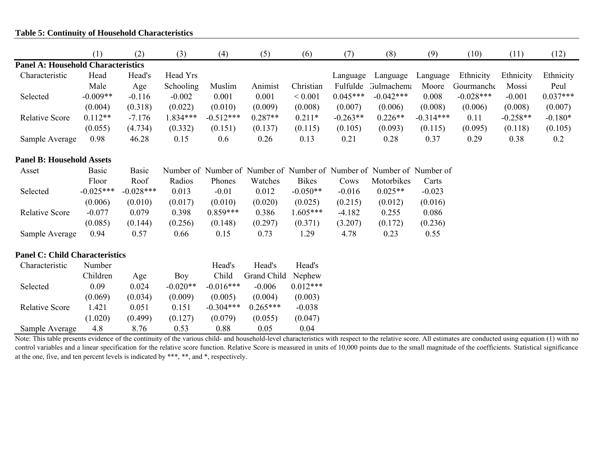# **Table 5: Continuity of Household Characteristics**

|                                           | (1)          | (2)          | (3)        | (4)         | (5)         | (6)          | (7)        | (8)                                                                   | (9)         | (10)        | (11)       | (12)       |
|-------------------------------------------|--------------|--------------|------------|-------------|-------------|--------------|------------|-----------------------------------------------------------------------|-------------|-------------|------------|------------|
| <b>Panel A: Household Characteristics</b> |              |              |            |             |             |              |            |                                                                       |             |             |            |            |
| Characteristic                            | Head         | Head's       | Head Yrs   |             |             |              | Language   | Language                                                              | Language    | Ethnicity   | Ethnicity  | Ethnicity  |
|                                           | Male         | Age          | Schooling  | Muslim      | Animist     | Christian    | Fulfulde   | <b>Gulmachema</b>                                                     | Moore       | Gourmanche  | Mossi      | Peul       |
| Selected                                  | $-0.009**$   | $-0.116$     | $-0.002$   | 0.001       | 0.001       | ${}< 0.001$  | $0.045***$ | $-0.042***$                                                           | 0.008       | $-0.028***$ | $-0.001$   | $0.037***$ |
|                                           | (0.004)      | (0.318)      | (0.022)    | (0.010)     | (0.009)     | (0.008)      | (0.007)    | (0.006)                                                               | (0.008)     | (0.006)     | (0.008)    | (0.007)    |
| <b>Relative Score</b>                     | $0.112**$    | $-7.176$     | 1.834***   | $-0.512***$ | $0.287**$   | $0.211*$     | $-0.263**$ | $0.226**$                                                             | $-0.314***$ | 0.11        | $-0.258**$ | $-0.180*$  |
|                                           | (0.055)      | (4.734)      | (0.332)    | (0.151)     | (0.137)     | (0.115)      | (0.105)    | (0.093)                                                               | (0.115)     | (0.095)     | (0.118)    | (0.105)    |
| Sample Average                            | 0.98         | 46.28        | 0.15       | 0.6         | 0.26        | 0.13         | 0.21       | 0.28                                                                  | 0.37        | 0.29        | 0.38       | 0.2        |
| <b>Panel B: Household Assets</b>          |              |              |            |             |             |              |            |                                                                       |             |             |            |            |
| Asset                                     | <b>Basic</b> | <b>Basic</b> |            |             |             |              |            | Number of Number of Number of Number of Number of Number of Number of |             |             |            |            |
|                                           | Floor        | Roof         | Radios     | Phones      | Watches     | <b>Bikes</b> | Cows       | Motorbikes                                                            | Carts       |             |            |            |
| Selected                                  | $-0.025***$  | $-0.028***$  | 0.013      | $-0.01$     | 0.012       | $-0.050**$   | $-0.016$   | $0.025**$                                                             | $-0.023$    |             |            |            |
|                                           | (0.006)      | (0.010)      | (0.017)    | (0.010)     | (0.020)     | (0.025)      | (0.215)    | (0.012)                                                               | (0.016)     |             |            |            |
| <b>Relative Score</b>                     | $-0.077$     | 0.079        | 0.398      | $0.859***$  | 0.386       | $1.605***$   | $-4.182$   | 0.255                                                                 | 0.086       |             |            |            |
|                                           | (0.085)      | (0.144)      | (0.256)    | (0.148)     | (0.297)     | (0.371)      | (3.207)    | (0.172)                                                               | (0.236)     |             |            |            |
| Sample Average                            | 0.94         | 0.57         | 0.66       | 0.15        | 0.73        | 1.29         | 4.78       | 0.23                                                                  | 0.55        |             |            |            |
| <b>Panel C: Child Characteristics</b>     |              |              |            |             |             |              |            |                                                                       |             |             |            |            |
| Characteristic                            | Number       |              |            | Head's      | Head's      | Head's       |            |                                                                       |             |             |            |            |
|                                           | Children     | Age          | Boy        | Child       | Grand Child | Nephew       |            |                                                                       |             |             |            |            |
| Selected                                  | 0.09         | 0.024        | $-0.020**$ | $-0.016***$ | $-0.006$    | $0.012***$   |            |                                                                       |             |             |            |            |
|                                           | (0.069)      | (0.034)      | (0.009)    | (0.005)     | (0.004)     | (0.003)      |            |                                                                       |             |             |            |            |
| Relative Score                            | 1.421        | 0.051        | 0.151      | $-0.304***$ | $0.265***$  | $-0.038$     |            |                                                                       |             |             |            |            |
|                                           | (1.020)      | (0.499)      | (0.127)    | (0.079)     | (0.055)     | (0.047)      |            |                                                                       |             |             |            |            |
| Sample Average                            | 4.8          | 8.76         | 0.53       | 0.88        | 0.05        | 0.04         |            |                                                                       |             |             |            |            |

Note: This table presents evidence of the continuity of the various child- and household-level characteristics with respect to the relative score. All estimates are conducted using equation (1) with no control variables and a linear specification for the relative score function. Relative Score is measured in units of 10,000 points due to the small magnitude of the coefficients. Statistical significance at the one, five, and ten percent levels is indicated by \*\*\*, \*\*, and \*, respectively.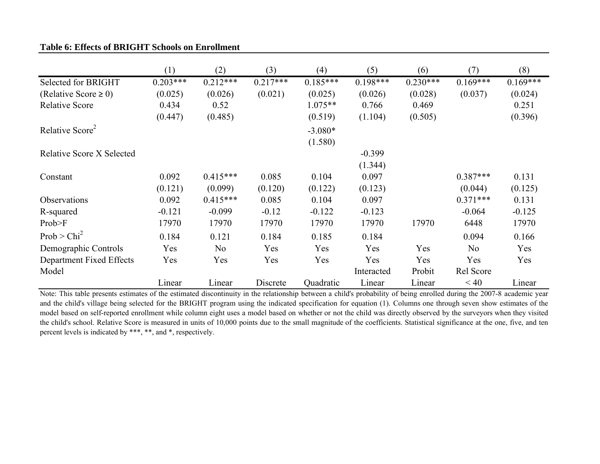# **Table 6: Effects of BRIGHT Schools on Enrollment**

|                                  | (1)        | (2)            | (3)        | (4)        | (5)        | (6)        | (7)        | (8)        |
|----------------------------------|------------|----------------|------------|------------|------------|------------|------------|------------|
| Selected for BRIGHT              | $0.203***$ | $0.212***$     | $0.217***$ | $0.185***$ | $0.198***$ | $0.230***$ | $0.169***$ | $0.169***$ |
| (Relative Score $\geq 0$ )       | (0.025)    | (0.026)        | (0.021)    | (0.025)    | (0.026)    | (0.028)    | (0.037)    | (0.024)    |
| <b>Relative Score</b>            | 0.434      | 0.52           |            | $1.075**$  | 0.766      | 0.469      |            | 0.251      |
|                                  | (0.447)    | (0.485)        |            | (0.519)    | (1.104)    | (0.505)    |            | (0.396)    |
| Relative Score <sup>2</sup>      |            |                |            | $-3.080*$  |            |            |            |            |
|                                  |            |                |            | (1.580)    |            |            |            |            |
| <b>Relative Score X Selected</b> |            |                |            |            | $-0.399$   |            |            |            |
|                                  |            |                |            |            | (1.344)    |            |            |            |
| Constant                         | 0.092      | $0.415***$     | 0.085      | 0.104      | 0.097      |            | $0.387***$ | 0.131      |
|                                  | (0.121)    | (0.099)        | (0.120)    | (0.122)    | (0.123)    |            | (0.044)    | (0.125)    |
| Observations                     | 0.092      | $0.415***$     | 0.085      | 0.104      | 0.097      |            | $0.371***$ | 0.131      |
| R-squared                        | $-0.121$   | $-0.099$       | $-0.12$    | $-0.122$   | $-0.123$   |            | $-0.064$   | $-0.125$   |
| Prob>F                           | 17970      | 17970          | 17970      | 17970      | 17970      | 17970      | 6448       | 17970      |
| Prob > Chi <sup>2</sup>          | 0.184      | 0.121          | 0.184      | 0.185      | 0.184      |            | 0.094      | 0.166      |
| Demographic Controls             | Yes        | N <sub>o</sub> | Yes        | Yes        | Yes        | Yes        | No         | Yes        |
| Department Fixed Effects         | Yes        | Yes            | Yes        | Yes        | Yes        | Yes        | Yes        | Yes        |
| Model                            |            |                |            |            | Interacted | Probit     | Rel Score  |            |
|                                  | Linear     | Linear         | Discrete   | Quadratic  | Linear     | Linear     | < 40       | Linear     |

Note: This table presents estimates of the estimated discontinuity in the relationship between <sup>a</sup> child's probability of being enrolled during the 2007-8 academic year and the child's village being selected for the BRIGHT program using the indicated specification for equation (1). Columns one through seven show estimates of the model based on self-reported enrollment while column eight uses <sup>a</sup> model based on whether or not the child was directly observed by the surveyors when they visited the child's school. Relative Score is measured in units of 10,000 points due to the small magnitude of the coefficients. Statistical significance at the one, five, and ten percent levels is indicated by \*\*\*, \*\*, and \*, respectively.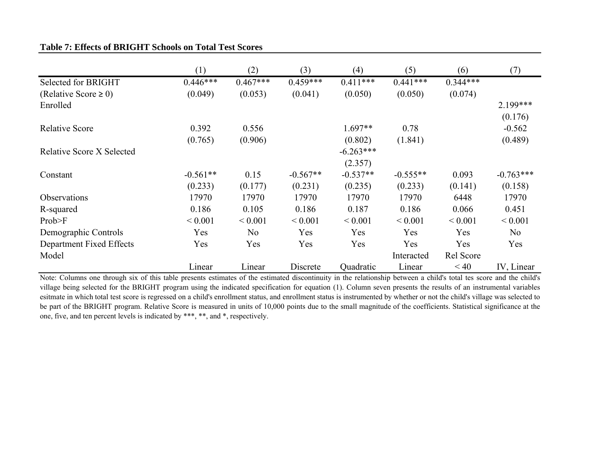| <b>Table 7: Effects of BRIGHT Schools on Total Test Scores</b> |
|----------------------------------------------------------------|
|----------------------------------------------------------------|

|                                  | (1)         | (2)            | (3)         | (4)         | (5)         | (6)         | (7)            |
|----------------------------------|-------------|----------------|-------------|-------------|-------------|-------------|----------------|
| Selected for BRIGHT              | $0.446***$  | $0.467***$     | $0.459***$  | $0.411***$  | $0.441***$  | $0.344***$  |                |
| (Relative Score $\geq 0$ )       | (0.049)     | (0.053)        | (0.041)     | (0.050)     | (0.050)     | (0.074)     |                |
| Enrolled                         |             |                |             |             |             |             | 2.199***       |
|                                  |             |                |             |             |             |             | (0.176)        |
| <b>Relative Score</b>            | 0.392       | 0.556          |             | $1.697**$   | 0.78        |             | $-0.562$       |
|                                  | (0.765)     | (0.906)        |             | (0.802)     | (1.841)     |             | (0.489)        |
| <b>Relative Score X Selected</b> |             |                |             | $-6.263***$ |             |             |                |
|                                  |             |                |             | (2.357)     |             |             |                |
| Constant                         | $-0.561**$  | 0.15           | $-0.567**$  | $-0.537**$  | $-0.555**$  | 0.093       | $-0.763***$    |
|                                  | (0.233)     | (0.177)        | (0.231)     | (0.235)     | (0.233)     | (0.141)     | (0.158)        |
| <b>Observations</b>              | 17970       | 17970          | 17970       | 17970       | 17970       | 6448        | 17970          |
| R-squared                        | 0.186       | 0.105          | 0.186       | 0.187       | 0.186       | 0.066       | 0.451          |
| Prob>F                           | ${}< 0.001$ | ${}< 0.001$    | ${}< 0.001$ | ${}< 0.001$ | ${}< 0.001$ | ${}< 0.001$ | ${}< 0.001$    |
| Demographic Controls             | Yes         | N <sub>0</sub> | Yes         | Yes         | <b>Yes</b>  | <b>Yes</b>  | N <sub>0</sub> |
| Department Fixed Effects         | Yes         | Yes            | Yes         | Yes         | Yes         | Yes         | Yes            |
| Model                            |             |                |             |             | Interacted  | Rel Score   |                |
|                                  | Linear      | Linear         | Discrete    | Quadratic   | Linear      | < 40        | IV, Linear     |

Note: Columns one through six of this table presents estimates of the estimated discontinuity in the relationship between <sup>a</sup> child's total tes score and the child's village being selected for the BRIGHT program using the indicated specification for equation (1). Column seven presents the results of an instrumental variables esitmate in which total test score is regressed on <sup>a</sup> child's enrollment status, and enrollment status is instrumented by whether or not the child's village was selected to be par<sup>t</sup> of the BRIGHT program. Relative Score is measured in units of 10,000 points due to the small magnitude of the coefficients. Statistical significance at the one, five, and ten percent levels is indicated by \*\*\*, \*\*, and \*, respectively.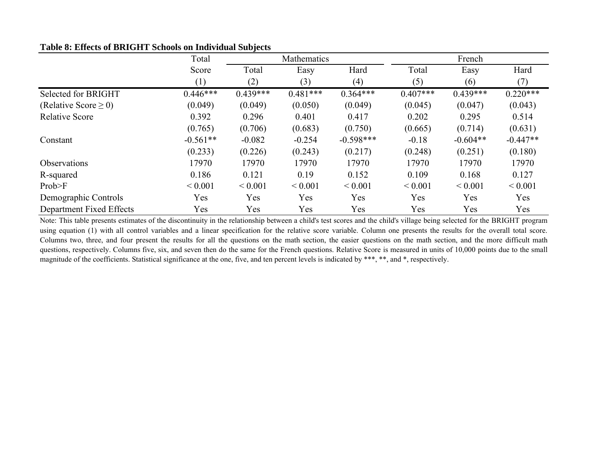|                           | Total<br>Mathematics |             |             |             | French      |             |             |
|---------------------------|----------------------|-------------|-------------|-------------|-------------|-------------|-------------|
|                           | Score                | Total       | Easy        | Hard        | Total       | Easy        | Hard        |
|                           | (1)                  | (2)         | (3)         | (4)         | (5)         | (6)         | (7)         |
| Selected for BRIGHT       | $0.446***$           | $0.439***$  | $0.481***$  | $0.364***$  | $0.407***$  | $0.439***$  | $0.220***$  |
| (Relative Score $\geq$ 0) | (0.049)              | (0.049)     | (0.050)     | (0.049)     | (0.045)     | (0.047)     | (0.043)     |
| <b>Relative Score</b>     | 0.392                | 0.296       | 0.401       | 0.417       | 0.202       | 0.295       | 0.514       |
|                           | (0.765)              | (0.706)     | (0.683)     | (0.750)     | (0.665)     | (0.714)     | (0.631)     |
| Constant                  | $-0.561**$           | $-0.082$    | $-0.254$    | $-0.598***$ | $-0.18$     | $-0.604**$  | $-0.447**$  |
|                           | (0.233)              | (0.226)     | (0.243)     | (0.217)     | (0.248)     | (0.251)     | (0.180)     |
| Observations              | 17970                | 17970       | 17970       | 17970       | 17970       | 17970       | 17970       |
| R-squared                 | 0.186                | 0.121       | 0.19        | 0.152       | 0.109       | 0.168       | 0.127       |
| Prob>F                    | ${}< 0.001$          | ${}< 0.001$ | ${}< 0.001$ | ${}< 0.001$ | ${}< 0.001$ | ${}< 0.001$ | ${}< 0.001$ |
| Demographic Controls      | Yes                  | Yes         | Yes         | Yes         | Yes         | Yes         | Yes         |
| Department Fixed Effects  | Yes                  | Yes         | Yes         | Yes         | Yes         | Yes         | Yes         |

# **Table 8: Effects of BRIGHT Schools on Individual Subjects**

Note: This table presents estimates of the discontinuity in the relationship between <sup>a</sup> child's test scores and the child's village being selected for the BRIGHT program using equation (1) with all control variables and <sup>a</sup> linear specification for the relative score variable. Column one presents the results for the overall total score. Columns two, three, and four presen<sup>t</sup> the results for all the questions on the math section, the easier questions on the math section, and the more difficult math questions, respectively. Columns five, six, and seven then do the same for the French questions. Relative Score is measured in units of 10,000 points due to the small magnitude of the coefficients. Statistical significance at the one, five, and ten percent levels is indicated by \*\*\*, \*\*, and \*, respectively.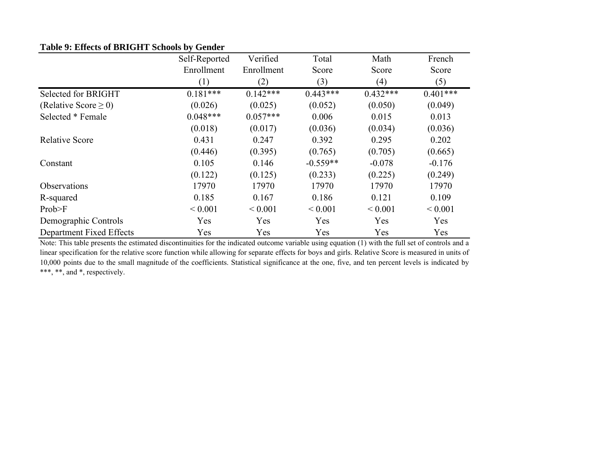|  |  | Table 9: Effects of BRIGHT Schools by Gender |  |  |
|--|--|----------------------------------------------|--|--|
|--|--|----------------------------------------------|--|--|

|                           | Self-Reported | Verified    | Total       | Math        | French      |
|---------------------------|---------------|-------------|-------------|-------------|-------------|
|                           | Enrollment    | Enrollment  | Score       | Score       | Score       |
|                           | (1)           | (2)         | (3)         | (4)         | (5)         |
| Selected for BRIGHT       | $0.181***$    | $0.142***$  | $0.443***$  | $0.432***$  | $0.401***$  |
| (Relative Score $\geq$ 0) | (0.026)       | (0.025)     | (0.052)     | (0.050)     | (0.049)     |
| Selected * Female         | $0.048***$    | $0.057***$  | 0.006       | 0.015       | 0.013       |
|                           | (0.018)       | (0.017)     | (0.036)     | (0.034)     | (0.036)     |
| <b>Relative Score</b>     | 0.431         | 0.247       | 0.392       | 0.295       | 0.202       |
|                           | (0.446)       | (0.395)     | (0.765)     | (0.705)     | (0.665)     |
| Constant                  | 0.105         | 0.146       | $-0.559**$  | $-0.078$    | $-0.176$    |
|                           | (0.122)       | (0.125)     | (0.233)     | (0.225)     | (0.249)     |
| Observations              | 17970         | 17970       | 17970       | 17970       | 17970       |
| R-squared                 | 0.185         | 0.167       | 0.186       | 0.121       | 0.109       |
| Prob>F                    | ${}< 0.001$   | ${}< 0.001$ | ${}< 0.001$ | ${}< 0.001$ | ${}< 0.001$ |
| Demographic Controls      | Yes           | Yes         | Yes         | Yes         | Yes         |
| Department Fixed Effects  | Yes           | Yes         | Yes         | Yes         | Yes         |

Note: This table presents the estimated discontinuities for the indicated outcome variable using equation (1) with the full set of controls and <sup>a</sup> linear specification for the relative score function while allowing for separate effects for boys and girls. Relative Score is measured in units of 10,000 points due to the small magnitude of the coefficients. Statistical significance at the one, five, and ten percen<sup>t</sup> levels is indicated by \*\*\*, \*\*, and \*, respectively.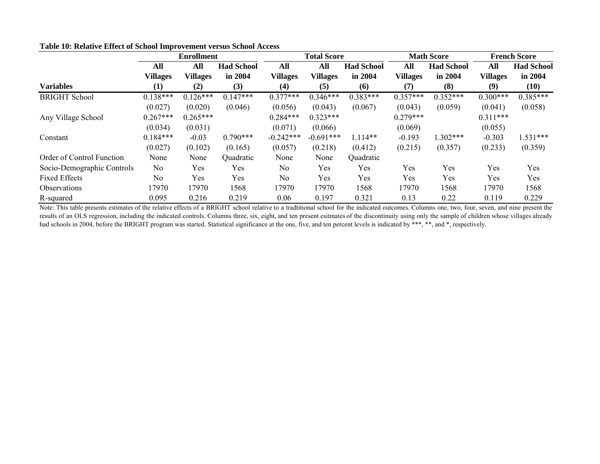|                            | <b>Enrollment</b> |                 |                   | <b>Total Score</b> |                 |                   | <b>Math Score</b> |                   | <b>French Score</b> |                   |
|----------------------------|-------------------|-----------------|-------------------|--------------------|-----------------|-------------------|-------------------|-------------------|---------------------|-------------------|
|                            | All               | All             | <b>Had School</b> | All                | All             | <b>Had School</b> | All               | <b>Had School</b> | All                 | <b>Had School</b> |
|                            | <b>Villages</b>   | <b>Villages</b> | in 2004           | <b>Villages</b>    | <b>Villages</b> | in 2004           | <b>Villages</b>   | in 2004           | <b>Villages</b>     | in 2004           |
| <b>Variables</b>           | (1)               | (2)             | (3)               | (4)                | (5)             | (6)               | (7)               | (8)               | (9)                 | (10)              |
| <b>BRIGHT School</b>       | $0.138***$        | $0.126***$      | $0.147***$        | $0.377***$         | $0.346***$      | $0.383***$        | $0.357***$        | $0.352***$        | $0.300***$          | $0.385***$        |
|                            | (0.027)           | (0.020)         | (0.046)           | (0.056)            | (0.043)         | (0.067)           | (0.043)           | (0.059)           | (0.041)             | (0.058)           |
| Any Village School         | $0.267***$        | $0.265***$      |                   | $0.284***$         | $0.323***$      |                   | $0.279***$        |                   | $0.311***$          |                   |
|                            | (0.034)           | (0.031)         |                   | (0.071)            | (0.066)         |                   | (0.069)           |                   | (0.055)             |                   |
| Constant                   | $0.184***$        | $-0.03$         | $0.790***$        | $-0.242***$        | $-0.691***$     | $1.114**$         | $-0.193$          | $.302***$         | $-0.303$            | $1.531***$        |
|                            | (0.027)           | (0.102)         | (0.165)           | (0.057)            | (0.218)         | (0.412)           | (0.215)           | (0.357)           | (0.233)             | (0.359)           |
| Order of Control Function  | None              | None            | Quadratic         | None               | None            | Quadratic         |                   |                   |                     |                   |
| Socio-Demographic Controls | No                | Yes             | Yes               | N <sub>0</sub>     | Yes             | Yes               | Yes               | Yes               | Yes                 | Yes               |
| <b>Fixed Effects</b>       | N <sub>0</sub>    | Yes             | Yes               | N <sub>0</sub>     | Yes             | Yes               | Yes               | Yes               | Yes                 | Yes               |
| <b>Observations</b>        | 17970             | 17970           | 1568              | 17970              | 17970           | 1568              | 17970             | 1568              | 17970               | 1568              |
| R-squared                  | 0.095             | 0.216           | 0.219             | 0.06               | 0.197           | 0.321             | 0.13              | 0.22              | 0.119               | 0.229             |

**Table 10: Relative Effect of School Improvement versus School Access**

Note: This table presents estimates of the relative effects of <sup>a</sup> BRIGHT school relative to <sup>a</sup> tradtitional school for the indicated outcomes. Columns one, two, four, seven, and nine presen<sup>t</sup> the results of an OLS regression, including the indicated controls. Columns three, six, eight, and ten present esitmates of the discontinuity using only the sample of children whose villages already had schools in 2004, before the BRIGHT program was started. Statistical significance at the one, five, and ten percent levels is indicated by \*\*\*, \*\*, and \*, respectively.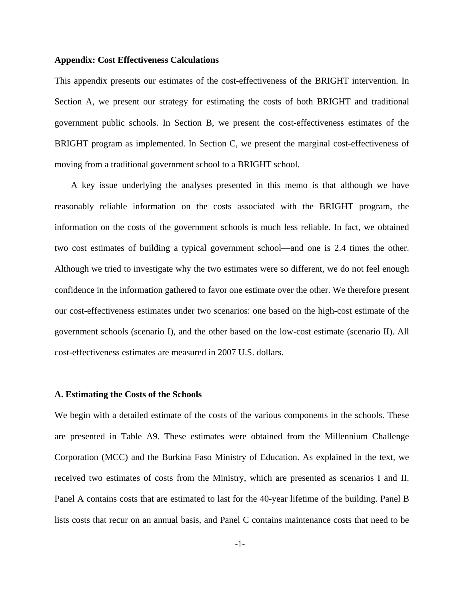### **Appendix: Cost Effectiveness Calculations**

This appendix presents our estimates of the cost-effectiveness of the BRIGHT intervention. In Section A, we present our strategy for estimating the costs of both BRIGHT and traditional government public schools. In Section B, we present the cost-effectiveness estimates of the BRIGHT program as implemented. In Section C, we present the marginal cost-effectiveness of moving from a traditional government school to a BRIGHT school.

A key issue underlying the analyses presented in this memo is that although we have reasonably reliable information on the costs associated with the BRIGHT program, the information on the costs of the government schools is much less reliable. In fact, we obtained two cost estimates of building a typical government school—and one is 2.4 times the other. Although we tried to investigate why the two estimates were so different, we do not feel enough confidence in the information gathered to favor one estimate over the other. We therefore present our cost-effectiveness estimates under two scenarios: one based on the high-cost estimate of the government schools (scenario I), and the other based on the low-cost estimate (scenario II). All cost-effectiveness estimates are measured in 2007 U.S. dollars.

### **A. Estimating the Costs of the Schools**

We begin with a detailed estimate of the costs of the various components in the schools. These are presented in Table A9. These estimates were obtained from the Millennium Challenge Corporation (MCC) and the Burkina Faso Ministry of Education. As explained in the text, we received two estimates of costs from the Ministry, which are presented as scenarios I and II. Panel A contains costs that are estimated to last for the 40-year lifetime of the building. Panel B lists costs that recur on an annual basis, and Panel C contains maintenance costs that need to be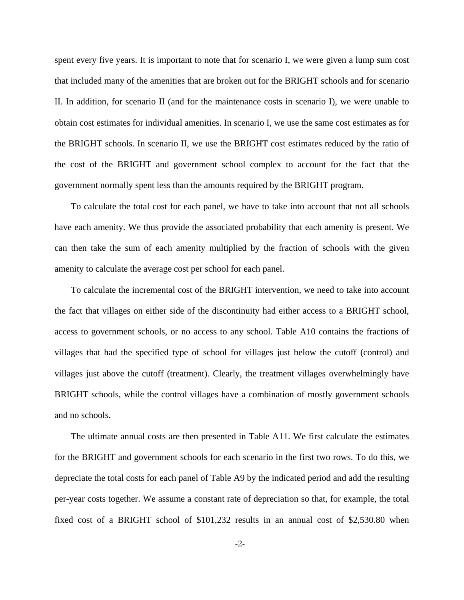spent every five years. It is important to note that for scenario I, we were given a lump sum cost that included many of the amenities that are broken out for the BRIGHT schools and for scenario II. In addition, for scenario II (and for the maintenance costs in scenario I), we were unable to obtain cost estimates for individual amenities. In scenario I, we use the same cost estimates as for the BRIGHT schools. In scenario II, we use the BRIGHT cost estimates reduced by the ratio of the cost of the BRIGHT and government school complex to account for the fact that the government normally spent less than the amounts required by the BRIGHT program.

To calculate the total cost for each panel, we have to take into account that not all schools have each amenity. We thus provide the associated probability that each amenity is present. We can then take the sum of each amenity multiplied by the fraction of schools with the given amenity to calculate the average cost per school for each panel.

To calculate the incremental cost of the BRIGHT intervention, we need to take into account the fact that villages on either side of the discontinuity had either access to a BRIGHT school, access to government schools, or no access to any school. Table A10 contains the fractions of villages that had the specified type of school for villages just below the cutoff (control) and villages just above the cutoff (treatment). Clearly, the treatment villages overwhelmingly have BRIGHT schools, while the control villages have a combination of mostly government schools and no schools.

The ultimate annual costs are then presented in Table A11. We first calculate the estimates for the BRIGHT and government schools for each scenario in the first two rows. To do this, we depreciate the total costs for each panel of Table A9 by the indicated period and add the resulting per-year costs together. We assume a constant rate of depreciation so that, for example, the total fixed cost of a BRIGHT school of \$101,232 results in an annual cost of \$2,530.80 when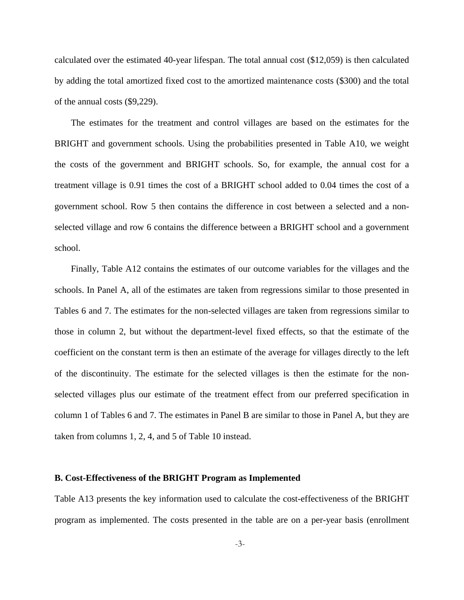calculated over the estimated 40-year lifespan. The total annual cost (\$12,059) is then calculated by adding the total amortized fixed cost to the amortized maintenance costs (\$300) and the total of the annual costs (\$9,229).

The estimates for the treatment and control villages are based on the estimates for the BRIGHT and government schools. Using the probabilities presented in Table A10, we weight the costs of the government and BRIGHT schools. So, for example, the annual cost for a treatment village is 0.91 times the cost of a BRIGHT school added to 0.04 times the cost of a government school. Row 5 then contains the difference in cost between a selected and a nonselected village and row 6 contains the difference between a BRIGHT school and a government school.

Finally, Table A12 contains the estimates of our outcome variables for the villages and the schools. In Panel A, all of the estimates are taken from regressions similar to those presented in Tables 6 and 7. The estimates for the non-selected villages are taken from regressions similar to those in column 2, but without the department-level fixed effects, so that the estimate of the coefficient on the constant term is then an estimate of the average for villages directly to the left of the discontinuity. The estimate for the selected villages is then the estimate for the nonselected villages plus our estimate of the treatment effect from our preferred specification in column 1 of Tables 6 and 7. The estimates in Panel B are similar to those in Panel A, but they are taken from columns 1, 2, 4, and 5 of Table 10 instead.

#### **B. Cost-Effectiveness of the BRIGHT Program as Implemented**

Table A13 presents the key information used to calculate the cost-effectiveness of the BRIGHT program as implemented. The costs presented in the table are on a per-year basis (enrollment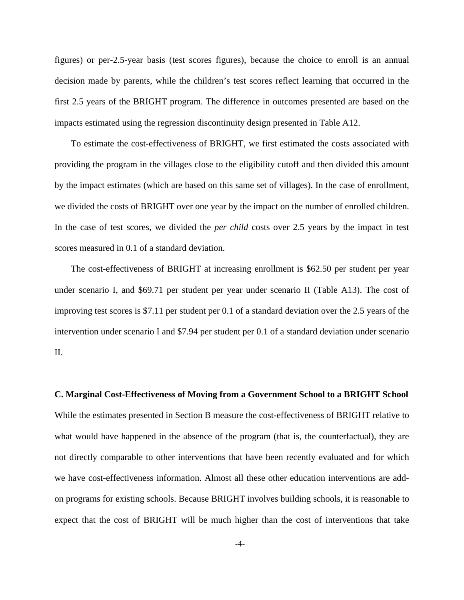figures) or per-2.5-year basis (test scores figures), because the choice to enroll is an annual decision made by parents, while the children's test scores reflect learning that occurred in the first 2.5 years of the BRIGHT program. The difference in outcomes presented are based on the impacts estimated using the regression discontinuity design presented in Table A12.

To estimate the cost-effectiveness of BRIGHT, we first estimated the costs associated with providing the program in the villages close to the eligibility cutoff and then divided this amount by the impact estimates (which are based on this same set of villages). In the case of enrollment, we divided the costs of BRIGHT over one year by the impact on the number of enrolled children. In the case of test scores, we divided the *per child* costs over 2.5 years by the impact in test scores measured in 0.1 of a standard deviation.

The cost-effectiveness of BRIGHT at increasing enrollment is \$62.50 per student per year under scenario I, and \$69.71 per student per year under scenario II (Table A13). The cost of improving test scores is \$7.11 per student per 0.1 of a standard deviation over the 2.5 years of the intervention under scenario I and \$7.94 per student per 0.1 of a standard deviation under scenario II.

**C. Marginal Cost-Effectiveness of Moving from a Government School to a BRIGHT School**  While the estimates presented in Section B measure the cost-effectiveness of BRIGHT relative to what would have happened in the absence of the program (that is, the counterfactual), they are not directly comparable to other interventions that have been recently evaluated and for which we have cost-effectiveness information. Almost all these other education interventions are addon programs for existing schools. Because BRIGHT involves building schools, it is reasonable to expect that the cost of BRIGHT will be much higher than the cost of interventions that take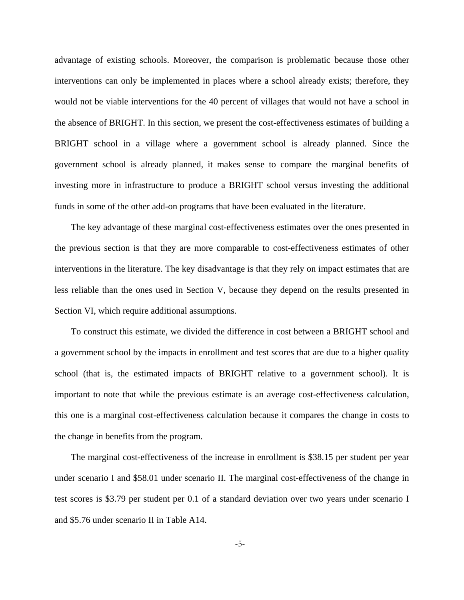advantage of existing schools. Moreover, the comparison is problematic because those other interventions can only be implemented in places where a school already exists; therefore, they would not be viable interventions for the 40 percent of villages that would not have a school in the absence of BRIGHT. In this section, we present the cost-effectiveness estimates of building a BRIGHT school in a village where a government school is already planned. Since the government school is already planned, it makes sense to compare the marginal benefits of investing more in infrastructure to produce a BRIGHT school versus investing the additional funds in some of the other add-on programs that have been evaluated in the literature.

The key advantage of these marginal cost-effectiveness estimates over the ones presented in the previous section is that they are more comparable to cost-effectiveness estimates of other interventions in the literature. The key disadvantage is that they rely on impact estimates that are less reliable than the ones used in Section V, because they depend on the results presented in Section VI, which require additional assumptions.

To construct this estimate, we divided the difference in cost between a BRIGHT school and a government school by the impacts in enrollment and test scores that are due to a higher quality school (that is, the estimated impacts of BRIGHT relative to a government school). It is important to note that while the previous estimate is an average cost-effectiveness calculation, this one is a marginal cost-effectiveness calculation because it compares the change in costs to the change in benefits from the program.

The marginal cost-effectiveness of the increase in enrollment is \$38.15 per student per year under scenario I and \$58.01 under scenario II. The marginal cost-effectiveness of the change in test scores is \$3.79 per student per 0.1 of a standard deviation over two years under scenario I and \$5.76 under scenario II in Table A14.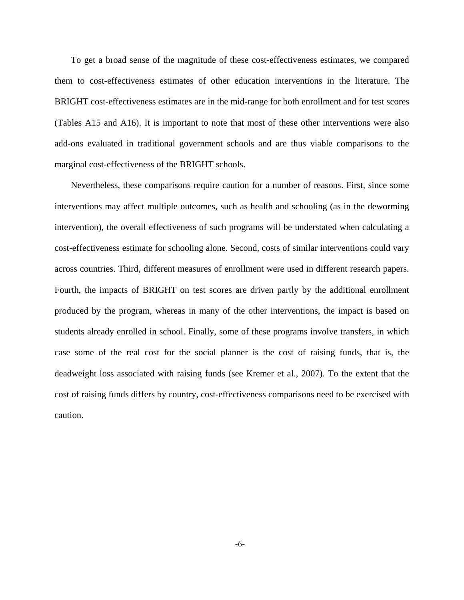To get a broad sense of the magnitude of these cost-effectiveness estimates, we compared them to cost-effectiveness estimates of other education interventions in the literature. The BRIGHT cost-effectiveness estimates are in the mid-range for both enrollment and for test scores (Tables A15 and A16). It is important to note that most of these other interventions were also add-ons evaluated in traditional government schools and are thus viable comparisons to the marginal cost-effectiveness of the BRIGHT schools.

Nevertheless, these comparisons require caution for a number of reasons. First, since some interventions may affect multiple outcomes, such as health and schooling (as in the deworming intervention), the overall effectiveness of such programs will be understated when calculating a cost-effectiveness estimate for schooling alone. Second, costs of similar interventions could vary across countries. Third, different measures of enrollment were used in different research papers. Fourth, the impacts of BRIGHT on test scores are driven partly by the additional enrollment produced by the program, whereas in many of the other interventions, the impact is based on students already enrolled in school. Finally, some of these programs involve transfers, in which case some of the real cost for the social planner is the cost of raising funds, that is, the deadweight loss associated with raising funds (see Kremer et al., 2007). To the extent that the cost of raising funds differs by country, cost-effectiveness comparisons need to be exercised with caution.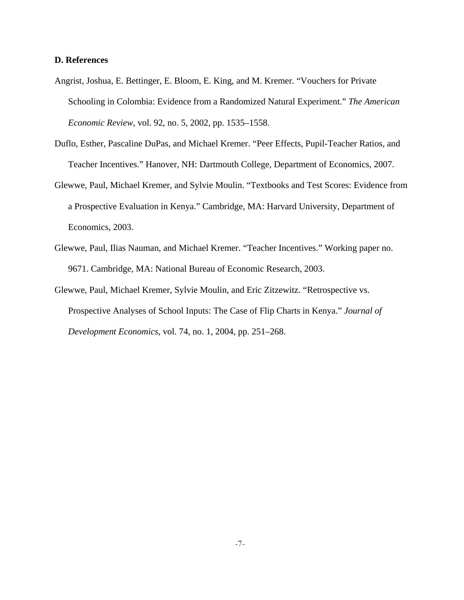### **D. References**

- Angrist, Joshua, E. Bettinger, E. Bloom, E. King, and M. Kremer. "Vouchers for Private Schooling in Colombia: Evidence from a Randomized Natural Experiment." *The American Economic Review*, vol. 92, no. 5, 2002, pp. 1535–1558.
- Duflo, Esther, Pascaline DuPas, and Michael Kremer. "Peer Effects, Pupil-Teacher Ratios, and Teacher Incentives." Hanover, NH: Dartmouth College, Department of Economics, 2007.
- Glewwe, Paul, Michael Kremer, and Sylvie Moulin. "Textbooks and Test Scores: Evidence from a Prospective Evaluation in Kenya." Cambridge, MA: Harvard University, Department of Economics, 2003.
- Glewwe, Paul, Ilias Nauman, and Michael Kremer. "Teacher Incentives." Working paper no. 9671. Cambridge, MA: National Bureau of Economic Research, 2003.
- Glewwe, Paul, Michael Kremer, Sylvie Moulin, and Eric Zitzewitz. "Retrospective vs. Prospective Analyses of School Inputs: The Case of Flip Charts in Kenya." *Journal of Development Economics*, vol. 74, no. 1, 2004, pp. 251–268.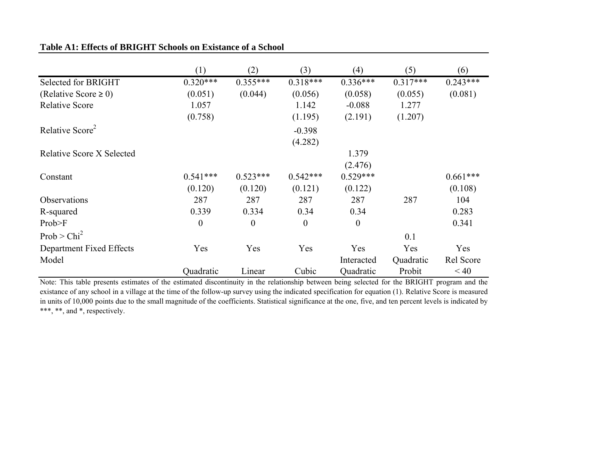|                             | (1)            | (2)            | (3)              | (4)        | (5)        | (6)        |
|-----------------------------|----------------|----------------|------------------|------------|------------|------------|
| Selected for BRIGHT         | $0.320***$     | $0.355***$     | $0.318***$       | $0.336***$ | $0.317***$ | $0.243***$ |
| (Relative Score $\geq 0$ )  | (0.051)        | (0.044)        | (0.056)          | (0.058)    | (0.055)    | (0.081)    |
| <b>Relative Score</b>       | 1.057          |                | 1.142            | $-0.088$   | 1.277      |            |
|                             | (0.758)        |                | (1.195)          | (2.191)    | (1.207)    |            |
| Relative Score <sup>2</sup> |                |                | $-0.398$         |            |            |            |
|                             |                |                | (4.282)          |            |            |            |
| Relative Score X Selected   |                |                |                  | 1.379      |            |            |
|                             |                |                |                  | (2.476)    |            |            |
| Constant                    | $0.541***$     | $0.523***$     | $0.542***$       | $0.529***$ |            | $0.661***$ |
|                             | (0.120)        | (0.120)        | (0.121)          | (0.122)    |            | (0.108)    |
| <b>Observations</b>         | 287            | 287            | 287              | 287        | 287        | 104        |
| R-squared                   | 0.339          | 0.334          | 0.34             | 0.34       |            | 0.283      |
| Prob>F                      | $\overline{0}$ | $\overline{0}$ | $\boldsymbol{0}$ | $\theta$   |            | 0.341      |
| Prob > Chi <sup>2</sup>     |                |                |                  |            | 0.1        |            |
| Department Fixed Effects    | Yes            | Yes            | Yes              | Yes        | Yes        | Yes        |
| Model                       |                |                |                  | Interacted | Quadratic  | Rel Score  |
|                             | Quadratic      | Linear         | Cubic            | Quadratic  | Probit     | < 40       |

### **Table A1: Effects of BRIGHT Schools on Existance of a School**

Note: This table presents estimates of the estimated discontinuity in the relationship between being selected for the BRIGHT program and the existance of any school in <sup>a</sup> village at the time of the follow-up survey using the indicated specification for equation (1). Relative Score is measured in units of 10,000 points due to the small magnitude of the coefficients. Statistical significance at the one, five, and ten percen<sup>t</sup> levels is indicated by \*\*\*, \*\*, and \*, respectively.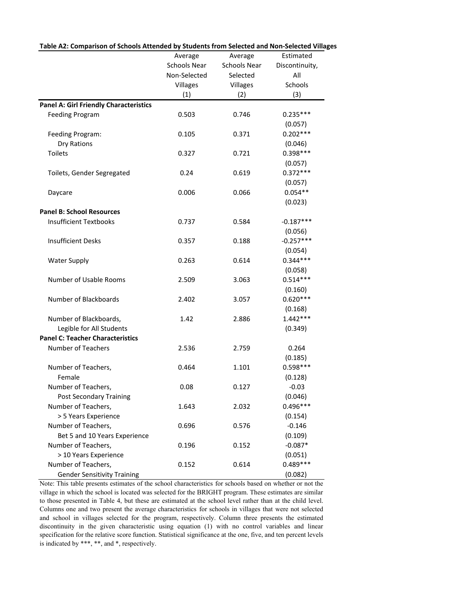| Table AZ: Comparison of Schools Attended by Students from Selected and Non-Selected Villa |                     |                     |                |
|-------------------------------------------------------------------------------------------|---------------------|---------------------|----------------|
|                                                                                           | Average             | Average             | Estimated      |
|                                                                                           | <b>Schools Near</b> | <b>Schools Near</b> | Discontinuity, |
|                                                                                           | Non-Selected        | Selected            | All            |
|                                                                                           | Villages            | Villages            | Schools        |
|                                                                                           | (1)                 | (2)                 | (3)            |
| <b>Panel A: Girl Friendly Characteristics</b>                                             |                     |                     |                |
| <b>Feeding Program</b>                                                                    | 0.503               | 0.746               | $0.235***$     |
|                                                                                           |                     |                     | (0.057)        |
| Feeding Program:                                                                          | 0.105               | 0.371               | $0.202***$     |
| Dry Rations                                                                               |                     |                     | (0.046)        |
| <b>Toilets</b>                                                                            | 0.327               | 0.721               | $0.398***$     |
|                                                                                           |                     |                     | (0.057)        |
| Toilets, Gender Segregated                                                                | 0.24                | 0.619               | $0.372***$     |
|                                                                                           |                     |                     | (0.057)        |
| Daycare                                                                                   | 0.006               | 0.066               | $0.054**$      |
|                                                                                           |                     |                     | (0.023)        |
| <b>Panel B: School Resources</b>                                                          |                     |                     |                |
| <b>Insufficient Textbooks</b>                                                             | 0.737               | 0.584               | $-0.187***$    |
|                                                                                           |                     |                     | (0.056)        |
| <b>Insufficient Desks</b>                                                                 | 0.357               | 0.188               | $-0.257***$    |
|                                                                                           |                     |                     | (0.054)        |
| <b>Water Supply</b>                                                                       | 0.263               | 0.614               | $0.344***$     |
|                                                                                           |                     |                     | (0.058)        |
| Number of Usable Rooms                                                                    | 2.509               | 3.063               | $0.514***$     |
|                                                                                           |                     |                     | (0.160)        |
| Number of Blackboards                                                                     | 2.402               | 3.057               | $0.620***$     |
|                                                                                           |                     |                     | (0.168)        |
| Number of Blackboards,                                                                    | 1.42                | 2.886               | $1.442***$     |
| Legible for All Students                                                                  |                     |                     | (0.349)        |
| <b>Panel C: Teacher Characteristics</b>                                                   |                     |                     |                |
| Number of Teachers                                                                        | 2.536               | 2.759               | 0.264          |
|                                                                                           |                     |                     | (0.185)        |
| Number of Teachers,                                                                       | 0.464               | 1.101               | $0.598***$     |
| Female                                                                                    |                     |                     | (0.128)        |
| Number of Teachers,                                                                       | 0.08                | 0.127               | $-0.03$        |
| <b>Post Secondary Training</b>                                                            |                     |                     | (0.046)        |
| Number of Teachers,                                                                       | 1.643               | 2.032               | $0.496***$     |
| > 5 Years Experience                                                                      |                     |                     | (0.154)        |
| Number of Teachers,                                                                       | 0.696               | 0.576               | $-0.146$       |
| Bet 5 and 10 Years Experience                                                             |                     |                     | (0.109)        |
| Number of Teachers,                                                                       | 0.196               | 0.152               | $-0.087*$      |
| > 10 Years Experience                                                                     |                     |                     | (0.051)        |
| Number of Teachers,                                                                       | 0.152               | 0.614               | $0.489***$     |
| <b>Gender Sensitivity Training</b>                                                        |                     |                     | (0.082)        |

**Table A2: Comparison of Schools Attended by Students from Selected and Non‐Selected Villages**

Note: This table presents estimates of the school characteristics for schools based on whether or not the village in which the school is located was selected for the BRIGHT program. These estimates are similar to those presented in Table 4, but these are estimated at the school level rather than at the child level. Columns one and two present the average characteristics for schools in villages that were not selected and school in villages selected for the program, respectively. Column three presents the estimated discontinuity in the given characteristic using equation (1) with no control variables and linear specification for the relative score function. Statistical significance at the one, five, and ten percent levels is indicated by \*\*\*, \*\*, and \*, respectively.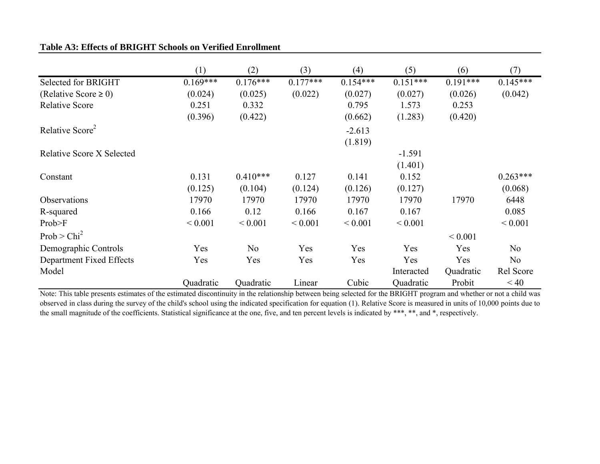|                                  | (1)         | (2)            | (3)         | (4)         | (5)         | (6)         | (7)            |
|----------------------------------|-------------|----------------|-------------|-------------|-------------|-------------|----------------|
| Selected for BRIGHT              | $0.169***$  | $0.176***$     | $0.177***$  | $0.154***$  | $0.151***$  | $0.191***$  | $0.145***$     |
| (Relative Score $\geq 0$ )       | (0.024)     | (0.025)        | (0.022)     | (0.027)     | (0.027)     | (0.026)     | (0.042)        |
| <b>Relative Score</b>            | 0.251       | 0.332          |             | 0.795       | 1.573       | 0.253       |                |
|                                  | (0.396)     | (0.422)        |             | (0.662)     | (1.283)     | (0.420)     |                |
| Relative Score <sup>2</sup>      |             |                |             | $-2.613$    |             |             |                |
|                                  |             |                |             | (1.819)     |             |             |                |
| <b>Relative Score X Selected</b> |             |                |             |             | $-1.591$    |             |                |
|                                  |             |                |             |             | (1.401)     |             |                |
| Constant                         | 0.131       | $0.410***$     | 0.127       | 0.141       | 0.152       |             | $0.263***$     |
|                                  | (0.125)     | (0.104)        | (0.124)     | (0.126)     | (0.127)     |             | (0.068)        |
| Observations                     | 17970       | 17970          | 17970       | 17970       | 17970       | 17970       | 6448           |
| R-squared                        | 0.166       | 0.12           | 0.166       | 0.167       | 0.167       |             | 0.085          |
| Prob>F                           | ${}< 0.001$ | ${}< 0.001$    | ${}< 0.001$ | ${}< 0.001$ | ${}< 0.001$ |             | ${}< 0.001$    |
| Prob > Chi <sup>2</sup>          |             |                |             |             |             | ${}< 0.001$ |                |
| Demographic Controls             | Yes         | N <sub>o</sub> | Yes         | Yes         | Yes         | Yes         | N <sub>o</sub> |
| Department Fixed Effects         | Yes         | Yes            | Yes         | Yes         | Yes         | Yes         | N <sub>o</sub> |
| Model                            |             |                |             |             | Interacted  | Quadratic   | Rel Score      |
|                                  | Quadratic   | Quadratic      | Linear      | Cubic       | Quadratic   | Probit      | < 40           |

# **Table A3: Effects of BRIGHT Schools on Verified Enrollment**

Note: This table presents estimates of the estimated discontinuity in the relationship between being selected for the BRIGHT program and whether or not <sup>a</sup> child was observed in class during the survey of the child's school using the indicated specification for equation (1). Relative Score is measured in units of 10,000 points due to the small magnitude of the coefficients. Statistical significance at the one, five, and ten percent levels is indicated by \*\*\*, \*\*, and \*, respectively.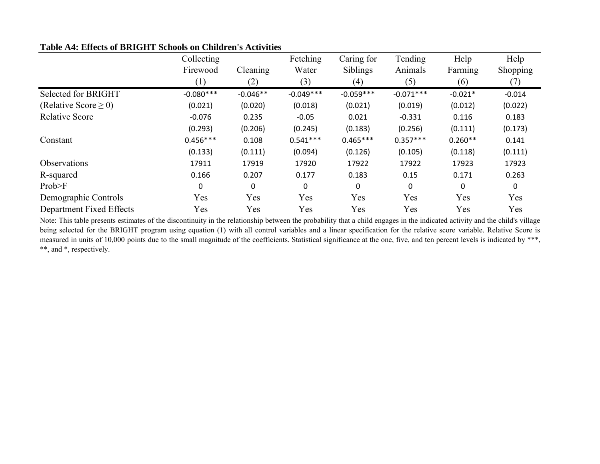|                           | Collecting  |             | Fetching    | Caring for  | Tending     | Help         | Help     |
|---------------------------|-------------|-------------|-------------|-------------|-------------|--------------|----------|
|                           | Firewood    | Cleaning    | Water       | Siblings    | Animals     | Farming      | Shopping |
|                           | (1)         | (2)         | (3)         | (4)         | (5)         | (6)          | (7)      |
| Selected for BRIGHT       | $-0.080***$ | $-0.046**$  | $-0.049***$ | $-0.059***$ | $-0.071***$ | $-0.021*$    | $-0.014$ |
| (Relative Score $\geq$ 0) | (0.021)     | (0.020)     | (0.018)     | (0.021)     | (0.019)     | (0.012)      | (0.022)  |
| <b>Relative Score</b>     | $-0.076$    | 0.235       | $-0.05$     | 0.021       | $-0.331$    | 0.116        | 0.183    |
|                           | (0.293)     | (0.206)     | (0.245)     | (0.183)     | (0.256)     | (0.111)      | (0.173)  |
| Constant                  | $0.456***$  | 0.108       | $0.541***$  | $0.465***$  | $0.357***$  | $0.260**$    | 0.141    |
|                           | (0.133)     | (0.111)     | (0.094)     | (0.126)     | (0.105)     | (0.118)      | (0.111)  |
| <b>Observations</b>       | 17911       | 17919       | 17920       | 17922       | 17922       | 17923        | 17923    |
| R-squared                 | 0.166       | 0.207       | 0.177       | 0.183       | 0.15        | 0.171        | 0.263    |
| Prob>F                    | 0           | $\mathbf 0$ | 0           | 0           | 0           | $\mathbf{0}$ | 0        |
| Demographic Controls      | Yes         | Yes         | Yes         | Yes         | Yes         | Yes          | Yes      |
| Department Fixed Effects  | Yes         | Yes         | Yes         | Yes         | Yes         | Yes          | Yes      |

# **Table A4: Effects of BRIGHT Schools on Children's Activities**

Note: This table presents estimates of the discontinuity in the relationship between the probability that <sup>a</sup> child engages in the indicated activity and the child's village being selected for the BRIGHT program using equation (1) with all control variables and a linear specification for the relative score variable. Relative Score is measured in units of 10,000 points due to the small magnitude of the coefficients. Statistical significance at the one, five, and ten percent levels is indicated by \*\*\*, \*\*, and \*, respectively.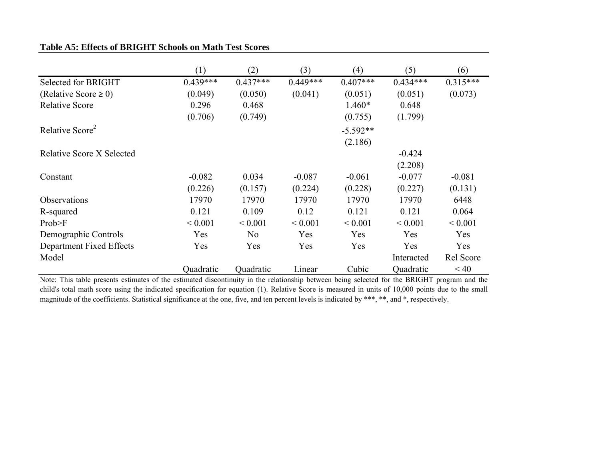|                                  | (1)         | (2)            | (3)         | (4)          | (5)         | (6)         |
|----------------------------------|-------------|----------------|-------------|--------------|-------------|-------------|
| Selected for BRIGHT              | $0.439***$  | $0.437***$     | $0.449***$  | $0.407***$   | $0.434***$  | $0.315***$  |
| (Relative Score $\geq 0$ )       | (0.049)     | (0.050)        | (0.041)     | (0.051)      | (0.051)     | (0.073)     |
| <b>Relative Score</b>            | 0.296       | 0.468          |             | $1.460*$     | 0.648       |             |
|                                  | (0.706)     | (0.749)        |             | (0.755)      | (1.799)     |             |
| Relative Score <sup>2</sup>      |             |                |             | $-5.592**$   |             |             |
|                                  |             |                |             | (2.186)      |             |             |
| <b>Relative Score X Selected</b> |             |                |             |              | $-0.424$    |             |
|                                  |             |                |             |              | (2.208)     |             |
| Constant                         | $-0.082$    | 0.034          | $-0.087$    | $-0.061$     | $-0.077$    | $-0.081$    |
|                                  | (0.226)     | (0.157)        | (0.224)     | (0.228)      | (0.227)     | (0.131)     |
| Observations                     | 17970       | 17970          | 17970       | 17970        | 17970       | 6448        |
| R-squared                        | 0.121       | 0.109          | 0.12        | 0.121        | 0.121       | 0.064       |
| Prob>F                           | ${}< 0.001$ | ${}< 0.001$    | ${}< 0.001$ | ${}_{0.001}$ | ${}< 0.001$ | ${}< 0.001$ |
| Demographic Controls             | Yes         | N <sub>0</sub> | Yes         | Yes          | Yes         | Yes         |
| Department Fixed Effects         | Yes         | Yes            | Yes         | Yes          | Yes         | Yes         |
| Model                            |             |                |             |              | Interacted  | Rel Score   |
|                                  | Quadratic   | Quadratic      | Linear      | Cubic        | Quadratic   | < 40        |

# **Table A5: Effects of BRIGHT Schools on Math Test Scores**

Note: This table presents estimates of the estimated discontinuity in the relationship between being selected for the BRIGHT program and the child's total math score using the indicated specification for equation (1). Relative Score is measured in units of 10,000 points due to the small magnitude of the coefficients. Statistical significance at the one, five, and ten percent levels is indicated by \*\*\*, \*\*, and \*, respectively.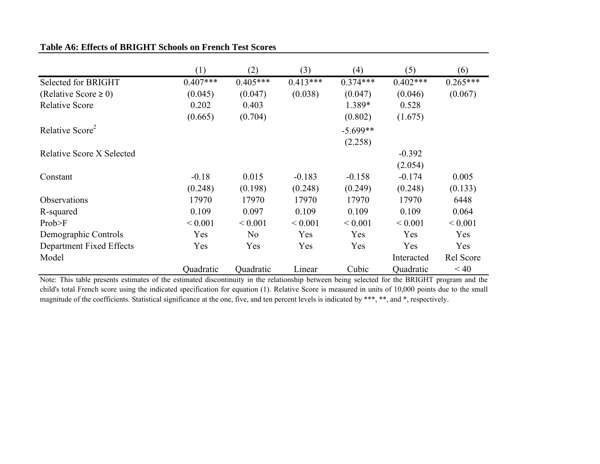|                                  | (1)         | (2)            | (3)         | (4)         | (5)         | (6)         |
|----------------------------------|-------------|----------------|-------------|-------------|-------------|-------------|
| Selected for BRIGHT              | $0.407***$  | $0.405***$     | $0.413***$  | $0.374***$  | $0.402***$  | $0.265***$  |
| (Relative Score $\geq 0$ )       | (0.045)     | (0.047)        | (0.038)     | (0.047)     | (0.046)     | (0.067)     |
| <b>Relative Score</b>            | 0.202       | 0.403          |             | 1.389*      | 0.528       |             |
|                                  | (0.665)     | (0.704)        |             | (0.802)     | (1.675)     |             |
| Relative Score <sup>2</sup>      |             |                |             | $-5.699**$  |             |             |
|                                  |             |                |             | (2.258)     |             |             |
| <b>Relative Score X Selected</b> |             |                |             |             | $-0.392$    |             |
|                                  |             |                |             |             | (2.054)     |             |
| Constant                         | $-0.18$     | 0.015          | $-0.183$    | $-0.158$    | $-0.174$    | 0.005       |
|                                  | (0.248)     | (0.198)        | (0.248)     | (0.249)     | (0.248)     | (0.133)     |
| Observations                     | 17970       | 17970          | 17970       | 17970       | 17970       | 6448        |
| R-squared                        | 0.109       | 0.097          | 0.109       | 0.109       | 0.109       | 0.064       |
| Prob>F                           | ${}< 0.001$ | ${}< 0.001$    | ${}< 0.001$ | ${}< 0.001$ | ${}< 0.001$ | ${}< 0.001$ |
| Demographic Controls             | Yes         | N <sub>0</sub> | Yes         | Yes         | Yes         | Yes         |
| Department Fixed Effects         | Yes         | Yes            | Yes         | Yes         | Yes         | Yes         |
| Model                            |             |                |             |             | Interacted  | Rel Score   |
|                                  | Quadratic   | Quadratic      | Linear      | Cubic       | Quadratic   | < 40        |

# **Table A6: Effects of BRIGHT Schools on French Test Scores**

Note: This table presents estimates of the estimated discontinuity in the relationship between being selected for the BRIGHT program and the child's total French score using the indicated specification for equation (1). Relative Score is measured in units of 10,000 points due to the small magnitude of the coefficients. Statistical significance at the one, five, and ten percent levels is indicated by \*\*\*, \*\*, and \*, respectively.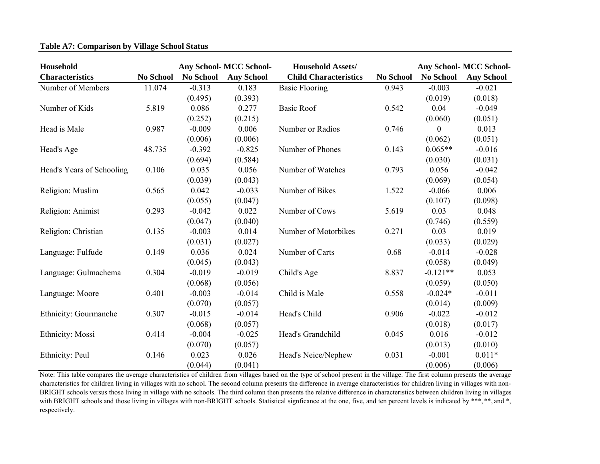| Household                 |                  | <b>Any School-MCC School-</b> |                   | <b>Household Assets/</b>     |                  | <b>Any School- MCC School-</b> |                   |
|---------------------------|------------------|-------------------------------|-------------------|------------------------------|------------------|--------------------------------|-------------------|
| <b>Characteristics</b>    | <b>No School</b> | <b>No School</b>              | <b>Any School</b> | <b>Child Characteristics</b> | <b>No School</b> | <b>No School</b>               | <b>Any School</b> |
| Number of Members         | 11.074           | $-0.313$                      | 0.183             | <b>Basic Flooring</b>        | 0.943            | $-0.003$                       | $-0.021$          |
|                           |                  | (0.495)                       | (0.393)           |                              |                  | (0.019)                        | (0.018)           |
| Number of Kids            | 5.819            | 0.086                         | 0.277             | <b>Basic Roof</b>            | 0.542            | 0.04                           | $-0.049$          |
|                           |                  | (0.252)                       | (0.215)           |                              |                  | (0.060)                        | (0.051)           |
| Head is Male              | 0.987            | $-0.009$                      | 0.006             | Number or Radios             | 0.746            | $\Omega$                       | 0.013             |
|                           |                  | (0.006)                       | (0.006)           |                              |                  | (0.062)                        | (0.051)           |
| Head's Age                | 48.735           | $-0.392$                      | $-0.825$          | Number of Phones             | 0.143            | $0.065**$                      | $-0.016$          |
|                           |                  | (0.694)                       | (0.584)           |                              |                  | (0.030)                        | (0.031)           |
| Head's Years of Schooling | 0.106            | 0.035                         | 0.056             | Number of Watches            | 0.793            | 0.056                          | $-0.042$          |
|                           |                  | (0.039)                       | (0.043)           |                              |                  | (0.069)                        | (0.054)           |
| Religion: Muslim          | 0.565            | 0.042                         | $-0.033$          | Number of Bikes              | 1.522            | $-0.066$                       | 0.006             |
|                           |                  | (0.055)                       | (0.047)           |                              |                  | (0.107)                        | (0.098)           |
| Religion: Animist         | 0.293            | $-0.042$                      | 0.022             | Number of Cows               | 5.619            | 0.03                           | 0.048             |
|                           |                  | (0.047)                       | (0.040)           |                              |                  | (0.746)                        | (0.559)           |
| Religion: Christian       | 0.135            | $-0.003$                      | 0.014             | Number of Motorbikes         | 0.271            | 0.03                           | 0.019             |
|                           |                  | (0.031)                       | (0.027)           |                              |                  | (0.033)                        | (0.029)           |
| Language: Fulfude         | 0.149            | 0.036                         | 0.024             | Number of Carts              | 0.68             | $-0.014$                       | $-0.028$          |
|                           |                  | (0.045)                       | (0.043)           |                              |                  | (0.058)                        | (0.049)           |
| Language: Gulmachema      | 0.304            | $-0.019$                      | $-0.019$          | Child's Age                  | 8.837            | $-0.121**$                     | 0.053             |
|                           |                  | (0.068)                       | (0.056)           |                              |                  | (0.059)                        | (0.050)           |
| Language: Moore           | 0.401            | $-0.003$                      | $-0.014$          | Child is Male                | 0.558            | $-0.024*$                      | $-0.011$          |
|                           |                  | (0.070)                       | (0.057)           |                              |                  | (0.014)                        | (0.009)           |
| Ethnicity: Gourmanche     | 0.307            | $-0.015$                      | $-0.014$          | Head's Child                 | 0.906            | $-0.022$                       | $-0.012$          |
|                           |                  | (0.068)                       | (0.057)           |                              |                  | (0.018)                        | (0.017)           |
| Ethnicity: Mossi          | 0.414            | $-0.004$                      | $-0.025$          | Head's Grandchild            | 0.045            | 0.016                          | $-0.012$          |
|                           |                  | (0.070)                       | (0.057)           |                              |                  | (0.013)                        | (0.010)           |
| Ethnicity: Peul           | 0.146            | 0.023                         | 0.026             | Head's Neice/Nephew          | 0.031            | $-0.001$                       | $0.011*$          |
|                           |                  | (0.044)                       | (0.041)           |                              |                  | (0.006)                        | (0.006)           |

### **Table A7: Comparison by Village School Status**

Note: This table compares the average characteristics of children from villages based on the type of school presen<sup>t</sup> in the village. The first column presents the average characteristics for children living in villages with no school. The second column presents the difference in average characteristics for children living in villages with non-BRIGHT schools versus those living in village with no schools. The third column then presents the relative difference in characteristics between children living in villages with BRIGHT schools and those living in villages with non-BRIGHT schools. Statistical signficance at the one, five, and ten percent levels is indicated by \*\*\*, \*\*, and \*, respectively.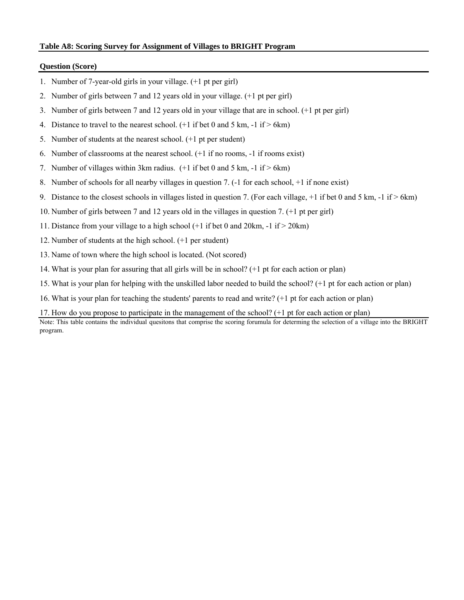### **Table A8: Scoring Survey for Assignment of Villages to BRIGHT Program**

#### **Question (Score)**

- 1. Number of 7-year-old girls in your village. (+1 pt per girl)
- 2. Number of girls between 7 and 12 years old in your village. (+1 pt per girl)
- 3. Number of girls between 7 and 12 years old in your village that are in school. (+1 pt per girl)
- 4. Distance to travel to the nearest school.  $(+1 \text{ if } bet 0 \text{ and } 5 \text{ km}, -1 \text{ if } > 6 \text{ km})$
- 5. Number of students at the nearest school. (+1 pt per student)
- 6. Number of classrooms at the nearest school. (+1 if no rooms, -1 if rooms exist)
- 7. Number of villages within 3km radius.  $(+1 \text{ if bet } 0 \text{ and } 5 \text{ km}, -1 \text{ if } > 6 \text{ km})$
- 8. Number of schools for all nearby villages in question 7. (-1 for each school, +1 if none exist)
- 9. Distance to the closest schools in villages listed in question 7. (For each village,  $+1$  if bet 0 and 5 km,  $-1$  if  $> 6$ km)
- 10. Number of girls between 7 and 12 years old in the villages in question 7. (+1 pt per girl)
- 11. Distance from your village to a high school (+1 if bet 0 and 20km, -1 if > 20km)
- 12. Number of students at the high school. (+1 per student)
- 13. Name of town where the high school is located. (Not scored)
- 14. What is your plan for assuring that all girls will be in school? (+1 pt for each action or plan)
- 15. What is your plan for helping with the unskilled labor needed to build the school? (+1 pt for each action or plan)
- 16. What is your plan for teaching the students' parents to read and write? (+1 pt for each action or plan)

### 17. How do you propose to participate in the management of the school? (+1 pt for each action or plan)

Note: This table contains the individual quesitons that comprise the scoring forumula for determing the selection of a village into the BRIGHT program.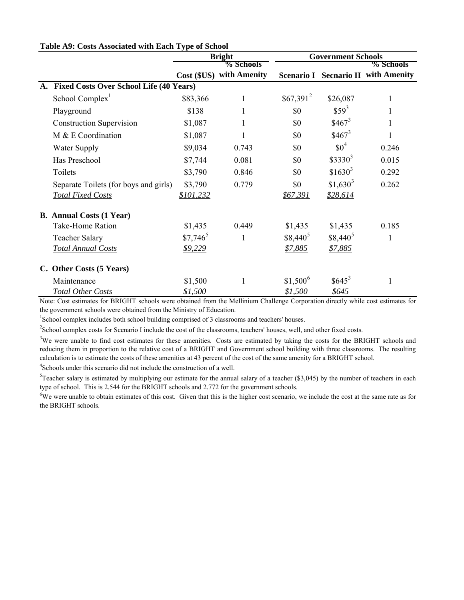|           |                                                |                | <b>Bright</b>            | <b>Government Schools</b> |            |                                 |  |
|-----------|------------------------------------------------|----------------|--------------------------|---------------------------|------------|---------------------------------|--|
|           |                                                |                | % Schools                |                           |            | % Schools                       |  |
|           |                                                |                | Cost (\$US) with Amenity | <b>Scenario I</b>         |            | <b>Secnario II with Amenity</b> |  |
| <b>A.</b> | <b>Fixed Costs Over School Life (40 Years)</b> |                |                          |                           |            |                                 |  |
|           | School Complex <sup>1</sup>                    | \$83,366       | 1                        | $$67,391^2$               | \$26,087   |                                 |  |
|           | Playground                                     | \$138          | 1                        | \$0                       | $$59^3$    |                                 |  |
|           | <b>Construction Supervision</b>                | \$1,087        | 1                        | \$0                       | $$467^3$   |                                 |  |
|           | M & E Coordination                             | \$1,087        | 1                        | \$0                       | $$467^3$   |                                 |  |
|           | Water Supply                                   | \$9,034        | 0.743                    | \$0                       | $$0^4$     | 0.246                           |  |
|           | Has Preschool                                  | \$7,744        | 0.081                    | \$0                       | $$3330^3$  | 0.015                           |  |
|           | Toilets                                        | \$3,790        | 0.846                    | \$0                       | $$1630^3$  | 0.292                           |  |
|           | Separate Toilets (for boys and girls)          | \$3,790        | 0.779                    | \$0                       | $$1,630^3$ | 0.262                           |  |
|           | <b>Total Fixed Costs</b>                       | \$101,232      |                          | <u>\$67,391</u>           | \$28,614   |                                 |  |
|           | <b>B.</b> Annual Costs (1 Year)                |                |                          |                           |            |                                 |  |
|           | Take-Home Ration                               | \$1,435        | 0.449                    | \$1,435                   | \$1,435    | 0.185                           |  |
|           | <b>Teacher Salary</b>                          | $$7,746^5$     | 1                        | $$8,440^5$                | $$8,440^5$ | 1                               |  |
|           | <b>Total Annual Costs</b>                      | \$9,229        |                          | \$7,885                   | \$7,885    |                                 |  |
|           | C. Other Costs (5 Years)                       |                |                          |                           |            |                                 |  |
|           | Maintenance                                    | \$1,500        | 1                        | $$1,500^6$                | $$645^3$   | $\mathbf{1}$                    |  |
|           | <b>Total Other Costs</b>                       | <u>\$1,500</u> |                          | \$1,500                   | \$645      |                                 |  |

### **Table A9: Costs Associated with Each Type of School**

Note: Cost estimates for BRIGHT schools were obtained from the Mellinium Challenge Corporation directly while cost estimates for the government schools were obtained from the Ministry of Education.

<sup>1</sup>School complex includes both school building comprised of 3 classrooms and teachers' houses.

 $2$ School complex costs for Scenario I include the cost of the classrooms, teachers' houses, well, and other fixed costs.

 $3$ We were unable to find cost estimates for these amenities. Costs are estimated by taking the costs for the BRIGHT schools and reducing them in proportion to the relative cost of a BRIGHT and Government school building with three classrooms. The resulting calculation is to estimate the costs of these amenities at 43 percent of the cost of the same amenity for a BRIGHT school.

4 Schools under this scenario did not include the construction of a well.

 ${}^{5}$ Teacher salary is estimated by multiplying our estimate for the annual salary of a teacher (\$3,045) by the number of teachers in each type of school. This is 2.544 for the BRIGHT schools and 2.772 for the government schools.

<sup>6</sup>We were unable to obtain estimates of this cost. Given that this is the higher cost scenario, we include the cost at the same rate as for the BRIGHT schools.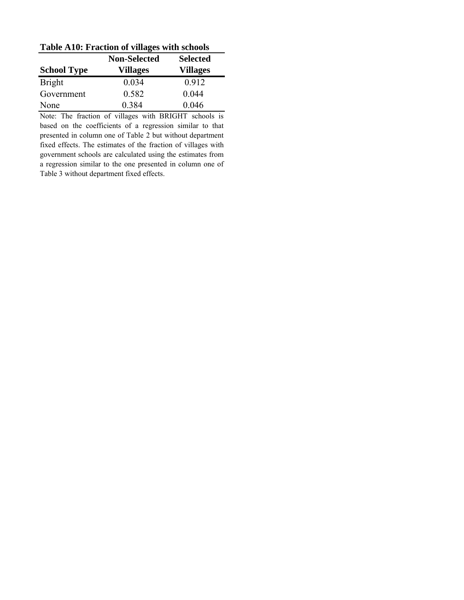| <b>Table A10: Fraction of villages with schools</b> |                 |                 |  |  |  |  |  |
|-----------------------------------------------------|-----------------|-----------------|--|--|--|--|--|
| <b>Non-Selected</b>                                 |                 | <b>Selected</b> |  |  |  |  |  |
| <b>School Type</b>                                  | <b>Villages</b> | <b>Villages</b> |  |  |  |  |  |
| <b>Bright</b>                                       | 0.034           | 0.912           |  |  |  |  |  |
| Government                                          | 0.582           | 0.044           |  |  |  |  |  |
| None                                                | 0.384           | 0.046           |  |  |  |  |  |

**Table A10: Fraction of villages with schools**

Note: The fraction of villages with BRIGHT schools is based on the coefficients of a regression similar to that presented in column one of Table 2 but without department fixed effects. The estimates of the fraction of villages with government schools are calculated using the estimates from a regression similar to the one presented in column one of Table 3 without department fixed effects.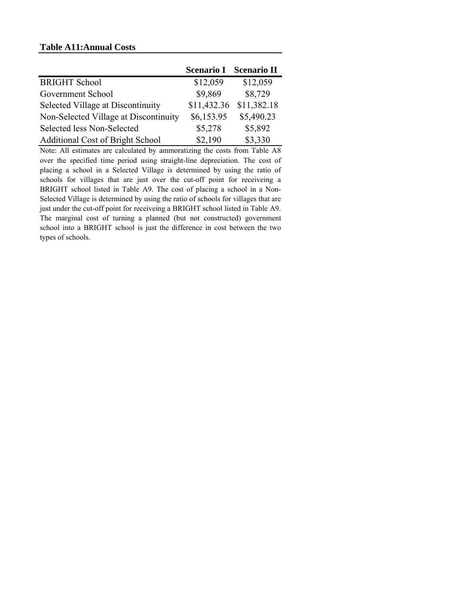## **Table A11:Annual Costs**

|                                         | <b>Scenario I</b> | <b>Scenario II</b> |
|-----------------------------------------|-------------------|--------------------|
| <b>BRIGHT School</b>                    | \$12,059          | \$12,059           |
| Government School                       | \$9,869           | \$8,729            |
| Selected Village at Discontinuity       | \$11,432.36       | \$11,382.18        |
| Non-Selected Village at Discontinuity   | \$6,153.95        | \$5,490.23         |
| Selected less Non-Selected              | \$5,278           | \$5,892            |
| <b>Additional Cost of Bright School</b> | \$2,190           | \$3,330            |

Note: All estimates are calculated by ammoratizing the costs from Table A8 over the specified time period using straight-line depreciation. The cost of placing a school in a Selected Village is determined by using the ratio of schools for villages that are just over the cut-off point for receiveing a BRIGHT school listed in Table A9. The cost of placing a school in a Non-Selected Village is determined by using the ratio of schools for villages that are just under the cut-off point for receiveing a BRIGHT school listed in Table A9. The marginal cost of turning a planned (but not constructed) government school into a BRIGHT school is just the difference in cost between the two types of schools.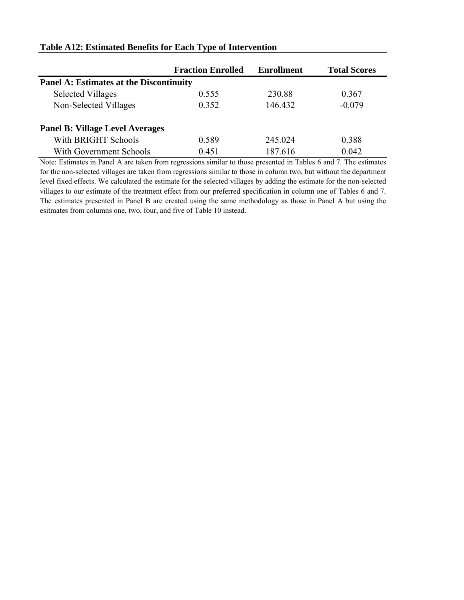|                                                | <b>Fraction Enrolled</b> | <b>Enrollment</b> | <b>Total Scores</b> |  |  |  |
|------------------------------------------------|--------------------------|-------------------|---------------------|--|--|--|
| <b>Panel A: Estimates at the Discontinuity</b> |                          |                   |                     |  |  |  |
| <b>Selected Villages</b>                       | 0.555                    | 230.88            | 0.367               |  |  |  |
| Non-Selected Villages                          | 0.352                    | 146.432           | $-0.079$            |  |  |  |
| <b>Panel B: Village Level Averages</b>         |                          |                   |                     |  |  |  |
| With BRIGHT Schools                            | 0.589                    | 245 024           | 0.388               |  |  |  |
| With Government Schools                        | 0.451                    | 187.616           | 0.042               |  |  |  |

## **Table A12: Estimated Benefits for Each Type of Intervention**

Note: Estimates in Panel A are taken from regressions similar to those presented in Tables 6 and 7. The estimates for the non-selected villages are taken from regressions similar to those in column two, but without the department level fixed effects. We calculated the estimate for the selected villages by adding the estimate for the non-selected villages to our estimate of the treatment effect from our preferred specification in column one of Tables 6 and 7. The estimates presented in Panel B are created using the same methodology as those in Panel A but using the esitmates from columns one, two, four, and five of Table 10 instead.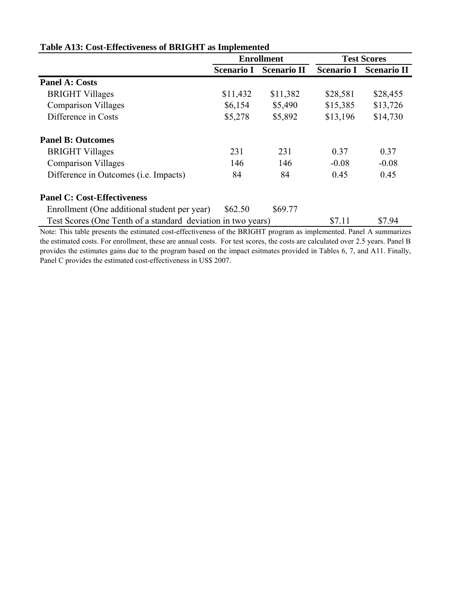|                                                              | <b>Enrollment</b> |                    | <b>Test Scores</b> |                    |
|--------------------------------------------------------------|-------------------|--------------------|--------------------|--------------------|
|                                                              | <b>Scenario I</b> | <b>Scenario II</b> | <b>Scenario I</b>  | <b>Scenario II</b> |
| <b>Panel A: Costs</b>                                        |                   |                    |                    |                    |
| <b>BRIGHT Villages</b>                                       | \$11,432          | \$11,382           | \$28,581           | \$28,455           |
| <b>Comparison Villages</b>                                   | \$6,154           | \$5,490            | \$15,385           | \$13,726           |
| Difference in Costs                                          | \$5,278           | \$5,892            | \$13,196           | \$14,730           |
| <b>Panel B: Outcomes</b>                                     |                   |                    |                    |                    |
| <b>BRIGHT Villages</b>                                       | 231               | 231                | 0.37               | 0.37               |
| <b>Comparison Villages</b>                                   | 146               | 146                | $-0.08$            | $-0.08$            |
| Difference in Outcomes ( <i>i.e.</i> Impacts)                | 84                | 84                 | 0.45               | 0.45               |
| <b>Panel C: Cost-Effectiveness</b>                           |                   |                    |                    |                    |
| Enrollment (One additional student per year)                 | \$62.50           | \$69.77            |                    |                    |
| Test Scores (One Tenth of a standard deviation in two years) |                   |                    | \$7.11             | \$7.94             |

## **Table A13: Cost-Effectiveness of BRIGHT as Implemented**

Note: This table presents the estimated cost-effectiveness of the BRIGHT program as implemented. Panel A summarizes the estimated costs. For enrollment, these are annual costs. For test scores, the costs are calculated over 2.5 years. Panel B provides the estimates gains due to the program based on the impact esitmates provided in Tables 6, 7, and A11. Finally, Panel C provides the estimated cost-effectiveness in US\$ 2007.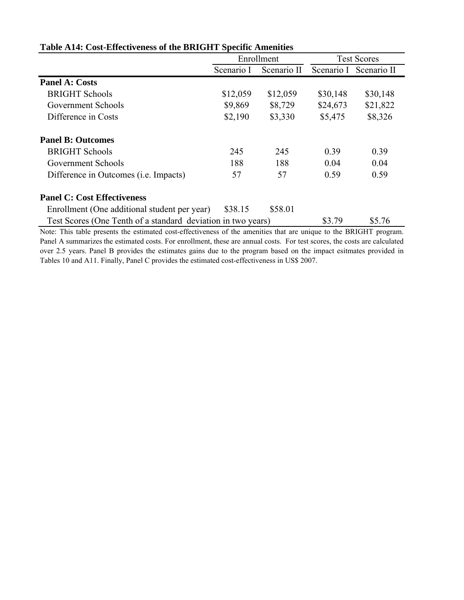|                                                              | Enrollment |             | <b>Test Scores</b> |                        |
|--------------------------------------------------------------|------------|-------------|--------------------|------------------------|
|                                                              | Scenario I | Scenario II |                    | Scenario I Scenario II |
| <b>Panel A: Costs</b>                                        |            |             |                    |                        |
| <b>BRIGHT Schools</b>                                        | \$12,059   | \$12,059    | \$30,148           | \$30,148               |
| Government Schools                                           | \$9,869    | \$8,729     | \$24,673           | \$21,822               |
| Difference in Costs                                          | \$2,190    | \$3,330     | \$5,475            | \$8,326                |
| <b>Panel B: Outcomes</b>                                     |            |             |                    |                        |
| <b>BRIGHT Schools</b>                                        | 245        | 245         | 0.39               | 0.39                   |
| Government Schools                                           | 188        | 188         | 0.04               | 0.04                   |
| Difference in Outcomes ( <i>i.e.</i> Impacts)                | 57         | 57          | 0.59               | 0.59                   |
| <b>Panel C: Cost Effectiveness</b>                           |            |             |                    |                        |
| Enrollment (One additional student per year)                 | \$38.15    | \$58.01     |                    |                        |
| Test Scores (One Tenth of a standard deviation in two years) |            |             | \$3.79             | \$5.76                 |

## **Table A14: Cost-Effectiveness of the BRIGHT Specific Amenities**

Note: This table presents the estimated cost-effectiveness of the amenities that are unique to the BRIGHT program. Panel A summarizes the estimated costs. For enrollment, these are annual costs. For test scores, the costs are calculated over 2.5 years. Panel B provides the estimates gains due to the program based on the impact esitmates provided in Tables 10 and A11. Finally, Panel C provides the estimated cost-effectiveness in US\$ 2007.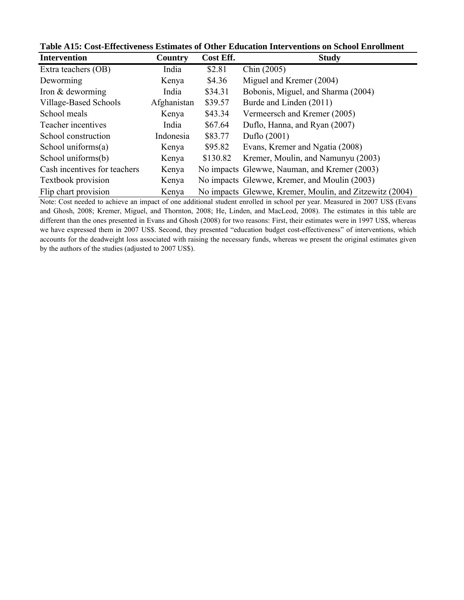| <b>Intervention</b>          | Country     | Cost Eff. | <b>Study</b>                                            |
|------------------------------|-------------|-----------|---------------------------------------------------------|
| Extra teachers (OB)          | India       | \$2.81    | Chin (2005)                                             |
| Deworming                    | Kenya       | \$4.36    | Miguel and Kremer (2004)                                |
| Iron & deworming             | India       | \$34.31   | Bobonis, Miguel, and Sharma (2004)                      |
| Village-Based Schools        | Afghanistan | \$39.57   | Burde and Linden (2011)                                 |
| School meals                 | Kenya       | \$43.34   | Vermeersch and Kremer (2005)                            |
| Teacher incentives           | India       | \$67.64   | Duflo, Hanna, and Ryan (2007)                           |
| School construction          | Indonesia   | \$83.77   | Duflo (2001)                                            |
| School uniforms $(a)$        | Kenya       | \$95.82   | Evans, Kremer and Ngatia (2008)                         |
| School uniforms(b)           | Kenya       | \$130.82  | Kremer, Moulin, and Namunyu (2003)                      |
| Cash incentives for teachers | Kenya       |           | No impacts Glewwe, Nauman, and Kremer (2003)            |
| Textbook provision           | Kenya       |           | No impacts Glewwe, Kremer, and Moulin (2003)            |
| Flip chart provision         | Kenya       |           | No impacts Glewwe, Kremer, Moulin, and Zitzewitz (2004) |

**Table A15: Cost-Effectiveness Estimates of Other Education Interventions on School Enrollment**

Note: Cost needed to achieve an impact of one additional student enrolled in school per year. Measured in 2007 US\$ (Evans and Ghosh, 2008; Kremer, Miguel, and Thornton, 2008; He, Linden, and MacLeod, 2008). The estimates in this table are different than the ones presented in Evans and Ghosh (2008) for two reasons: First, their estimates were in 1997 US\$, whereas we have expressed them in 2007 US\$. Second, they presented "education budget cost-effectiveness" of interventions, which accounts for the deadweight loss associated with raising the necessary funds, whereas we present the original estimates given by the authors of the studies (adjusted to 2007 US\$).